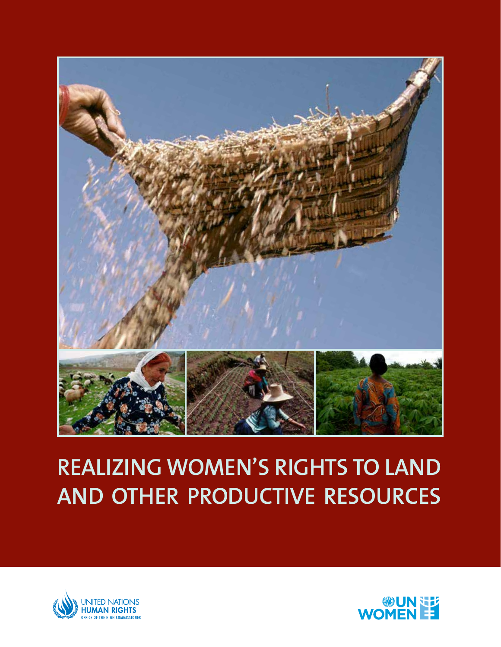

# **REALIZING WOMEN'S RIGHTS TO LAND AND OTHER PRODUCTIVE RESOURCES**



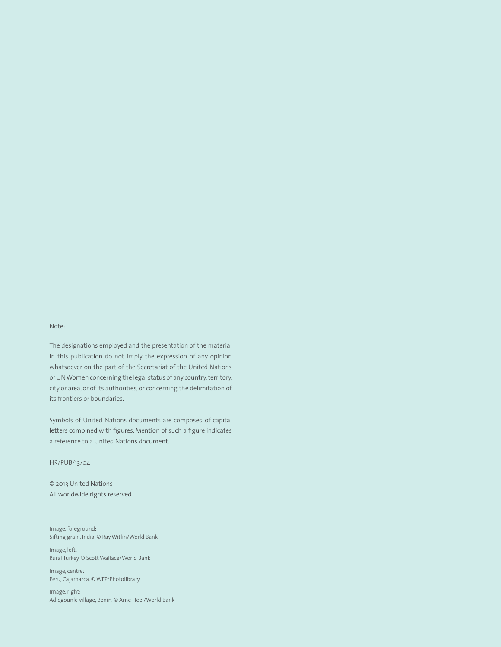#### Note:

The designations employed and the presentation of the material in this publication do not imply the expression of any opinion whatsoever on the part of the Secretariat of the United Nations or UN Women concerning the legal status of any country, territory, city or area, or of its authorities, or concerning the delimitation of its frontiers or boundaries.

Symbols of United Nations documents are composed of capital letters combined with figures. Mention of such a figure indicates a reference to a United Nations document.

#### HR/PUB/13/04

© 2013 United Nations All worldwide rights reserved

Image, foreground: Sifting grain, India. © Ray Witlin/World Bank

Image, left: Rural Turkey. © Scott Wallace/World Bank

Image, centre: Peru, Cajamarca. © WFP/Photolibrary

Image, right: Adjegounle village, Benin. © Arne Hoel/World Bank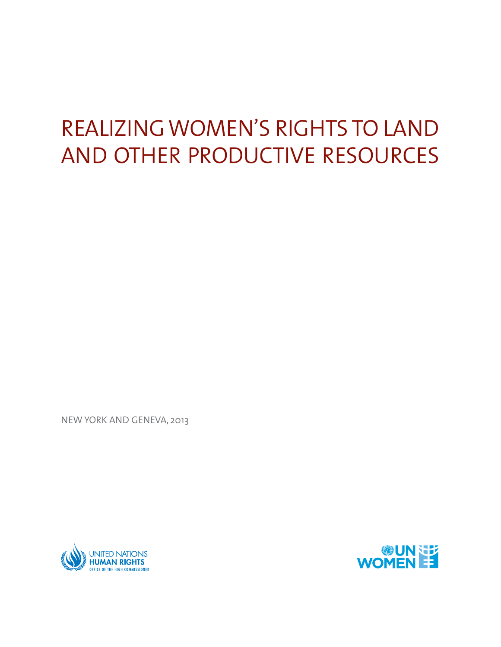# REALIZING WOMEN'S RIGHTS TO LAND AND OTHER PRODUCTIVE RESOURCES

NEW YORK AND GENEVA, 2013



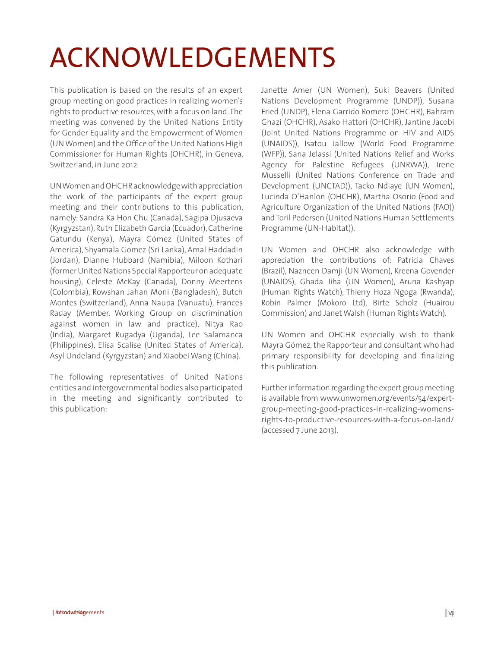# ACKNOWLEDGEMENTS

This publication is based on the results of an expert group meeting on good practices in realizing women's rights to productive resources, with a focus on land. The meeting was convened by the United Nations Entity for Gender Equality and the Empowerment of Women (UN Women) and the Office of the United Nations High Commissioner for Human Rights (OHCHR), in Geneva, Switzerland, in June 2012.

UN Women and OHCHR acknowledge with appreciation the work of the participants of the expert group meeting and their contributions to this publication, namely: Sandra Ka Hon Chu (Canada), Sagipa Djusaeva (Kyrgyzstan), Ruth Elizabeth Garcia (Ecuador), Catherine Gatundu (Kenya), Mayra Gómez (United States of America), Shyamala Gomez (Sri Lanka), Amal Haddadin (Jordan), Dianne Hubbard (Namibia), Miloon Kothari (former United Nations Special Rapporteur on adequate housing), Celeste McKay (Canada), Donny Meertens (Colombia), Rowshan Jahan Moni (Bangladesh), Butch Montes (Switzerland), Anna Naupa (Vanuatu), Frances Raday (Member, Working Group on discrimination against women in law and practice), Nitya Rao (India), Margaret Rugadya (Uganda), Lee Salamanca (Philippines), Elisa Scalise (United States of America), Asyl Undeland (Kyrgyzstan) and Xiaobei Wang (China).

The following representatives of United Nations entities and intergovernmental bodies also participated in the meeting and significantly contributed to this publication:

Janette Amer (UN Women), Suki Beavers (United Nations Development Programme (UNDP)), Susana Fried (UNDP), Elena Garrido Romero (OHCHR), Bahram Ghazi (OHCHR), Asako Hattori (OHCHR), Jantine Jacobi (Joint United Nations Programme on HIV and AIDS (UNAIDS)), Isatou Jallow (World Food Programme (WFP)), Sana Jelassi (United Nations Relief and Works Agency for Palestine Refugees (UNRWA)), Irene Musselli (United Nations Conference on Trade and Development (UNCTAD)), Tacko Ndiaye (UN Women), Lucinda O'Hanlon (OHCHR), Martha Osorio (Food and Agriculture Organization of the United Nations (FAO)) and Toril Pedersen (United Nations Human Settlements Programme (UN-Habitat)).

UN Women and OHCHR also acknowledge with appreciation the contributions of: Patricia Chaves (Brazil), Nazneen Damji (UN Women), Kreena Govender (UNAIDS), Ghada Jiha (UN Women), Aruna Kashyap (Human Rights Watch), Thierry Hoza Ngoga (Rwanda), Robin Palmer (Mokoro Ltd), Birte Scholz (Huairou Commission) and Janet Walsh (Human Rights Watch).

UN Women and OHCHR especially wish to thank Mayra Gómez, the Rapporteur and consultant who had primary responsibility for developing and finalizing this publication.

Further information regarding the expert group meeting is available from www.unwomen.org/events/54/expertgroup-meeting-good-practices-in-realizing-womensrights-to-productive-resources-with-a-focus-on-land/ (accessed 7 June 2013).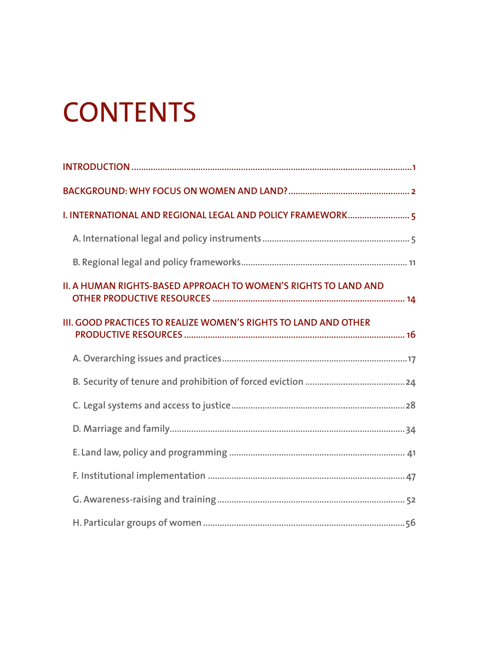# **CONTENTS**

| <b>II. A HUMAN RIGHTS-BASED APPROACH TO WOMEN'S RIGHTS TO LAND AND</b> |
|------------------------------------------------------------------------|
| III. GOOD PRACTICES TO REALIZE WOMEN'S RIGHTS TO LAND AND OTHER        |
|                                                                        |
|                                                                        |
|                                                                        |
|                                                                        |
|                                                                        |
|                                                                        |
|                                                                        |
|                                                                        |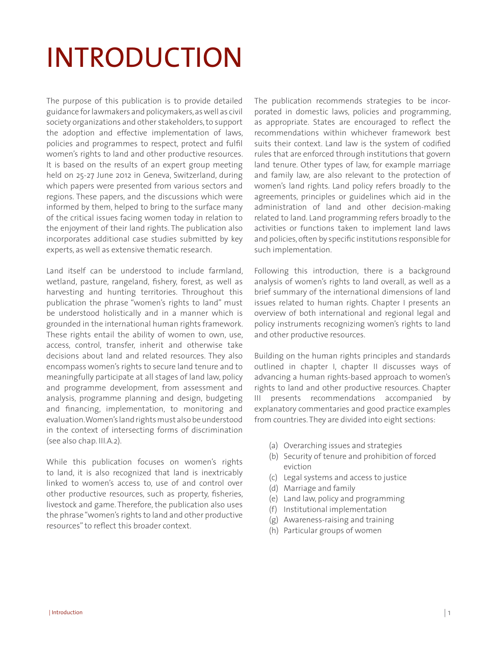# INTRODUCTION

The purpose of this publication is to provide detailed guidance for lawmakers and policymakers, as well as civil society organizations and other stakeholders, to support the adoption and effective implementation of laws, policies and programmes to respect, protect and fulfil women's rights to land and other productive resources. It is based on the results of an expert group meeting held on 25-27 June 2012 in Geneva, Switzerland, during which papers were presented from various sectors and regions. These papers, and the discussions which were informed by them, helped to bring to the surface many of the critical issues facing women today in relation to the enjoyment of their land rights. The publication also incorporates additional case studies submitted by key experts, as well as extensive thematic research.

Land itself can be understood to include farmland, wetland, pasture, rangeland, fishery, forest, as well as harvesting and hunting territories. Throughout this publication the phrase "women's rights to land" must be understood holistically and in a manner which is grounded in the international human rights framework. These rights entail the ability of women to own, use, access, control, transfer, inherit and otherwise take decisions about land and related resources. They also encompass women's rights to secure land tenure and to meaningfully participate at all stages of land law, policy and programme development, from assessment and analysis, programme planning and design, budgeting and financing, implementation, to monitoring and evaluation. Women's land rights must also be understood in the context of intersecting forms of discrimination (see also chap. III.A.2).

While this publication focuses on women's rights to land, it is also recognized that land is inextricably linked to women's access to, use of and control over other productive resources, such as property, fisheries, livestock and game. Therefore, the publication also uses the phrase "women's rights to land and other productive resources" to reflect this broader context.

The publication recommends strategies to be incorporated in domestic laws, policies and programming, as appropriate. States are encouraged to reflect the recommendations within whichever framework best suits their context. Land law is the system of codified rules that are enforced through institutions that govern land tenure. Other types of law, for example marriage and family law, are also relevant to the protection of women's land rights. Land policy refers broadly to the agreements, principles or guidelines which aid in the administration of land and other decision-making related to land. Land programming refers broadly to the activities or functions taken to implement land laws and policies, often by specific institutions responsible for such implementation.

Following this introduction, there is a background analysis of women's rights to land overall, as well as a brief summary of the international dimensions of land issues related to human rights. Chapter I presents an overview of both international and regional legal and policy instruments recognizing women's rights to land and other productive resources.

Building on the human rights principles and standards outlined in chapter I, chapter II discusses ways of advancing a human rights-based approach to women's rights to land and other productive resources. Chapter III presents recommendations accompanied by explanatory commentaries and good practice examples from countries. They are divided into eight sections:

- (a) Overarching issues and strategies
- (b) Security of tenure and prohibition of forced eviction
- (c) Legal systems and access to justice
- (d) Marriage and family
- (e) Land law, policy and programming
- (f) Institutional implementation
- (g) Awareness-raising and training
- (h) Particular groups of women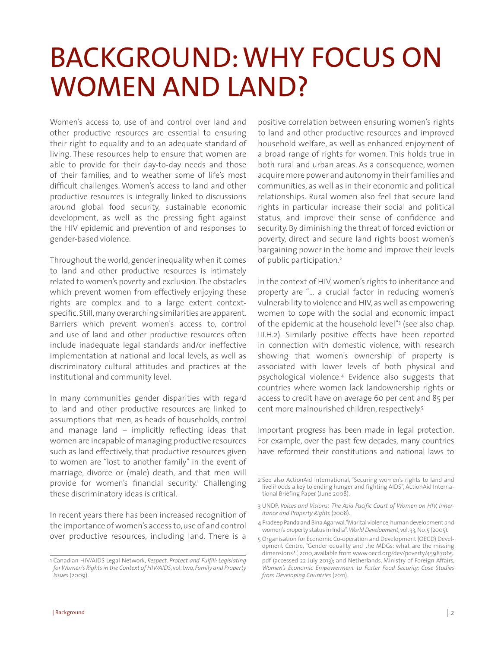# BACKGROUND: WHY FOCUS ON WOMEN AND LAND?

Women's access to, use of and control over land and other productive resources are essential to ensuring their right to equality and to an adequate standard of living. These resources help to ensure that women are able to provide for their day-to-day needs and those of their families, and to weather some of life's most difficult challenges. Women's access to land and other productive resources is integrally linked to discussions around global food security, sustainable economic development, as well as the pressing fight against the HIV epidemic and prevention of and responses to gender-based violence.

Throughout the world, gender inequality when it comes to land and other productive resources is intimately related to women's poverty and exclusion. The obstacles which prevent women from effectively enjoying these rights are complex and to a large extent contextspecific. Still, many overarching similarities are apparent. Barriers which prevent women's access to, control and use of land and other productive resources often include inadequate legal standards and/or ineffective implementation at national and local levels, as well as discriminatory cultural attitudes and practices at the institutional and community level.

In many communities gender disparities with regard to land and other productive resources are linked to assumptions that men, as heads of households, control and manage land – implicitly reflecting ideas that women are incapable of managing productive resources such as land effectively, that productive resources given to women are "lost to another family" in the event of marriage, divorce or (male) death, and that men will provide for women's financial security.<sup>1</sup> Challenging these discriminatory ideas is critical.

In recent years there has been increased recognition of the importance of women's access to, use of and control over productive resources, including land. There is a

positive correlation between ensuring women's rights to land and other productive resources and improved household welfare, as well as enhanced enjoyment of a broad range of rights for women. This holds true in both rural and urban areas. As a consequence, women acquire more power and autonomy in their families and communities, as well as in their economic and political relationships. Rural women also feel that secure land rights in particular increase their social and political status, and improve their sense of confidence and security. By diminishing the threat of forced eviction or poverty, direct and secure land rights boost women's bargaining power in the home and improve their levels of public participation.<sup>2</sup>

In the context of HIV, women's rights to inheritance and property are "… a crucial factor in reducing women's vulnerability to violence and HIV, as well as empowering women to cope with the social and economic impact of the epidemic at the household level"<sup>3</sup> (see also chap. III.H.2). Similarly positive effects have been reported in connection with domestic violence, with research showing that women's ownership of property is associated with lower levels of both physical and psychological violence.4 Evidence also suggests that countries where women lack landownership rights or access to credit have on average 60 per cent and 85 per cent more malnourished children, respectively.5

Important progress has been made in legal protection. For example, over the past few decades, many countries have reformed their constitutions and national laws to

<sup>1</sup> Canadian HIV/AIDS Legal Network, *Respect, Protect and Fulfill: Legislating for Women's Rights in the Context of HIV/AIDS*, vol. two, *Family and Property Issues* (2009).

<sup>2</sup> See also ActionAid International, "Securing women's rights to land and livelihoods a key to ending hunger and fighting AIDS", ActionAid International Briefing Paper (June 2008).

<sup>3</sup> UNDP, *Voices and Visions: The Asia Pacific Court of Women on HIV, Inheritance and Property Rights* (2008).

<sup>4</sup> Pradeep Panda and Bina Agarwal, "Marital violence, human development and women's property status in India", *World Development*, vol. 33, No. 5 (2005).

<sup>5</sup> Organisation for Economic Co-operation and Development (OECD) Development Centre, "Gender equality and the MDGs: what are the missing dimensions?", 2010, available from www.oecd.org/dev/poverty/45987065. pdf (accessed 22 July 2013); and Netherlands, Ministry of Foreign Affairs, *Women's Economic Empowerment to Foster Food Security: Case Studies from Developing Countries* (2011).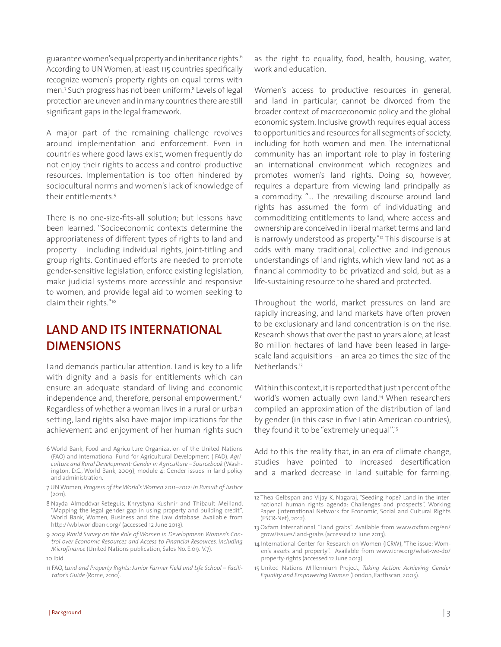guarantee women's equal property and inheritance rights.6 According to UN Women, at least 115 countries specifically recognize women's property rights on equal terms with men.<sup>7</sup> Such progress has not been uniform.<sup>8</sup> Levels of legal protection are uneven and in many countries there are still significant gaps in the legal framework.

A major part of the remaining challenge revolves around implementation and enforcement. Even in countries where good laws exist, women frequently do not enjoy their rights to access and control productive resources. Implementation is too often hindered by sociocultural norms and women's lack of knowledge of their entitlements.9

There is no one-size-fits-all solution; but lessons have been learned. "Socioeconomic contexts determine the appropriateness of different types of rights to land and property – including individual rights, joint-titling and group rights. Continued efforts are needed to promote gender-sensitive legislation, enforce existing legislation, make judicial systems more accessible and responsive to women, and provide legal aid to women seeking to claim their rights."10

## **LAND AND ITS INTERNATIONAL DIMENSIONS**

Land demands particular attention. Land is key to a life with dignity and a basis for entitlements which can ensure an adequate standard of living and economic independence and, therefore, personal empowerment. $\mathbb{I}^1$ Regardless of whether a woman lives in a rural or urban setting, land rights also have major implications for the achievement and enjoyment of her human rights such

- 6 World Bank, Food and Agriculture Organization of the United Nations (FAO) and International Fund for Agricultural Development (IFAD), *Agriculture and Rural Development: Gender in Agriculture – Sourcebook* (Washington, D.C., World Bank, 2009), module 4: Gender issues in land policy and administration.
- 7 UN Women, *Progress of the World's Women 2011–2012: In Pursuit of Justice*  $(2011)$ .
- 8 Nayda Almodóvar-Reteguis, Khrystyna Kushnir and Thibault Meilland, "Mapping the legal gender gap in using property and building credit", World Bank, Women, Business and the Law database. Available from http://wbl.worldbank.org/ (accessed 12 June 2013).
- 9 *2009 World Survey on the Role of Women in Development: Women's Control over Economic Resources and Access to Financial Resources, including Microfinance* (United Nations publication, Sales No. E.09.IV.7). 10 Ibid.
- 11 FAO, *Land and Property Rights: Junior Farmer Field and Life School Facilitator's Guide* (Rome, 2010).

as the right to equality, food, health, housing, water, work and education.

Women's access to productive resources in general, and land in particular, cannot be divorced from the broader context of macroeconomic policy and the global economic system. Inclusive growth requires equal access to opportunities and resources for all segments of society, including for both women and men. The international community has an important role to play in fostering an international environment which recognizes and promotes women's land rights. Doing so, however, requires a departure from viewing land principally as a commodity. "… The prevailing discourse around land rights has assumed the form of individuating and commoditizing entitlements to land, where access and ownership are conceived in liberal market terms and land is narrowly understood as property."<sup>12</sup> This discourse is at odds with many traditional, collective and indigenous understandings of land rights, which view land not as a financial commodity to be privatized and sold, but as a life-sustaining resource to be shared and protected.

Throughout the world, market pressures on land are rapidly increasing, and land markets have often proven to be exclusionary and land concentration is on the rise. Research shows that over the past 10 years alone, at least 80 million hectares of land have been leased in largescale land acquisitions – an area 20 times the size of the Netherlands.<sup>13</sup>

Within this context, it is reported that just 1 per cent of the world's women actually own land.14 When researchers compiled an approximation of the distribution of land by gender (in this case in five Latin American countries), they found it to be "extremely unequal".<sup>15</sup>

Add to this the reality that, in an era of climate change, studies have pointed to increased desertification and a marked decrease in land suitable for farming.

<sup>12</sup> Thea Gelbspan and Vijay K. Nagaraj, "Seeding hope? Land in the international human rights agenda: Challenges and prospects", Working Paper (International Network for Economic, Social and Cultural Rights (ESCR-Net), 2012).

<sup>13</sup> Oxfam International, "Land grabs". Available from www.oxfam.org/en/ grow/issues/land-grabs (accessed 12 June 2013).

<sup>14</sup> International Center for Research on Women (ICRW), "The issue: Women's assets and property". Available from www.icrw.org/what-we-do/ property-rights (accessed 12 June 2013).

<sup>15</sup> United Nations Millennium Project, *Taking Action: Achieving Gender Equality and Empowering Women* (London, Earthscan, 2005).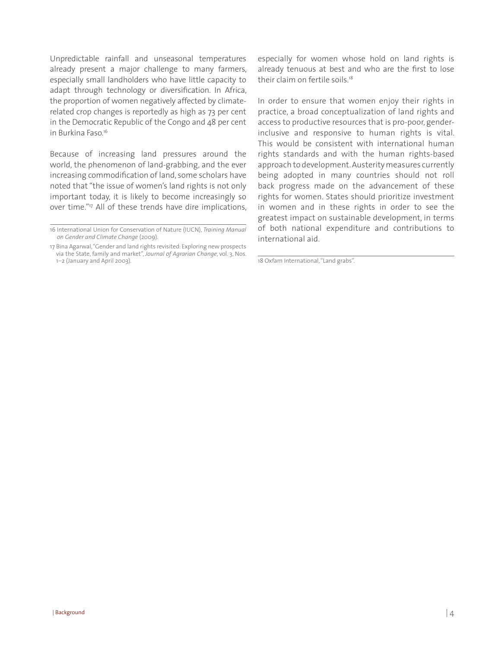Unpredictable rainfall and unseasonal temperatures already present a major challenge to many farmers, especially small landholders who have little capacity to adapt through technology or diversification. In Africa, the proportion of women negatively affected by climaterelated crop changes is reportedly as high as 73 per cent in the Democratic Republic of the Congo and 48 per cent in Burkina Faso<sup>16</sup>

Because of increasing land pressures around the world, the phenomenon of land-grabbing, and the ever increasing commodification of land, some scholars have noted that "the issue of women's land rights is not only important today, it is likely to become increasingly so over time."17 All of these trends have dire implications, especially for women whose hold on land rights is already tenuous at best and who are the first to lose their claim on fertile soils.<sup>18</sup>

In order to ensure that women enjoy their rights in practice, a broad conceptualization of land rights and access to productive resources that is pro-poor, genderinclusive and responsive to human rights is vital. This would be consistent with international human rights standards and with the human rights-based approach to development. Austerity measures currently being adopted in many countries should not roll back progress made on the advancement of these rights for women. States should prioritize investment in women and in these rights in order to see the greatest impact on sustainable development, in terms of both national expenditure and contributions to international aid.

18 Oxfam International, "Land grabs".

<sup>16</sup> International Union for Conservation of Nature (IUCN), *Training Manual on Gender and Climate Change* (2009).

<sup>17</sup> Bina Agarwal, "Gender and land rights revisited: Exploring new prospects via the State, family and market", *Journal of Agrarian Change*, vol. 3, Nos. 1–2 (January and April 2003).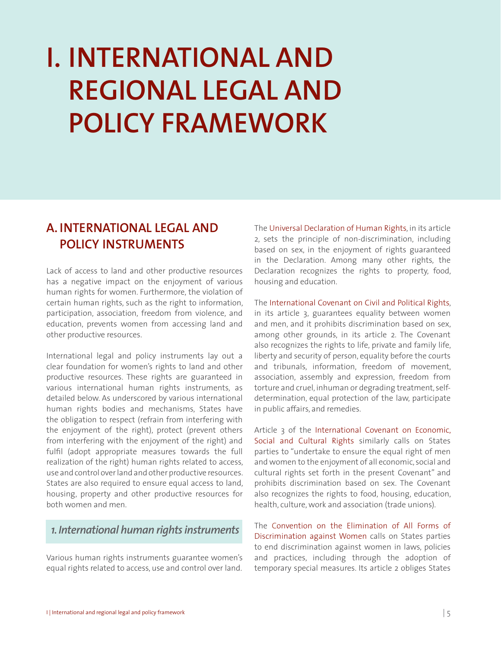# **I. INTERNATIONAL AND REGIONAL LEGAL AND POLICY FRAMEWORK**

## **A. INTERNATIONAL LEGAL AND POLICY INSTRUMENTS**

Lack of access to land and other productive resources has a negative impact on the enjoyment of various human rights for women. Furthermore, the violation of certain human rights, such as the right to information, participation, association, freedom from violence, and education, prevents women from accessing land and other productive resources.

International legal and policy instruments lay out a clear foundation for women's rights to land and other productive resources. These rights are guaranteed in various international human rights instruments, as detailed below. As underscored by various international human rights bodies and mechanisms, States have the obligation to respect (refrain from interfering with the enjoyment of the right), protect (prevent others from interfering with the enjoyment of the right) and fulfil (adopt appropriate measures towards the full realization of the right) human rights related to access, use and control over land and other productive resources. States are also required to ensure equal access to land, housing, property and other productive resources for both women and men.

#### *1. International human rights instruments*

Various human rights instruments guarantee women's equal rights related to access, use and control over land.

The Universal Declaration of Human Rights, in its article 2, sets the principle of non-discrimination, including based on sex, in the enjoyment of rights guaranteed in the Declaration. Among many other rights, the Declaration recognizes the rights to property, food, housing and education.

The International Covenant on Civil and Political Rights, in its article 3, guarantees equality between women and men, and it prohibits discrimination based on sex, among other grounds, in its article 2. The Covenant also recognizes the rights to life, private and family life, liberty and security of person, equality before the courts and tribunals, information, freedom of movement, association, assembly and expression, freedom from torture and cruel, inhuman or degrading treatment, selfdetermination, equal protection of the law, participate in public affairs, and remedies.

Article 3 of the International Covenant on Economic, Social and Cultural Rights similarly calls on States parties to "undertake to ensure the equal right of men and women to the enjoyment of all economic, social and cultural rights set forth in the present Covenant" and prohibits discrimination based on sex. The Covenant also recognizes the rights to food, housing, education, health, culture, work and association (trade unions).

The Convention on the Elimination of All Forms of Discrimination against Women calls on States parties to end discrimination against women in laws, policies and practices, including through the adoption of temporary special measures. Its article 2 obliges States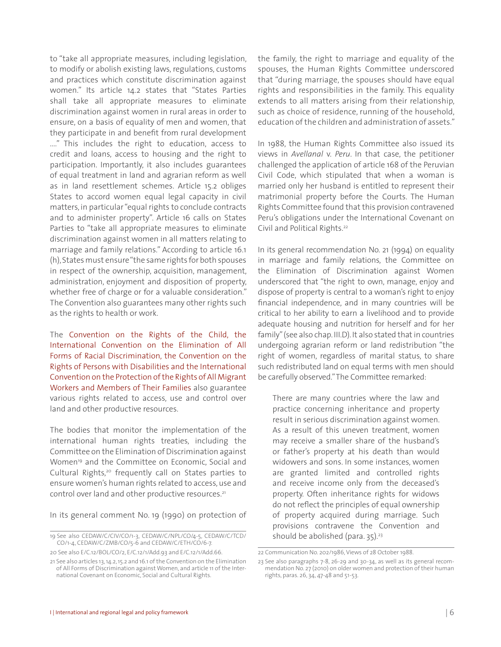to "take all appropriate measures, including legislation, to modify or abolish existing laws, regulations, customs and practices which constitute discrimination against women." Its article 14.2 states that "States Parties shall take all appropriate measures to eliminate discrimination against women in rural areas in order to ensure, on a basis of equality of men and women, that they participate in and benefit from rural development ...." This includes the right to education, access to credit and loans, access to housing and the right to participation. Importantly, it also includes guarantees of equal treatment in land and agrarian reform as well as in land resettlement schemes. Article 15.2 obliges States to accord women equal legal capacity in civil matters, in particular "equal rights to conclude contracts and to administer property". Article 16 calls on States Parties to "take all appropriate measures to eliminate discrimination against women in all matters relating to marriage and family relations." According to article 16.1 (h), States must ensure "the same rights for both spouses in respect of the ownership, acquisition, management, administration, enjoyment and disposition of property, whether free of charge or for a valuable consideration." The Convention also guarantees many other rights such as the rights to health or work.

The Convention on the Rights of the Child, the International Convention on the Elimination of All Forms of Racial Discrimination, the Convention on the Rights of Persons with Disabilities and the International Convention on the Protection of the Rights of All Migrant Workers and Members of Their Families also guarantee various rights related to access, use and control over land and other productive resources.

The bodies that monitor the implementation of the international human rights treaties, including the Committee on the Elimination of Discrimination against Women<sup>19</sup> and the Committee on Economic, Social and Cultural Rights,<sup>20</sup> frequently call on States parties to ensure women's human rights related to access, use and control over land and other productive resources.<sup>21</sup>

In its general comment No. 19 (1990) on protection of

the family, the right to marriage and equality of the spouses, the Human Rights Committee underscored that "during marriage, the spouses should have equal rights and responsibilities in the family. This equality extends to all matters arising from their relationship, such as choice of residence, running of the household, education of the children and administration of assets."

In 1988, the Human Rights Committee also issued its views in *Avellanal* v. *Peru*. In that case, the petitioner challenged the application of article 168 of the Peruvian Civil Code, which stipulated that when a woman is married only her husband is entitled to represent their matrimonial property before the Courts. The Human Rights Committee found that this provision contravened Peru's obligations under the International Covenant on Civil and Political Rights.22

In its general recommendation No. 21 (1994) on equality in marriage and family relations, the Committee on the Elimination of Discrimination against Women underscored that "the right to own, manage, enjoy and dispose of property is central to a woman's right to enjoy financial independence, and in many countries will be critical to her ability to earn a livelihood and to provide adequate housing and nutrition for herself and for her family" (see also chap. III.D). It also stated that in countries undergoing agrarian reform or land redistribution "the right of women, regardless of marital status, to share such redistributed land on equal terms with men should be carefully observed." The Committee remarked:

There are many countries where the law and practice concerning inheritance and property result in serious discrimination against women. As a result of this uneven treatment, women may receive a smaller share of the husband's or father's property at his death than would widowers and sons. In some instances, women are granted limited and controlled rights and receive income only from the deceased's property. Often inheritance rights for widows do not reflect the principles of equal ownership of property acquired during marriage. Such provisions contravene the Convention and should be abolished (para.  $35$ ).<sup>23</sup>

<sup>19</sup> See also CEDAW/C/CIV/CO/1-3, CEDAW/C/NPL/CO/4-5, CEDAW/C/TCD/ CO/1-4, CEDAW/C/ZMB/CO/5-6 and CEDAW/C/ETH/CO/6-7.

<sup>20</sup> See also E/C.12/BOL/CO/2, E/C.12/1/Add.93 and E/C.12/1/Add.66.

<sup>21</sup> See also articles 13, 14.2, 15.2 and 16.1 of the Convention on the Elimination of All Forms of Discrimination against Women, and article 11 of the International Covenant on Economic, Social and Cultural Rights.

<sup>22</sup> Communication No. 202/1986, Views of 28 October 1988.

<sup>23</sup> See also paragraphs 7-8, 26-29 and 30-34, as well as its general recommendation No. 27 (2010) on older women and protection of their human rights, paras. 26, 34, 47-48 and 51-53.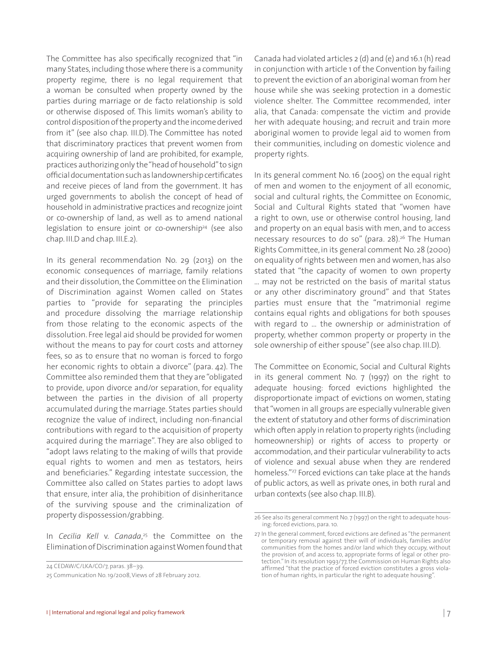The Committee has also specifically recognized that "in many States, including those where there is a community property regime, there is no legal requirement that a woman be consulted when property owned by the parties during marriage or de facto relationship is sold or otherwise disposed of. This limits woman's ability to control disposition of the property and the income derived from it" (see also chap. III.D).The Committee has noted that discriminatory practices that prevent women from acquiring ownership of land are prohibited, for example, practices authorizing only the "head of household" to sign official documentation such as landownership certificates and receive pieces of land from the government. It has urged governments to abolish the concept of head of household in administrative practices and recognize joint or co-ownership of land, as well as to amend national legislation to ensure joint or co-ownership<sup>24</sup> (see also chap. III.D and chap. III.E.2).

In its general recommendation No. 29 (2013) on the economic consequences of marriage, family relations and their dissolution, the Committee on the Elimination of Discrimination against Women called on States parties to "provide for separating the principles and procedure dissolving the marriage relationship from those relating to the economic aspects of the dissolution. Free legal aid should be provided for women without the means to pay for court costs and attorney fees, so as to ensure that no woman is forced to forgo her economic rights to obtain a divorce" (para. 42). The Committee also reminded them that they are "obligated to provide, upon divorce and/or separation, for equality between the parties in the division of all property accumulated during the marriage. States parties should recognize the value of indirect, including non-financial contributions with regard to the acquisition of property acquired during the marriage". They are also obliged to "adopt laws relating to the making of wills that provide equal rights to women and men as testators, heirs and beneficiaries." Regarding intestate succession, the Committee also called on States parties to adopt laws that ensure, inter alia, the prohibition of disinheritance of the surviving spouse and the criminalization of property dispossession/grabbing.

In *Cecilia Kell* v. *Canada*, 25 the Committee on the Elimination of Discrimination against Women found that

24 CEDAW/C/LKA/CO/7, paras. 38–39.

25 Communication No. 19/2008, Views of 28 February 2012.

Canada had violated articles 2 (d) and (e) and 16.1 (h) read in conjunction with article 1 of the Convention by failing to prevent the eviction of an aboriginal woman from her house while she was seeking protection in a domestic violence shelter. The Committee recommended, inter alia, that Canada: compensate the victim and provide her with adequate housing; and recruit and train more aboriginal women to provide legal aid to women from their communities, including on domestic violence and property rights.

In its general comment No. 16 (2005) on the equal right of men and women to the enjoyment of all economic, social and cultural rights, the Committee on Economic, Social and Cultural Rights stated that "women have a right to own, use or otherwise control housing, land and property on an equal basis with men, and to access necessary resources to do so" (para. 28).<sup>26</sup> The Human Rights Committee, in its general comment No. 28 (2000) on equality of rights between men and women, has also stated that "the capacity of women to own property … may not be restricted on the basis of marital status or any other discriminatory ground" and that States parties must ensure that the "matrimonial regime contains equal rights and obligations for both spouses with regard to … the ownership or administration of property, whether common property or property in the sole ownership of either spouse" (see also chap. III.D).

The Committee on Economic, Social and Cultural Rights in its general comment No. 7 (1997) on the right to adequate housing: forced evictions highlighted the disproportionate impact of evictions on women, stating that "women in all groups are especially vulnerable given the extent of statutory and other forms of discrimination which often apply in relation to property rights (including homeownership) or rights of access to property or accommodation, and their particular vulnerability to acts of violence and sexual abuse when they are rendered homeless."<sup>27</sup> Forced evictions can take place at the hands of public actors, as well as private ones, in both rural and urban contexts (see also chap. III.B).

<sup>26</sup> See also its general comment No. 7 (1997) on the right to adequate housing: forced evictions, para. 10.

<sup>27</sup> In the general comment, forced evictions are defined as "the permanent or temporary removal against their will of individuals, families and/or communities from the homes and/or land which they occupy, without the provision of, and access to, appropriate forms of legal or other protection." In its resolution 1993/77, the Commission on Human Rights also affirmed "that the practice of forced eviction constitutes a gross violation of human rights, in particular the right to adequate housing".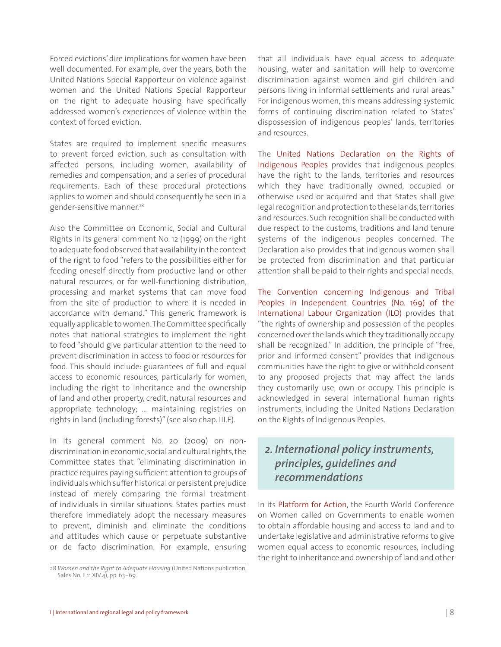Forced evictions' dire implications for women have been well documented. For example, over the years, both the United Nations Special Rapporteur on violence against women and the United Nations Special Rapporteur on the right to adequate housing have specifically addressed women's experiences of violence within the context of forced eviction.

States are required to implement specific measures to prevent forced eviction, such as consultation with affected persons, including women, availability of remedies and compensation, and a series of procedural requirements. Each of these procedural protections applies to women and should consequently be seen in a gender-sensitive manner.<sup>28</sup>

Also the Committee on Economic, Social and Cultural Rights in its general comment No. 12 (1999) on the right to adequate food observed that availability in the context of the right to food "refers to the possibilities either for feeding oneself directly from productive land or other natural resources, or for well-functioning distribution, processing and market systems that can move food from the site of production to where it is needed in accordance with demand." This generic framework is equally applicable to women. The Committee specifically notes that national strategies to implement the right to food "should give particular attention to the need to prevent discrimination in access to food or resources for food. This should include: guarantees of full and equal access to economic resources, particularly for women, including the right to inheritance and the ownership of land and other property, credit, natural resources and appropriate technology; … maintaining registries on rights in land (including forests)" (see also chap. III.E).

In its general comment No. 20 (2009) on nondiscrimination in economic, social and cultural rights, the Committee states that "eliminating discrimination in practice requires paying sufficient attention to groups of individuals which suffer historical or persistent prejudice instead of merely comparing the formal treatment of individuals in similar situations. States parties must therefore immediately adopt the necessary measures to prevent, diminish and eliminate the conditions and attitudes which cause or perpetuate substantive or de facto discrimination. For example, ensuring that all individuals have equal access to adequate housing, water and sanitation will help to overcome discrimination against women and girl children and persons living in informal settlements and rural areas." For indigenous women, this means addressing systemic forms of continuing discrimination related to States' dispossession of indigenous peoples' lands, territories and resources.

The United Nations Declaration on the Rights of Indigenous Peoples provides that indigenous peoples have the right to the lands, territories and resources which they have traditionally owned, occupied or otherwise used or acquired and that States shall give legal recognition and protection to these lands, territories and resources. Such recognition shall be conducted with due respect to the customs, traditions and land tenure systems of the indigenous peoples concerned. The Declaration also provides that indigenous women shall be protected from discrimination and that particular attention shall be paid to their rights and special needs.

The Convention concerning Indigenous and Tribal Peoples in Independent Countries (No. 169) of the International Labour Organization (ILO) provides that "the rights of ownership and possession of the peoples concerned over the lands which they traditionally occupy shall be recognized." In addition, the principle of "free, prior and informed consent" provides that indigenous communities have the right to give or withhold consent to any proposed projects that may affect the lands they customarily use, own or occupy. This principle is acknowledged in several international human rights instruments, including the United Nations Declaration on the Rights of Indigenous Peoples.

#### *2. International policy instruments, principles, guidelines and recommendations*

In its Platform for Action, the Fourth World Conference on Women called on Governments to enable women to obtain affordable housing and access to land and to undertake legislative and administrative reforms to give women equal access to economic resources, including the right to inheritance and ownership of land and other

<sup>28</sup> *Women and the Right to Adequate Housing* (United Nations publication, Sales No. E.11.XIV.4), pp. 63–69.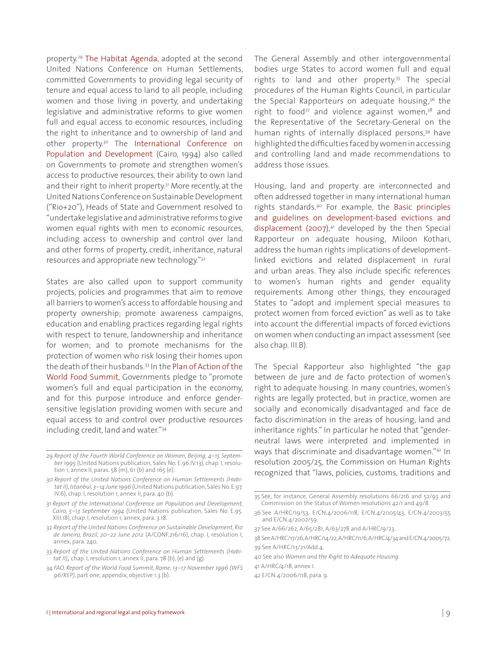property.29 The Habitat Agenda, adopted at the second United Nations Conference on Human Settlements, committed Governments to providing legal security of tenure and equal access to land to all people, including women and those living in poverty, and undertaking legislative and administrative reforms to give women full and equal access to economic resources, including the right to inheritance and to ownership of land and other property.<sup>30</sup> The International Conference on Population and Development (Cairo, 1994) also called on Governments to promote and strengthen women's access to productive resources, their ability to own land and their right to inherit property.<sup>31</sup> More recently, at the United Nations Conference on Sustainable Development ("Rio+20"), Heads of State and Government resolved to "undertake legislative and administrative reforms to give women equal rights with men to economic resources, including access to ownership and control over land and other forms of property, credit, inheritance, natural resources and appropriate new technology."32

States are also called upon to support community projects, policies and programmes that aim to remove all barriers to women's access to affordable housing and property ownership; promote awareness campaigns, education and enabling practices regarding legal rights with respect to tenure, landownership and inheritance for women; and to promote mechanisms for the protection of women who risk losing their homes upon the death of their husbands.33 In the Plan of Action of the World Food Summit, Governments pledge to "promote women's full and equal participation in the economy, and for this purpose introduce and enforce gendersensitive legislation providing women with secure and equal access to and control over productive resources including credit, land and water."34

The General Assembly and other intergovernmental bodies urge States to accord women full and equal rights to land and other property.35 The special procedures of the Human Rights Council, in particular the Special Rapporteurs on adequate housing, $36$  the right to food<sup>37</sup> and violence against women, $3^8$  and the Representative of the Secretary-General on the human rights of internally displaced persons,<sup>39</sup> have highlighted the difficulties faced by women in accessing and controlling land and made recommendations to address those issues.

Housing, land and property are interconnected and often addressed together in many international human rights standards.40 For example, the Basic principles and guidelines on development-based evictions and displacement (2007), 41 developed by the then Special Rapporteur on adequate housing, Miloon Kothari, address the human rights implications of developmentlinked evictions and related displacement in rural and urban areas. They also include specific references to women's human rights and gender equality requirements. Among other things, they encouraged States to "adopt and implement special measures to protect women from forced eviction" as well as to take into account the differential impacts of forced evictions on women when conducting an impact assessment (see also chap. III.B).

The Special Rapporteur also highlighted "the gap between de jure and de facto protection of women's right to adequate housing. In many countries, women's rights are legally protected, but in practice, women are socially and economically disadvantaged and face de facto discrimination in the areas of housing, land and inheritance rights." In particular he noted that "genderneutral laws were interpreted and implemented in ways that discriminate and disadvantage women."42 In resolution 2005/25, the Commission on Human Rights recognized that "laws, policies, customs, traditions and

<sup>29</sup> *Report of the Fourth World Conference on Women, Beijing, 4–15 September 1995* (United Nations publication, Sales No. E.96.IV.13), chap. I, resolution 1, annex II, paras. 58 (m), 61 (b) and 165 (e).

<sup>30</sup> *Report of the United Nations Conference on Human Settlements (HabitatII), Istanbul, 3–14 June 1996* (United Nations publication, Sales No.E.97. IV.6), chap. I, resolution 1, annex II, para. 40 (b).

<sup>31</sup> *Report of the International Conference on Population and Development, Cairo, 5–13 September 1994* (United Nations publication, Sales No. E.95. XIII.18), chap. I, resolution 1, annex, para. 3.18.

<sup>32</sup> *Report of the United Nations Conference on Sustainable Development, Rio de Janeiro, Brazil, 20–22 June 2012* (A/CONF.216/16), chap. I, resolution I, annex, para. 240.

<sup>33</sup> *Report of the United Nations Conference on Human Settlements (Habitat II)*, chap. I, resolution 1, annex II, para. 78 (b), (e) and (g).

<sup>34</sup> *FAO, Report of the World Food Summit, Rome, 13–17 November 1996 (WFS 96/REP)*, part one, appendix, objective 1.3 (b).

<sup>35</sup> See, for instance, General Assembly resolutions 66/216 and 52/93 and Commission on the Status of Women resolutions 42/1 and 49/8.

<sup>36</sup> See A/HRC/19/53, E/CN.4/2006/118, E/CN.4/2005/43, E/CN.4/2003/55 and E/CN.4/2002/59.

<sup>37</sup> See A/66/262, A/65/281, A/63/278 and A/HRC/9/23.

<sup>38</sup> See A/HRC/17/26, A/HRC/14/22, A/HRC/11/6, A/HRC/4/34 and E/CN.4/2005/72. 39 See A/HRC/13/21/Add.4.

<sup>40</sup> See also *Women and the Right to Adequate Housing*.

<sup>41</sup> A/HRC/4/18, annex I.

<sup>42</sup> E/CN.4/2006/118, para. 9.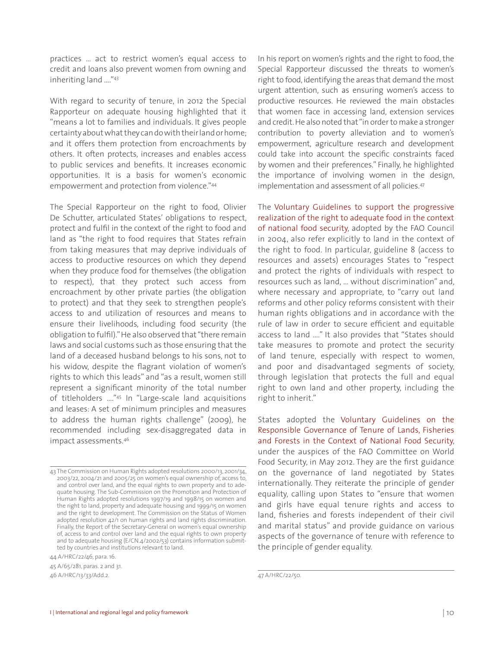practices … act to restrict women's equal access to credit and loans also prevent women from owning and inheriting land …."43

With regard to security of tenure, in 2012 the Special Rapporteur on adequate housing highlighted that it "means a lot to families and individuals. It gives people certainty about what they can do with their land or home; and it offers them protection from encroachments by others. It often protects, increases and enables access to public services and benefits. It increases economic opportunities. It is a basis for women's economic empowerment and protection from violence."44

The Special Rapporteur on the right to food, Olivier De Schutter, articulated States' obligations to respect, protect and fulfil in the context of the right to food and land as "the right to food requires that States refrain from taking measures that may deprive individuals of access to productive resources on which they depend when they produce food for themselves (the obligation to respect), that they protect such access from encroachment by other private parties (the obligation to protect) and that they seek to strengthen people's access to and utilization of resources and means to ensure their livelihoods, including food security (the obligation to fulfil)." He also observed that "there remain laws and social customs such as those ensuring that the land of a deceased husband belongs to his sons, not to his widow, despite the flagrant violation of women's rights to which this leads" and "as a result, women still represent a significant minority of the total number of titleholders …."45 In "Large-scale land acquisitions and leases: A set of minimum principles and measures to address the human rights challenge" (2009), he recommended including sex-disaggregated data in impact assessments.46

44 A/HRC/22/46, para. 16.

45 A/65/281, paras. 2 and 31.

46 A/HRC/13/33/Add.2.

In his report on women's rights and the right to food, the Special Rapporteur discussed the threats to women's right to food, identifying the areas that demand the most urgent attention, such as ensuring women's access to productive resources. He reviewed the main obstacles that women face in accessing land, extension services and credit. He also noted that "in order to make a stronger contribution to poverty alleviation and to women's empowerment, agriculture research and development could take into account the specific constraints faced by women and their preferences." Finally, he highlighted the importance of involving women in the design, implementation and assessment of all policies.<sup>47</sup>

The Voluntary Guidelines to support the progressive realization of the right to adequate food in the context of national food security, adopted by the FAO Council in 2004, also refer explicitly to land in the context of the right to food. In particular, guideline 8 (access to resources and assets) encourages States to "respect and protect the rights of individuals with respect to resources such as land, … without discrimination" and, where necessary and appropriate, to "carry out land reforms and other policy reforms consistent with their human rights obligations and in accordance with the rule of law in order to secure efficient and equitable access to land …." It also provides that "States should take measures to promote and protect the security of land tenure, especially with respect to women, and poor and disadvantaged segments of society, through legislation that protects the full and equal right to own land and other property, including the right to inherit."

States adopted the Voluntary Guidelines on the Responsible Governance of Tenure of Lands, Fisheries and Forests in the Context of National Food Security, under the auspices of the FAO Committee on World Food Security, in May 2012. They are the first guidance on the governance of land negotiated by States internationally. They reiterate the principle of gender equality, calling upon States to "ensure that women and girls have equal tenure rights and access to land, fisheries and forests independent of their civil and marital status" and provide guidance on various aspects of the governance of tenure with reference to the principle of gender equality.

<sup>43</sup> The Commission on Human Rights adopted resolutions 2000/13, 2001/34, 2003/22, 2004/21 and 2005/25 on women's equal ownership of, access to, and control over land, and the equal rights to own property and to adequate housing. The Sub-Commission on the Promotion and Protection of Human Rights adopted resolutions 1997/19 and 1998/15 on women and the right to land, property and adequate housing and 1999/15 on women and the right to development. The Commission on the Status of Women adopted resolution 42/1 on human rights and land rights discrimination. Finally, the Report of the Secretary-General on women's equal ownership of, access to and control over land and the equal rights to own property and to adequate housing (E/CN.4/2002/53) contains information submitted by countries and institutions relevant to land.

<sup>47</sup> A/HRC/22/50.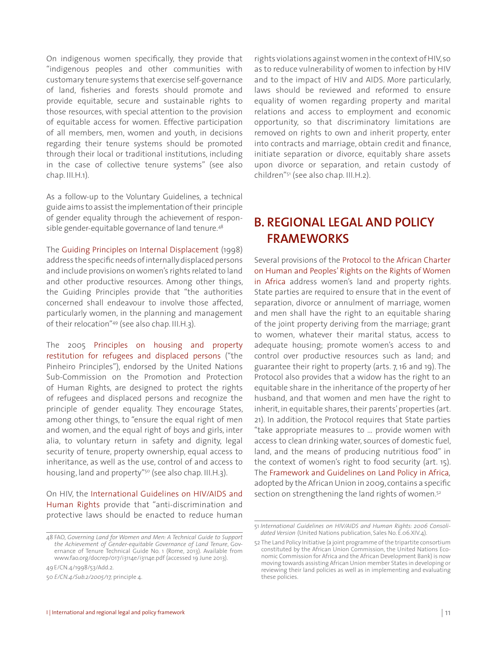On indigenous women specifically, they provide that "indigenous peoples and other communities with customary tenure systems that exercise self-governance of land, fisheries and forests should promote and provide equitable, secure and sustainable rights to those resources, with special attention to the provision of equitable access for women. Effective participation of all members, men, women and youth, in decisions regarding their tenure systems should be promoted through their local or traditional institutions, including in the case of collective tenure systems" (see also chap. III.H.1).

As a follow-up to the Voluntary Guidelines, a technical guide aims to assist the implementation of their principle of gender equality through the achievement of responsible gender-equitable governance of land tenure.<sup>48</sup>

The Guiding Principles on Internal Displacement (1998) address the specific needs of internally displaced persons and include provisions on women's rights related to land and other productive resources. Among other things, the Guiding Principles provide that "the authorities concerned shall endeavour to involve those affected, particularly women, in the planning and management of their relocation"49 (see also chap. III.H.3).

The 2005 Principles on housing and property restitution for refugees and displaced persons ("the Pinheiro Principles"), endorsed by the United Nations Sub-Commission on the Promotion and Protection of Human Rights, are designed to protect the rights of refugees and displaced persons and recognize the principle of gender equality. They encourage States, among other things, to "ensure the equal right of men and women, and the equal right of boys and girls, inter alia, to voluntary return in safety and dignity, legal security of tenure, property ownership, equal access to inheritance, as well as the use, control of and access to housing, land and property"<sup>50</sup> (see also chap. III.H.3).

On HIV, the International Guidelines on HIV/AIDS and Human Rights provide that "anti-discrimination and protective laws should be enacted to reduce human

49E/CN.4/1998/53/Add.2.

rights violations against women in the context of HIV, so as to reduce vulnerability of women to infection by HIV and to the impact of HIV and AIDS. More particularly, laws should be reviewed and reformed to ensure equality of women regarding property and marital relations and access to employment and economic opportunity, so that discriminatory limitations are removed on rights to own and inherit property, enter into contracts and marriage, obtain credit and finance, initiate separation or divorce, equitably share assets upon divorce or separation, and retain custody of children"51 (see also chap. III.H.2).

## **B. REGIONAL LEGAL AND POLICY FRAMEWORKS**

Several provisions of the Protocol to the African Charter on Human and Peoples' Rights on the Rights of Women in Africa address women's land and property rights. State parties are required to ensure that in the event of separation, divorce or annulment of marriage, women and men shall have the right to an equitable sharing of the joint property deriving from the marriage; grant to women, whatever their marital status, access to adequate housing; promote women's access to and control over productive resources such as land; and guarantee their right to property (arts. 7, 16 and 19). The Protocol also provides that a widow has the right to an equitable share in the inheritance of the property of her husband, and that women and men have the right to inherit, in equitable shares, their parents' properties (art. 21). In addition, the Protocol requires that State parties "take appropriate measures to … provide women with access to clean drinking water, sources of domestic fuel, land, and the means of producing nutritious food" in the context of women's right to food security (art. 15). The Framework and Guidelines on Land Policy in Africa*,* adopted by the African Union in 2009, contains a specific section on strengthening the land rights of women.<sup>52</sup>

<sup>48</sup> FAO*, Governing Land for Women and Men: A Technical Guide to Support the Achievement of Gender-equitable Governance of Land Tenure*, Governance of Tenure Technical Guide No. 1 (Rome, 2013). Available from www.fao.org/docrep/017/i3114e/i3114e.pdf (accessed 19 June 2013).

<sup>50</sup> *E/CN.4/Sub.2/2005/17,* principle 4.

<sup>51</sup> *International Guidelines on HIV/AIDS and Human Rights: 2006 Consolidated Version* (United Nations publication, Sales No. E.06.XIV.4).

<sup>52</sup> The Land Policy Initiative (a joint programme of the tripartite consortium constituted by the African Union Commission, the United Nations Economic Commission for Africa and the African Development Bank) is now moving towards assisting African Union member States in developing or reviewing their land policies as well as in implementing and evaluating these policies.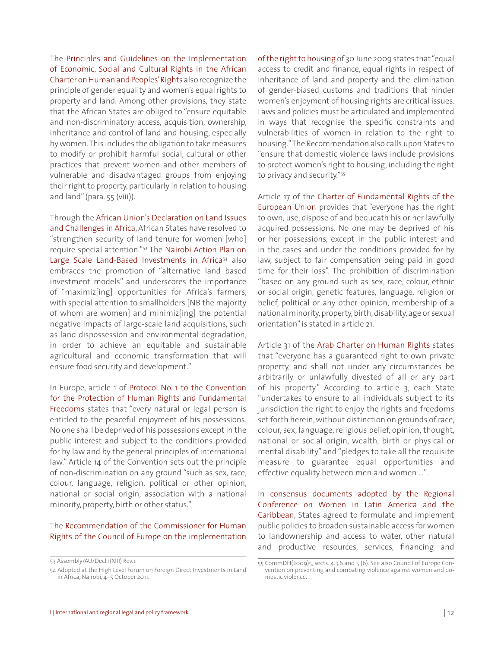The Principles and Guidelines on the Implementation of Economic, Social and Cultural Rights in the African Charter on Human and Peoples' Rights also recognize the principle of gender equality and women's equal rights to property and land. Among other provisions, they state that the African States are obliged to "ensure equitable and non-discriminatory access, acquisition, ownership, inheritance and control of land and housing, especially by women. This includes the obligation to take measures to modify or prohibit harmful social, cultural or other practices that prevent women and other members of vulnerable and disadvantaged groups from enjoying their right to property, particularly in relation to housing and land" (para. 55 (viii)).

Through the African Union's Declaration on Land Issues and Challenges in Africa, African States have resolved to "strengthen security of land tenure for women [who] require special attention."53 The Nairobi Action Plan on Large Scale Land-Based Investments in Africa<sup>54</sup> also embraces the promotion of "alternative land based investment models" and underscores the importance of "maximiz[ing] opportunities for Africa's farmers, with special attention to smallholders [NB the majority of whom are women] and minimiz[ing] the potential negative impacts of large-scale land acquisitions, such as land dispossession and environmental degradation, in order to achieve an equitable and sustainable agricultural and economic transformation that will ensure food security and development."

In Europe, article 1 of Protocol No. 1 to the Convention for the Protection of Human Rights and Fundamental Freedoms states that "every natural or legal person is entitled to the peaceful enjoyment of his possessions. No one shall be deprived of his possessions except in the public interest and subject to the conditions provided for by law and by the general principles of international law." Article 14 of the Convention sets out the principle of non-discrimination on any ground "such as sex, race, colour, language, religion, political or other opinion, national or social origin, association with a national minority, property, birth or other status."

#### The Recommendation of the Commissioner for Human Rights of the Council of Europe on the implementation

of the right to housing of 30 June 2009 states that "equal access to credit and finance, equal rights in respect of inheritance of land and property and the elimination of gender-biased customs and traditions that hinder women's enjoyment of housing rights are critical issues. Laws and policies must be articulated and implemented in ways that recognise the specific constraints and vulnerabilities of women in relation to the right to housing." The Recommendation also calls upon States to "ensure that domestic violence laws include provisions to protect women's right to housing, including the right to privacy and security."55

Article 17 of the Charter of Fundamental Rights of the European Union provides that "everyone has the right to own, use, dispose of and bequeath his or her lawfully acquired possessions. No one may be deprived of his or her possessions, except in the public interest and in the cases and under the conditions provided for by law, subject to fair compensation being paid in good time for their loss". The prohibition of discrimination "based on any ground such as sex, race, colour, ethnic or social origin, genetic features, language, religion or belief, political or any other opinion, membership of a national minority, property, birth, disability, age or sexual orientation" is stated in article 21.

Article 31 of the Arab Charter on Human Rights states that "everyone has a guaranteed right to own private property, and shall not under any circumstances be arbitrarily or unlawfully divested of all or any part of his property." According to article 3, each State "undertakes to ensure to all individuals subject to its jurisdiction the right to enjoy the rights and freedoms set forth herein, without distinction on grounds of race, colour, sex, language, religious belief, opinion, thought, national or social origin, wealth, birth or physical or mental disability" and "pledges to take all the requisite measure to guarantee equal opportunities and effective equality between men and women …".

In consensus documents adopted by the Regional Conference on Women in Latin America and the Caribbean, States agreed to formulate and implement public policies to broaden sustainable access for women to landownership and access to water, other natural and productive resources, services, financing and

<sup>53</sup> Assembly/AU/Decl.1(XIII) Rev.1.

<sup>54</sup> Adopted at the High Level Forum on Foreign Direct Investments in Land in Africa, Nairobi, 4–5 October 2011.

<sup>55</sup> CommDH(2009)5, sects. 4.3.6 and 5 (6). See also Council of Europe Convention on preventing and combating violence against women and domestic violence.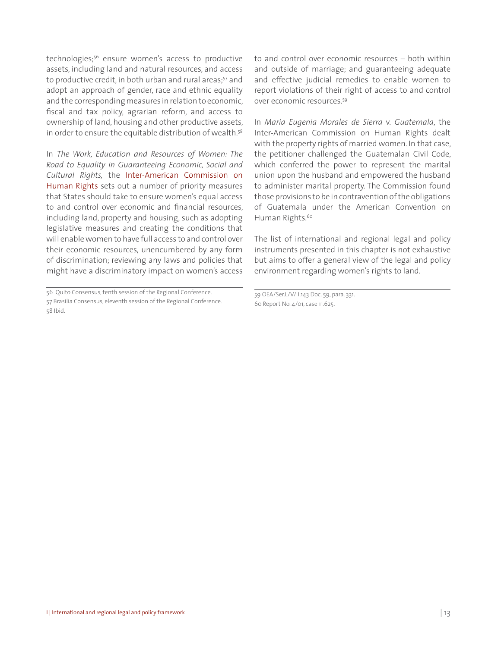technologies;56 ensure women's access to productive assets, including land and natural resources, and access to productive credit, in both urban and rural areas;<sup>57</sup> and adopt an approach of gender, race and ethnic equality and the corresponding measures in relation to economic, fiscal and tax policy, agrarian reform, and access to ownership of land, housing and other productive assets, in order to ensure the equitable distribution of wealth.<sup>58</sup>

In *The Work, Education and Resources of Women: The Road to Equality in Guaranteeing Economic, Social and Cultural Rights,* the Inter-American Commission on Human Rights sets out a number of priority measures that States should take to ensure women's equal access to and control over economic and financial resources, including land, property and housing, such as adopting legislative measures and creating the conditions that will enable women to have full access to and control over their economic resources, unencumbered by any form of discrimination; reviewing any laws and policies that might have a discriminatory impact on women's access

to and control over economic resources – both within and outside of marriage; and guaranteeing adequate and effective judicial remedies to enable women to report violations of their right of access to and control over economic resources.59

In *Maria Eugenia Morales de Sierra* v. *Guatemala*, the Inter-American Commission on Human Rights dealt with the property rights of married women. In that case, the petitioner challenged the Guatemalan Civil Code, which conferred the power to represent the marital union upon the husband and empowered the husband to administer marital property. The Commission found those provisions to be in contravention of the obligations of Guatemala under the American Convention on Human Rights.<sup>60</sup>

The list of international and regional legal and policy instruments presented in this chapter is not exhaustive but aims to offer a general view of the legal and policy environment regarding women's rights to land.

<sup>56</sup> Quito Consensus, tenth session of the Regional Conference. 57 Brasilia Consensus, eleventh session of the Regional Conference. 58 Ibid.

<sup>59</sup> OEA/Ser.L/V/II.143 Doc. 59, para. 331. 60 Report No. 4/01, case 11.625.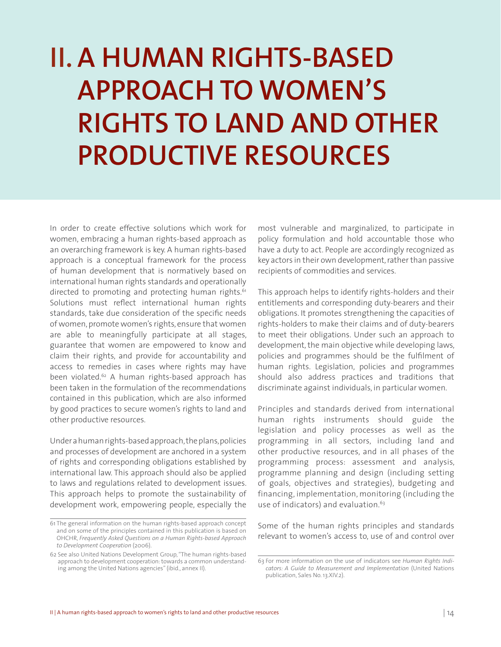# **II. A HUMAN RIGHTS-BASED APPROACH TO WOMEN'S RIGHTS TO LAND AND OTHER PRODUCTIVE RESOURCES**

In order to create effective solutions which work for women, embracing a human rights-based approach as an overarching framework is key. A human rights-based approach is a conceptual framework for the process of human development that is normatively based on international human rights standards and operationally directed to promoting and protecting human rights.<sup>61</sup> Solutions must reflect international human rights standards, take due consideration of the specific needs of women, promote women's rights, ensure that women are able to meaningfully participate at all stages, guarantee that women are empowered to know and claim their rights, and provide for accountability and access to remedies in cases where rights may have been violated.<sup>62</sup> A human rights-based approach has been taken in the formulation of the recommendations contained in this publication, which are also informed by good practices to secure women's rights to land and other productive resources.

Under a human rights-based approach, the plans, policies and processes of development are anchored in a system of rights and corresponding obligations established by international law. This approach should also be applied to laws and regulations related to development issues. This approach helps to promote the sustainability of development work, empowering people, especially the

most vulnerable and marginalized, to participate in policy formulation and hold accountable those who have a duty to act. People are accordingly recognized as key actors in their own development, rather than passive recipients of commodities and services.

This approach helps to identify rights-holders and their entitlements and corresponding duty-bearers and their obligations. It promotes strengthening the capacities of rights-holders to make their claims and of duty-bearers to meet their obligations. Under such an approach to development, the main objective while developing laws, policies and programmes should be the fulfilment of human rights. Legislation, policies and programmes should also address practices and traditions that discriminate against individuals, in particular women.

Principles and standards derived from international human rights instruments should guide the legislation and policy processes as well as the programming in all sectors, including land and other productive resources, and in all phases of the programming process: assessment and analysis, programme planning and design (including setting of goals, objectives and strategies), budgeting and financing, implementation, monitoring (including the use of indicators) and evaluation.<sup>63</sup>

Some of the human rights principles and standards relevant to women's access to, use of and control over

<sup>61</sup> The general information on the human rights-based approach concept and on some of the principles contained in this publication is based on OHCHR, *Frequently Asked Questions on a Human Rights-based Approach to Development Cooperation* (2006).

<sup>62</sup> See also United Nations Development Group, "The human rights-based approach to development cooperation: towards a common understanding among the United Nations agencies" (ibid., annex II).

<sup>63</sup> For more information on the use of indicators see *Human Rights Indicators: A Guide to Measurement and Implementation* (United Nations publication, Sales No. 13.XIV.2).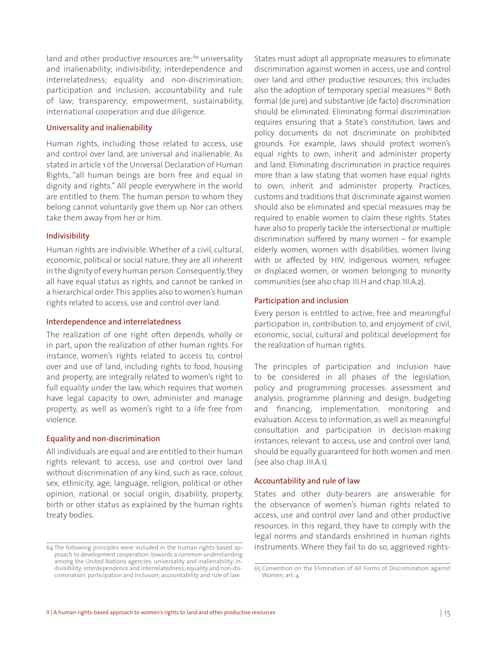land and other productive resources are:<sup>64</sup> universality and inalienability; indivisibility; interdependence and interrelatedness; equality and non-discrimination; participation and inclusion; accountability and rule of law; transparency; empowerment, sustainability, international cooperation and due diligence.

#### Universality and inalienability

Human rights, including those related to access, use and control over land, are universal and inalienable. As stated in article 1 of the Universal Declaration of Human Rights, "all human beings are born free and equal in dignity and rights." All people everywhere in the world are entitled to them. The human person to whom they belong cannot voluntarily give them up. Nor can others take them away from her or him.

#### Indivisibility

Human rights are indivisible. Whether of a civil, cultural, economic, political or social nature, they are all inherent in the dignity of every human person. Consequently, they all have equal status as rights, and cannot be ranked in a hierarchical order. This applies also to women's human rights related to access, use and control over land.

#### Interdependence and interrelatedness

The realization of one right often depends, wholly or in part, upon the realization of other human rights. For instance, women's rights related to access to, control over and use of land, including rights to food, housing and property, are integrally related to women's right to full equality under the law, which requires that women have legal capacity to own, administer and manage property, as well as women's right to a life free from violence.

#### Equality and non-discrimination

All individuals are equal and are entitled to their human rights relevant to access, use and control over land without discrimination of any kind, such as race, colour, sex, ethnicity, age, language, religion, political or other opinion, national or social origin, disability, property, birth or other status as explained by the human rights treaty bodies.

States must adopt all appropriate measures to eliminate discrimination against women in access, use and control over land and other productive resources; this includes also the adoption of temporary special measures.<sup>65</sup> Both formal (de jure) and substantive (de facto) discrimination should be eliminated. Eliminating formal discrimination requires ensuring that a State's constitution, laws and policy documents do not discriminate on prohibited grounds. For example, laws should protect women's equal rights to own, inherit and administer property and land. Eliminating discrimination in practice requires more than a law stating that women have equal rights to own, inherit and administer property. Practices, customs and traditions that discriminate against women should also be eliminated and special measures may be required to enable women to claim these rights. States have also to properly tackle the intersectional or multiple discrimination suffered by many women – for example elderly women, women with disabilities, women living with or affected by HIV, indigenous women, refugee or displaced women, or women belonging to minority communities (see also chap. III.H and chap. III.A.2).

#### Participation and inclusion

Every person is entitled to active, free and meaningful participation in, contribution to, and enjoyment of civil, economic, social, cultural and political development for the realization of human rights.

The principles of participation and inclusion have to be considered in all phases of the legislation, policy and programming processes: assessment and analysis, programme planning and design, budgeting and financing, implementation, monitoring and evaluation. Access to information, as well as meaningful consultation and participation in decision-making instances, relevant to access, use and control over land, should be equally guaranteed for both women and men (see also chap. III.A.1).

#### Accountability and rule of law

States and other duty-bearers are answerable for the observance of women's human rights related to access, use and control over land and other productive resources. In this regard, they have to comply with the legal norms and standards enshrined in human rights instruments. Where they fail to do so, aggrieved rights-

<sup>64</sup> The following principles were included in the human rights-based approach to development cooperation: towards a common understanding among the United Nations agencies: universality and inalienability; indivisibility; interdependence and interrelatedness; equality and non-discrimination; participation and inclusion; accountability and rule of law.

<sup>65</sup> Convention on the Elimination of All Forms of Discrimination against Women, art. 4.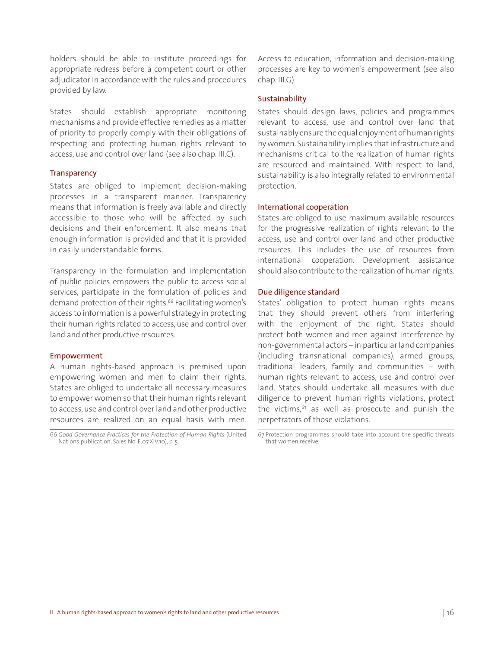holders should be able to institute proceedings for appropriate redress before a competent court or other adjudicator in accordance with the rules and procedures provided by law.

States should establish appropriate monitoring mechanisms and provide effective remedies as a matter of priority to properly comply with their obligations of respecting and protecting human rights relevant to access, use and control over land (see also chap. III.C).

#### **Transparency**

States are obliged to implement decision-making processes in a transparent manner. Transparency means that information is freely available and directly accessible to those who will be affected by such decisions and their enforcement. It also means that enough information is provided and that it is provided in easily understandable forms.

Transparency in the formulation and implementation of public policies empowers the public to access social services, participate in the formulation of policies and demand protection of their rights.<sup>66</sup> Facilitating women's access to information is a powerful strategy in protecting their human rights related to access, use and control over land and other productive resources.

#### Empowerment

A human rights-based approach is premised upon empowering women and men to claim their rights. States are obliged to undertake all necessary measures to empower women so that their human rights relevant to access, use and control over land and other productive resources are realized on an equal basis with men.

66 *Good Governance Practices for the Protection of Human Rights* (United Nations publication, Sales No. E.07.XIV.10), p. 5.

Access to education, information and decision-making processes are key to women's empowerment (see also chap. III.G).

#### Sustainability

States should design laws, policies and programmes relevant to access, use and control over land that sustainably ensure the equal enjoyment of human rights by women. Sustainability implies that infrastructure and mechanisms critical to the realization of human rights are resourced and maintained. With respect to land, sustainability is also integrally related to environmental protection.

#### International cooperation

States are obliged to use maximum available resources for the progressive realization of rights relevant to the access, use and control over land and other productive resources. This includes the use of resources from international cooperation. Development assistance should also contribute to the realization of human rights.

#### Due diligence standard

States' obligation to protect human rights means that they should prevent others from interfering with the enjoyment of the right. States should protect both women and men against interference by non-governmental actors – in particular land companies (including transnational companies), armed groups, traditional leaders, family and communities – with human rights relevant to access, use and control over land. States should undertake all measures with due diligence to prevent human rights violations, protect the victims, $67$  as well as prosecute and punish the perpetrators of those violations.

<sup>67</sup> Protection programmes should take into account the specific threats that women receive.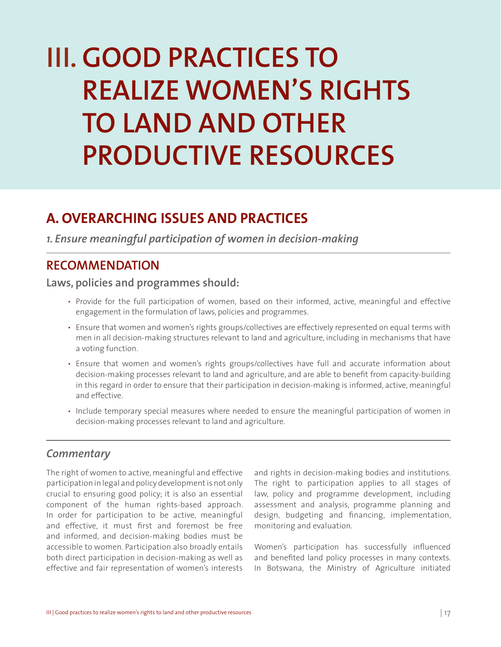# **III. GOOD PRACTICES TO REALIZE WOMEN'S RIGHTS TO LAND AND OTHER PRODUCTIVE RESOURCES**

# **A. OVERARCHING ISSUES AND PRACTICES**

*1. Ensure meaningful participation of women in decision-making* 

## **RECOMMENDATION**

**Laws, policies and programmes should:**

- Provide for the full participation of women, based on their informed, active, meaningful and effective engagement in the formulation of laws, policies and programmes.
- Ensure that women and women's rights groups/collectives are effectively represented on equal terms with men in all decision-making structures relevant to land and agriculture, including in mechanisms that have a voting function.
- Ensure that women and women's rights groups/collectives have full and accurate information about decision-making processes relevant to land and agriculture, and are able to benefit from capacity-building in this regard in order to ensure that their participation in decision-making is informed, active, meaningful and effective.
- Include temporary special measures where needed to ensure the meaningful participation of women in decision-making processes relevant to land and agriculture.

#### *Commentary*

The right of women to active, meaningful and effective participation in legal and policy development is not only crucial to ensuring good policy; it is also an essential component of the human rights-based approach. In order for participation to be active, meaningful and effective, it must first and foremost be free and informed, and decision-making bodies must be accessible to women. Participation also broadly entails both direct participation in decision-making as well as effective and fair representation of women's interests

and rights in decision-making bodies and institutions. The right to participation applies to all stages of law, policy and programme development, including assessment and analysis, programme planning and design, budgeting and financing, implementation, monitoring and evaluation.

Women's participation has successfully influenced and benefited land policy processes in many contexts. In Botswana, the Ministry of Agriculture initiated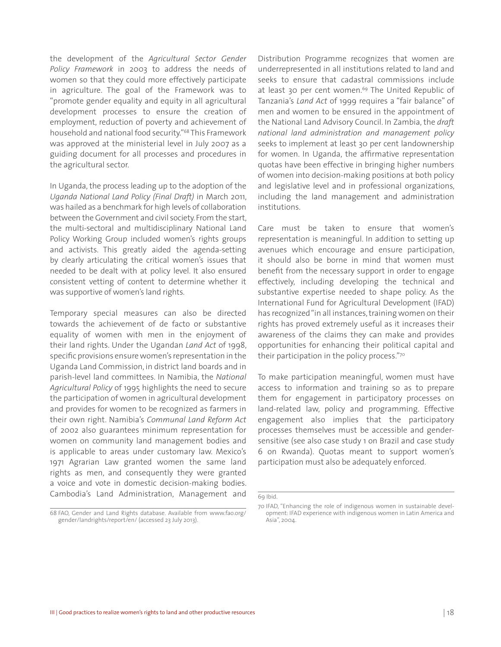the development of the *Agricultural Sector Gender Policy Framework* in 2003 to address the needs of women so that they could more effectively participate in agriculture. The goal of the Framework was to "promote gender equality and equity in all agricultural development processes to ensure the creation of employment, reduction of poverty and achievement of household and national food security."68 This Framework was approved at the ministerial level in July 2007 as a guiding document for all processes and procedures in the agricultural sector.

In Uganda, the process leading up to the adoption of the *Uganda National Land Policy (Final Draft)* in March 2011, was hailed as a benchmark for high levels of collaboration between the Government and civil society. From the start, the multi-sectoral and multidisciplinary National Land Policy Working Group included women's rights groups and activists. This greatly aided the agenda-setting by clearly articulating the critical women's issues that needed to be dealt with at policy level. It also ensured consistent vetting of content to determine whether it was supportive of women's land rights.

Temporary special measures can also be directed towards the achievement of de facto or substantive equality of women with men in the enjoyment of their land rights. Under the Ugandan *Land Act* of 1998, specific provisions ensure women's representation in the Uganda Land Commission, in district land boards and in parish-level land committees. In Namibia, the *National Agricultural Policy* of 1995 highlights the need to secure the participation of women in agricultural development and provides for women to be recognized as farmers in their own right. Namibia's *Communal Land Reform Act* of 2002 also guarantees minimum representation for women on community land management bodies and is applicable to areas under customary law. Mexico's 1971 Agrarian Law granted women the same land rights as men, and consequently they were granted a voice and vote in domestic decision-making bodies. Cambodia's Land Administration, Management and

68 FAO, Gender and Land Rights database. Available from www.fao.org/ gender/landrights/report/en/ (accessed 23 July 2013).

Distribution Programme recognizes that women are underrepresented in all institutions related to land and seeks to ensure that cadastral commissions include at least 30 per cent women.<sup>69</sup> The United Republic of Tanzania's *Land Act* of 1999 requires a "fair balance" of men and women to be ensured in the appointment of the National Land Advisory Council. In Zambia, the *draft national land administration and management policy* seeks to implement at least 30 per cent landownership for women. In Uganda, the affirmative representation quotas have been effective in bringing higher numbers of women into decision-making positions at both policy and legislative level and in professional organizations, including the land management and administration institutions.

Care must be taken to ensure that women's representation is meaningful. In addition to setting up avenues which encourage and ensure participation, it should also be borne in mind that women must benefit from the necessary support in order to engage effectively, including developing the technical and substantive expertise needed to shape policy. As the International Fund for Agricultural Development (IFAD) has recognized "in all instances, training women on their rights has proved extremely useful as it increases their awareness of the claims they can make and provides opportunities for enhancing their political capital and their participation in the policy process."70

To make participation meaningful, women must have access to information and training so as to prepare them for engagement in participatory processes on land-related law, policy and programming. Effective engagement also implies that the participatory processes themselves must be accessible and gendersensitive (see also case study 1 on Brazil and case study 6 on Rwanda). Quotas meant to support women's participation must also be adequately enforced.

<sup>69</sup> Ibid.

<sup>70</sup> IFAD, "Enhancing the role of indigenous women in sustainable development: IFAD experience with indigenous women in Latin America and Asia", 2004.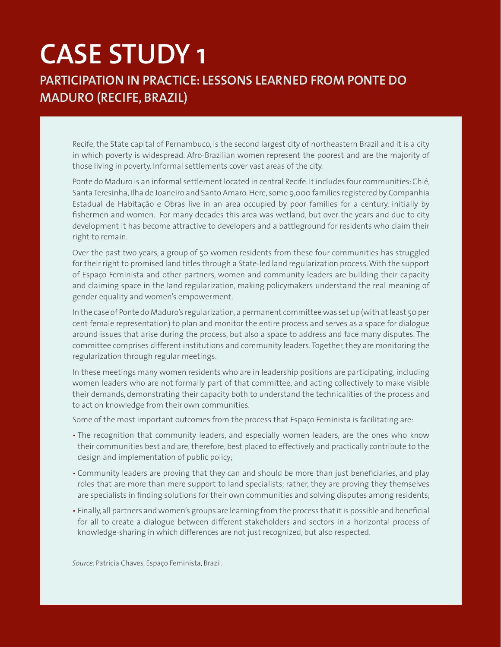# **CASE STUDY 1 PARTICIPATION IN PRACTICE: LESSONS LEARNED FROM PONTE DO MADURO (RECIFE, BRAZIL)**

Recife, the State capital of Pernambuco, is the second largest city of northeastern Brazil and it is a city in which poverty is widespread. Afro-Brazilian women represent the poorest and are the majority of those living in poverty. Informal settlements cover vast areas of the city.

Ponte do Maduro is an informal settlement located in central Recife. It includes four communities: Chié, Santa Teresinha, Ilha de Joaneiro and Santo Amaro. Here, some 9,000 families registered by Companhia Estadual de Habitação e Obras live in an area occupied by poor families for a century, initially by fishermen and women. For many decades this area was wetland, but over the years and due to city development it has become attractive to developers and a battleground for residents who claim their right to remain.

Over the past two years, a group of 50 women residents from these four communities has struggled for their right to promised land titles through a State-led land regularization process. With the support of Espaço Feminista and other partners, women and community leaders are building their capacity and claiming space in the land regularization, making policymakers understand the real meaning of gender equality and women's empowerment.

In the case of Ponte do Maduro's regularization, a permanent committee was set up (with at least 50 per cent female representation) to plan and monitor the entire process and serves as a space for dialogue around issues that arise during the process, but also a space to address and face many disputes. The committee comprises different institutions and community leaders. Together, they are monitoring the regularization through regular meetings.

In these meetings many women residents who are in leadership positions are participating, including women leaders who are not formally part of that committee, and acting collectively to make visible their demands, demonstrating their capacity both to understand the technicalities of the process and to act on knowledge from their own communities.

Some of the most important outcomes from the process that Espaço Feminista is facilitating are:

- The recognition that community leaders, and especially women leaders, are the ones who know their communities best and are, therefore, best placed to effectively and practically contribute to the design and implementation of public policy;
- Community leaders are proving that they can and should be more than just beneficiaries, and play roles that are more than mere support to land specialists; rather, they are proving they themselves are specialists in finding solutions for their own communities and solving disputes among residents;
- Finally, all partners and women's groups are learning from the process that it is possible and beneficial for all to create a dialogue between different stakeholders and sectors in a horizontal process of knowledge-sharing in which differences are not just recognized, but also respected.

*Source*: Patricia Chaves, Espaço Feminista, Brazil.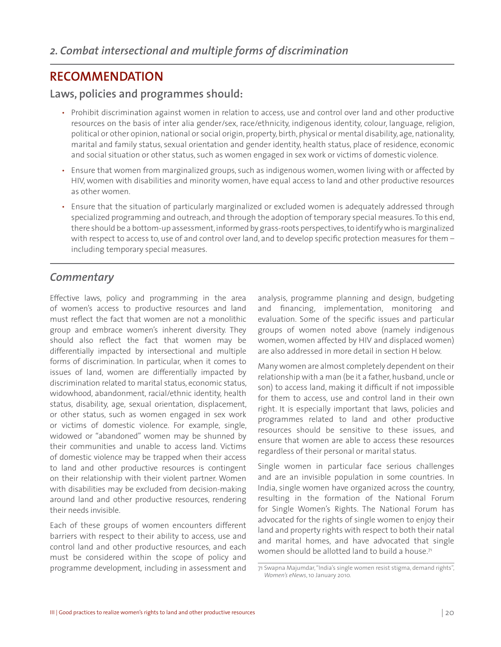## **RECOMMENDATION**

#### **Laws, policies and programmes should:**

- Prohibit discrimination against women in relation to access, use and control over land and other productive resources on the basis of inter alia gender/sex, race/ethnicity, indigenous identity, colour, language, religion, political or other opinion, national or social origin, property, birth, physical or mental disability, age, nationality, marital and family status, sexual orientation and gender identity, health status, place of residence, economic and social situation or other status, such as women engaged in sex work or victims of domestic violence.
- Ensure that women from marginalized groups, such as indigenous women, women living with or affected by HIV, women with disabilities and minority women, have equal access to land and other productive resources as other women.
- Ensure that the situation of particularly marginalized or excluded women is adequately addressed through specialized programming and outreach, and through the adoption of temporary special measures. To this end, there should be a bottom-up assessment, informed by grass-roots perspectives, to identify who is marginalized with respect to access to, use of and control over land, and to develop specific protection measures for them including temporary special measures.

#### *Commentary*

Effective laws, policy and programming in the area of women's access to productive resources and land must reflect the fact that women are not a monolithic group and embrace women's inherent diversity. They should also reflect the fact that women may be differentially impacted by intersectional and multiple forms of discrimination. In particular, when it comes to issues of land, women are differentially impacted by discrimination related to marital status, economic status, widowhood, abandonment, racial/ethnic identity, health status, disability, age, sexual orientation, displacement, or other status, such as women engaged in sex work or victims of domestic violence. For example, single, widowed or "abandoned" women may be shunned by their communities and unable to access land. Victims of domestic violence may be trapped when their access to land and other productive resources is contingent on their relationship with their violent partner. Women with disabilities may be excluded from decision-making around land and other productive resources, rendering their needs invisible.

Each of these groups of women encounters different barriers with respect to their ability to access, use and control land and other productive resources, and each must be considered within the scope of policy and programme development*,* including in assessment and

analysis, programme planning and design, budgeting and financing, implementation, monitoring and evaluation. Some of the specific issues and particular groups of women noted above (namely indigenous women, women affected by HIV and displaced women) are also addressed in more detail in section H below.

Many women are almost completely dependent on their relationship with a man (be it a father, husband, uncle or son) to access land, making it difficult if not impossible for them to access, use and control land in their own right. It is especially important that laws, policies and programmes related to land and other productive resources should be sensitive to these issues, and ensure that women are able to access these resources regardless of their personal or marital status.

Single women in particular face serious challenges and are an invisible population in some countries. In India, single women have organized across the country, resulting in the formation of the National Forum for Single Women's Rights. The National Forum has advocated for the rights of single women to enjoy their land and property rights with respect to both their natal and marital homes, and have advocated that single women should be allotted land to build a house. $7<sup>1</sup>$ 

<sup>71</sup> Swapna Majumdar, "India's single women resist stigma, demand rights", *Women's eNews*, 10 January 2010.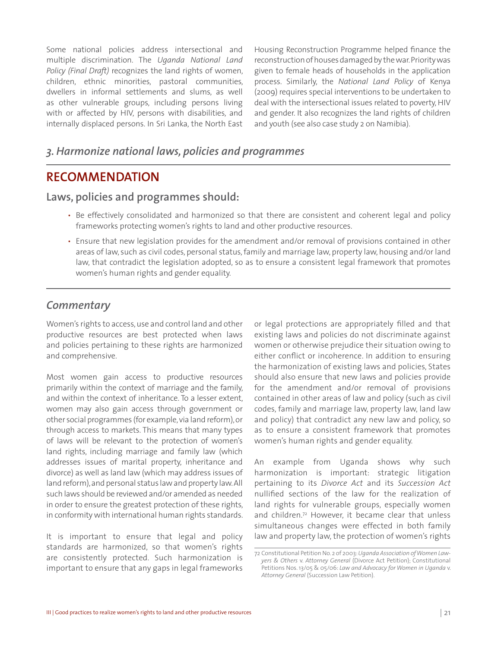Some national policies address intersectional and multiple discrimination. The *Uganda National Land Policy (Final Draft)* recognizes the land rights of women, children, ethnic minorities, pastoral communities, dwellers in informal settlements and slums, as well as other vulnerable groups, including persons living with or affected by HIV, persons with disabilities, and internally displaced persons. In Sri Lanka, the North East

Housing Reconstruction Programme helped finance the reconstruction of houses damaged by the war. Priority was given to female heads of households in the application process. Similarly, the *National Land Policy* of Kenya (2009) requires special interventions to be undertaken to deal with the intersectional issues related to poverty, HIV and gender. It also recognizes the land rights of children and youth (see also case study 2 on Namibia).

#### *3. Harmonize national laws, policies and programmes*

#### **RECOMMENDATION**

#### **Laws, policies and programmes should:**

- Be effectively consolidated and harmonized so that there are consistent and coherent legal and policy frameworks protecting women's rights to land and other productive resources.
- Ensure that new legislation provides for the amendment and/or removal of provisions contained in other areas of law, such as civil codes, personal status, family and marriage law, property law, housing and/or land law, that contradict the legislation adopted, so as to ensure a consistent legal framework that promotes women's human rights and gender equality.

#### *Commentary*

Women's rights to access, use and control land and other productive resources are best protected when laws and policies pertaining to these rights are harmonized and comprehensive.

Most women gain access to productive resources primarily within the context of marriage and the family, and within the context of inheritance. To a lesser extent, women may also gain access through government or other social programmes (for example, via land reform), or through access to markets. This means that many types of laws will be relevant to the protection of women's land rights, including marriage and family law (which addresses issues of marital property, inheritance and divorce) as well as land law (which may address issues of land reform), and personal status law and property law. All such laws should be reviewed and/or amended as needed in order to ensure the greatest protection of these rights, in conformity with international human rights standards.

It is important to ensure that legal and policy standards are harmonized, so that women's rights are consistently protected. Such harmonization is important to ensure that any gaps in legal frameworks or legal protections are appropriately filled and that existing laws and policies do not discriminate against women or otherwise prejudice their situation owing to either conflict or incoherence. In addition to ensuring the harmonization of existing laws and policies, States should also ensure that new laws and policies provide for the amendment and/or removal of provisions contained in other areas of law and policy (such as civil codes, family and marriage law, property law, land law and policy) that contradict any new law and policy, so as to ensure a consistent framework that promotes women's human rights and gender equality.

An example from Uganda shows why such harmonization is important: strategic litigation pertaining to its *Divorce Act* and its *Succession Act* nullified sections of the law for the realization of land rights for vulnerable groups, especially women and children.72 However, it became clear that unless simultaneous changes were effected in both family law and property law, the protection of women's rights

<sup>72</sup> Constitutional Petition No. 2 of 2003: *Uganda Association of Women Lawyers & Others* v. *Attorney General* (Divorce Act Petition); Constitutional Petitions Nos. 13/05 & 05/06: *Law and Advocacy for Women in Uganda* v. *Attorney General* (Succession Law Petition).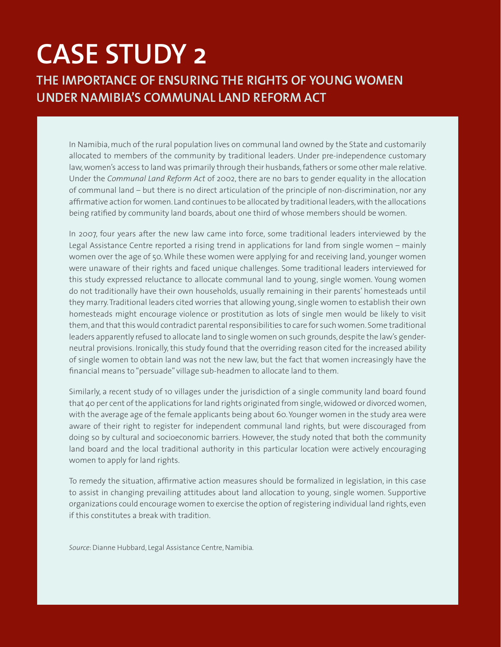# **CASE STUDY 2**

**THE IMPORTANCE OF ENSURING THE RIGHTS OF YOUNG WOMEN UNDER NAMIBIA'S COMMUNAL LAND REFORM ACT**

In Namibia, much of the rural population lives on communal land owned by the State and customarily allocated to members of the community by traditional leaders. Under pre-independence customary law, women's access to land was primarily through their husbands, fathers or some other male relative. Under the *Communal Land Reform Act* of 2002, there are no bars to gender equality in the allocation of communal land – but there is no direct articulation of the principle of non-discrimination, nor any affirmative action for women. Land continues to be allocated by traditional leaders, with the allocations being ratified by community land boards, about one third of whose members should be women.

In 2007, four years after the new law came into force, some traditional leaders interviewed by the Legal Assistance Centre reported a rising trend in applications for land from single women – mainly women over the age of 50. While these women were applying for and receiving land, younger women were unaware of their rights and faced unique challenges. Some traditional leaders interviewed for this study expressed reluctance to allocate communal land to young, single women. Young women do not traditionally have their own households, usually remaining in their parents' homesteads until they marry. Traditional leaders cited worries that allowing young, single women to establish their own homesteads might encourage violence or prostitution as lots of single men would be likely to visit them, and that this would contradict parental responsibilities to care for such women. Some traditional leaders apparently refused to allocate land to single women on such grounds, despite the law's genderneutral provisions. Ironically, this study found that the overriding reason cited for the increased ability of single women to obtain land was not the new law, but the fact that women increasingly have the financial means to "persuade" village sub-headmen to allocate land to them.

Similarly, a recent study of 10 villages under the jurisdiction of a single community land board found that 40 per cent of the applications for land rights originated from single, widowed or divorced women, with the average age of the female applicants being about 60. Younger women in the study area were aware of their right to register for independent communal land rights, but were discouraged from doing so by cultural and socioeconomic barriers. However, the study noted that both the community land board and the local traditional authority in this particular location were actively encouraging women to apply for land rights.

To remedy the situation, affirmative action measures should be formalized in legislation, in this case to assist in changing prevailing attitudes about land allocation to young, single women. Supportive organizations could encourage women to exercise the option of registering individual land rights, even if this constitutes a break with tradition.

*Source*: Dianne Hubbard, Legal Assistance Centre, Namibia*.*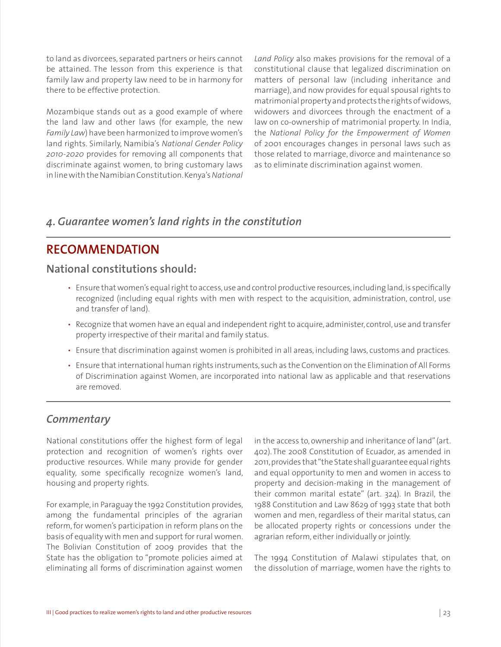to land as divorcees, separated partners or heirs cannot be attained. The lesson from this experience is that family law and property law need to be in harmony for there to be effective protection.

Mozambique stands out as a good example of where the land law and other laws (for example, the new *Family Law*) have been harmonized to improve women's land rights. Similarly, Namibia's *National Gender Policy 2010-2020* provides for removing all components that discriminate against women, to bring customary laws in line with the Namibian Constitution. Kenya's *National* 

*Land Policy* also makes provisions for the removal of a constitutional clause that legalized discrimination on matters of personal law (including inheritance and marriage), and now provides for equal spousal rights to matrimonial property and protects the rights of widows, widowers and divorcees through the enactment of a law on co-ownership of matrimonial property. In India, the *National Policy for the Empowerment of Women* of 2001 encourages changes in personal laws such as those related to marriage, divorce and maintenance so as to eliminate discrimination against women.

#### *4. Guarantee women's land rights in the constitution*

### **RECOMMENDATION**

#### **National constitutions should:**

- Ensure that women's equal right to access, use and control productive resources, including land, is specifically recognized (including equal rights with men with respect to the acquisition, administration, control, use and transfer of land).
- Recognize that women have an equal and independent right to acquire, administer, control, use and transfer property irrespective of their marital and family status.
- Ensure that discrimination against women is prohibited in all areas, including laws, customs and practices.
- Ensure that international human rights instruments, such as the Convention on the Elimination of All Forms of Discrimination against Women, are incorporated into national law as applicable and that reservations are removed.

#### *Commentary*

National constitutions offer the highest form of legal protection and recognition of women's rights over productive resources. While many provide for gender equality, some specifically recognize women's land, housing and property rights.

For example, in Paraguay the 1992 Constitution provides, among the fundamental principles of the agrarian reform, for women's participation in reform plans on the basis of equality with men and support for rural women. The Bolivian Constitution of 2009 provides that the State has the obligation to "promote policies aimed at eliminating all forms of discrimination against women

in the access to, ownership and inheritance of land" (art. 402).The 2008 Constitution of Ecuador, as amended in 2011, provides that "the State shall guarantee equal rights and equal opportunity to men and women in access to property and decision-making in the management of their common marital estate" (art. 324). In Brazil, the 1988 Constitution and Law 8629 of 1993 state that both women and men, regardless of their marital status, can be allocated property rights or concessions under the agrarian reform, either individually or jointly.

The 1994 Constitution of Malawi stipulates that, on the dissolution of marriage, women have the rights to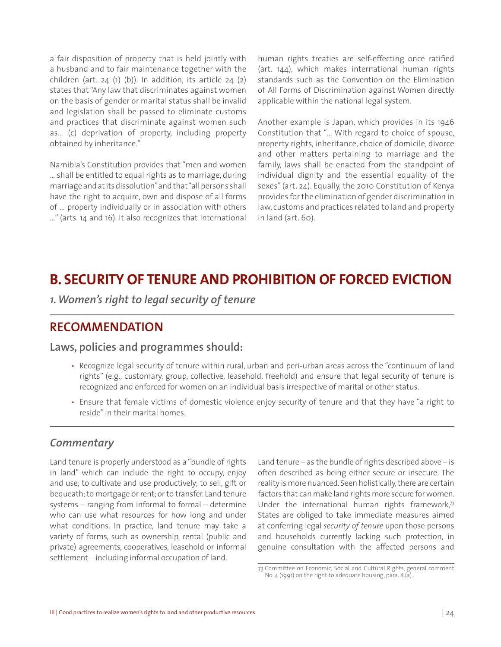a fair disposition of property that is held jointly with a husband and to fair maintenance together with the children (art. 24 $(1)$  $(b)$ ). In addition, its article 24 $(2)$ states that "Any law that discriminates against women on the basis of gender or marital status shall be invalid and legislation shall be passed to eliminate customs and practices that discriminate against women such as… (c) deprivation of property, including property obtained by inheritance."

Namibia's Constitution provides that "men and women … shall be entitled to equal rights as to marriage, during marriage and at its dissolution" and that "all persons shall have the right to acquire, own and dispose of all forms of … property individually or in association with others …" (arts. 14 and 16). It also recognizes that international human rights treaties are self-effecting once ratified (art. 144), which makes international human rights standards such as the Convention on the Elimination of All Forms of Discrimination against Women directly applicable within the national legal system.

Another example is Japan, which provides in its 1946 Constitution that "… With regard to choice of spouse, property rights, inheritance, choice of domicile, divorce and other matters pertaining to marriage and the family, laws shall be enacted from the standpoint of individual dignity and the essential equality of the sexes" (art. 24). Equally, the 2010 Constitution of Kenya provides for the elimination of gender discrimination in law, customs and practices related to land and property in land (art. 60).

# **B. SECURITY OF TENURE AND PROHIBITION OF FORCED EVICTION**

*1. Women's right to legal security of tenure* 

### **RECOMMENDATION**

#### **Laws, policies and programmes should:**

- Recognize legal security of tenure within rural, urban and peri-urban areas across the "continuum of land rights" (e.g., customary, group, collective, leasehold, freehold) and ensure that legal security of tenure is recognized and enforced for women on an individual basis irrespective of marital or other status.
- Ensure that female victims of domestic violence enjoy security of tenure and that they have "a right to reside" in their marital homes.

#### *Commentary*

Land tenure is properly understood as a "bundle of rights in land" which can include the right to occupy, enjoy and use; to cultivate and use productively; to sell, gift or bequeath; to mortgage or rent; or to transfer. Land tenure systems – ranging from informal to formal – determine who can use what resources for how long and under what conditions. In practice, land tenure may take a variety of forms, such as ownership, rental (public and private) agreements, cooperatives, leasehold or informal settlement – including informal occupation of land.

Land tenure – as the bundle of rights described above – is often described as being either secure or insecure. The reality is more nuanced. Seen holistically, there are certain factors that can make land rights more secure for women. Under the international human rights framework,<sup>73</sup> States are obliged to take immediate measures aimed at conferring legal *security of tenure* upon those persons and households currently lacking such protection, in genuine consultation with the affected persons and

<sup>73</sup> Committee on Economic, Social and Cultural Rights, general comment No. 4 (1991) on the right to adequate housing, para. 8 (a).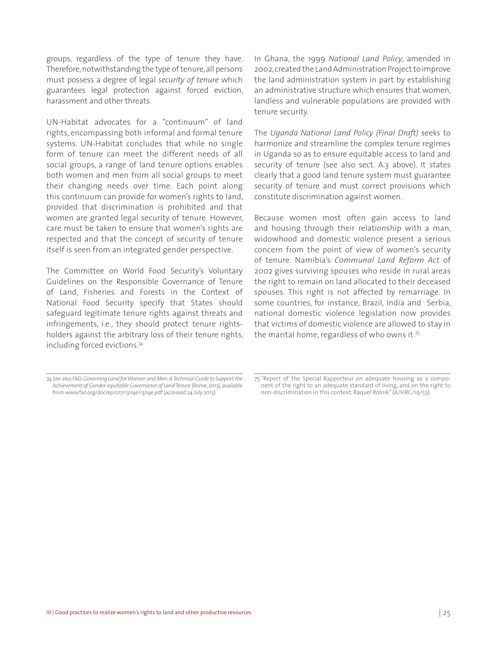groups, regardless of the type of tenure they have. Therefore, notwithstanding the type of tenure, all persons must possess a degree of legal *security of tenure* which guarantees legal protection against forced eviction, harassment and other threats.

UN-Habitat advocates for a "continuum" of land rights, encompassing both informal and formal tenure systems. UN-Habitat concludes that while no single form of tenure can meet the different needs of all social groups, a range of land tenure options enables both women and men from all social groups to meet their changing needs over time. Each point along this continuum can provide for women's rights to land, provided that discrimination is prohibited and that women are granted legal security of tenure. However, care must be taken to ensure that women's rights are respected and that the concept of security of tenure itself is seen from an integrated gender perspective.

The Committee on World Food Security's Voluntary Guidelines on the Responsible Governance of Tenure of Land, Fisheries and Forests in the Context of National Food Security specify that States should safeguard legitimate tenure rights against threats and infringements, i.e., they should protect tenure rightsholders against the arbitrary loss of their tenure rights, including forced evictions.74

In Ghana, the 1999 *National Land Policy*, amended in 2002, created the Land Administration Project to improve the land administration system in part by establishing an administrative structure which ensures that women, landless and vulnerable populations are provided with tenure security.

The *Uganda National Land Policy (Final Draft)* seeks to harmonize and streamline the complex tenure regimes in Uganda so as to ensure equitable access to land and security of tenure (see also sect. A.3 above). It states clearly that a good land tenure system must guarantee security of tenure and must correct provisions which constitute discrimination against women.

Because women most often gain access to land and housing through their relationship with a man, widowhood and domestic violence present a serious concern from the point of view of women's security of tenure. Namibia's *Communal Land Reform Act* of 2002 gives surviving spouses who reside in rural areas the right to remain on land allocated to their deceased spouses. This right is not affected by remarriage. In some countries, for instance, Brazil, India and Serbia, national domestic violence legislation now provides that victims of domestic violence are allowed to stay in the marital home, regardless of who owns it.75

<sup>74</sup> See also FAO, *Governing Land for Women and Men: A Technical Guide to Support the Achievement of Gender-equitable Governance of Land Tenure* (Rome, 2013), available from www.fao.org/docrep/017/i3114e/i3114e.pdf (accessed 24 July 2013).

<sup>75 &</sup>quot;Report of the Special Rapporteur on adequate housing as a component of the right to an adequate standard of living, and on the right to non-discrimination in this context, Raquel Rolnik" (A/HRC/19/53).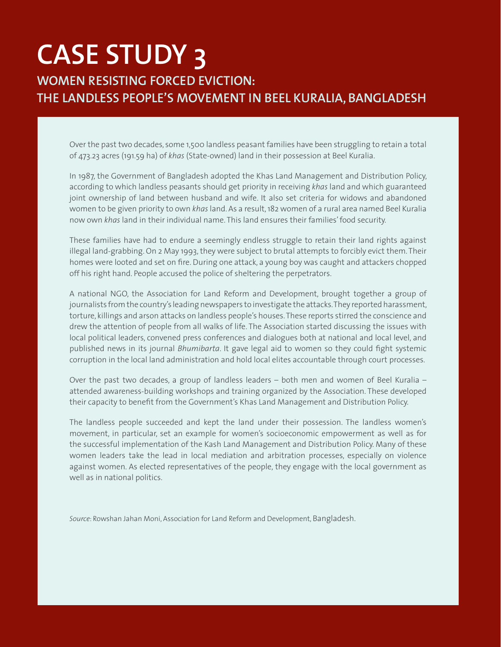# **CASE STUDY 3 WOMEN RESISTING FORCED EVICTION: THE LANDLESS PEOPLE'S MOVEMENT IN BEEL KURALIA, BANGLADESH**

Over the past two decades, some 1,500 landless peasant families have been struggling to retain a total of 473.23 acres (191.59 ha) of *khas* (State-owned) land in their possession at Beel Kuralia.

In 1987, the Government of Bangladesh adopted the Khas Land Management and Distribution Policy, according to which landless peasants should get priority in receiving *khas* land and which guaranteed joint ownership of land between husband and wife. It also set criteria for widows and abandoned women to be given priority to own *khas* land. As a result, 182 women of a rural area named Beel Kuralia now own *khas* land in their individual name. This land ensures their families' food security.

These families have had to endure a seemingly endless struggle to retain their land rights against illegal land-grabbing. On 2 May 1993, they were subject to brutal attempts to forcibly evict them. Their homes were looted and set on fire. During one attack, a young boy was caught and attackers chopped off his right hand. People accused the police of sheltering the perpetrators.

A national NGO, the Association for Land Reform and Development, brought together a group of journalists from the country's leading newspapers to investigate the attacks. They reported harassment, torture, killings and arson attacks on landless people's houses. These reports stirred the conscience and drew the attention of people from all walks of life. The Association started discussing the issues with local political leaders, convened press conferences and dialogues both at national and local level, and published news in its journal *Bhumibarta*. It gave legal aid to women so they could fight systemic corruption in the local land administration and hold local elites accountable through court processes.

Over the past two decades, a group of landless leaders – both men and women of Beel Kuralia – attended awareness-building workshops and training organized by the Association. These developed their capacity to benefit from the Government's Khas Land Management and Distribution Policy.

The landless people succeeded and kept the land under their possession. The landless women's movement, in particular, set an example for women's socioeconomic empowerment as well as for the successful implementation of the Kash Land Management and Distribution Policy. Many of these women leaders take the lead in local mediation and arbitration processes, especially on violence against women. As elected representatives of the people, they engage with the local government as well as in national politics.

*Source*: Rowshan Jahan Moni, Association for Land Reform and Development, Bangladesh.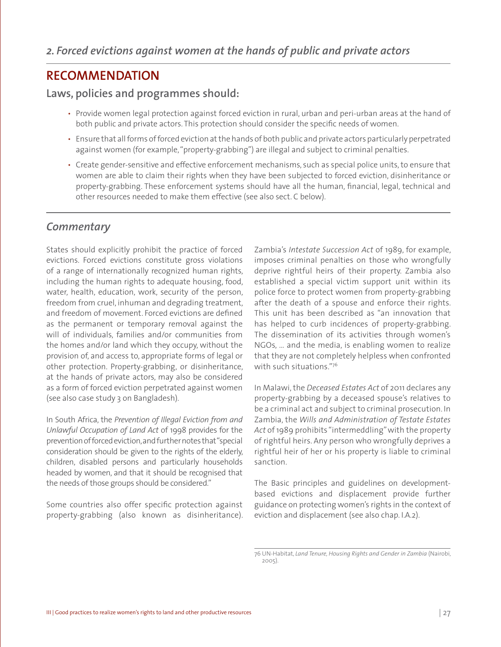### **RECOMMENDATION**

#### **Laws, policies and programmes should:**

- Provide women legal protection against forced eviction in rural, urban and peri-urban areas at the hand of both public and private actors. This protection should consider the specific needs of women.
- Ensure that all forms of forced eviction at the hands of both public and private actors particularly perpetrated against women (for example, "property-grabbing") are illegal and subject to criminal penalties.
- Create gender-sensitive and effective enforcement mechanisms, such as special police units, to ensure that women are able to claim their rights when they have been subjected to forced eviction, disinheritance or property-grabbing. These enforcement systems should have all the human, financial, legal, technical and other resources needed to make them effective (see also sect. C below).

#### *Commentary*

States should explicitly prohibit the practice of forced evictions. Forced evictions constitute gross violations of a range of internationally recognized human rights, including the human rights to adequate housing, food, water, health, education, work, security of the person, freedom from cruel, inhuman and degrading treatment, and freedom of movement. Forced evictions are defined as the permanent or temporary removal against the will of individuals, families and/or communities from the homes and/or land which they occupy, without the provision of, and access to, appropriate forms of legal or other protection. Property-grabbing, or disinheritance, at the hands of private actors, may also be considered as a form of forced eviction perpetrated against women (see also case study 3 on Bangladesh).

In South Africa, the *Prevention of Illegal Eviction from and Unlawful Occupation of Land Act* of 1998 provides for the prevention of forced eviction, and further notes that "special consideration should be given to the rights of the elderly, children, disabled persons and particularly households headed by women, and that it should be recognised that the needs of those groups should be considered."

Some countries also offer specific protection against property-grabbing (also known as disinheritance). Zambia's *Intestate Succession Act* of 1989, for example, imposes criminal penalties on those who wrongfully deprive rightful heirs of their property. Zambia also established a special victim support unit within its police force to protect women from property-grabbing after the death of a spouse and enforce their rights. This unit has been described as "an innovation that has helped to curb incidences of property-grabbing. The dissemination of its activities through women's NGOs, … and the media, is enabling women to realize that they are not completely helpless when confronted with such situations."76

In Malawi, the *Deceased Estates Act* of 2011 declares any property-grabbing by a deceased spouse's relatives to be a criminal act and subject to criminal prosecution. In Zambia, the *Wills and Administration of Testate Estates Act* of 1989 prohibits "intermeddling" with the property of rightful heirs. Any person who wrongfully deprives a rightful heir of her or his property is liable to criminal sanction.

The Basic principles and guidelines on developmentbased evictions and displacement provide further guidance on protecting women's rights in the context of eviction and displacement (see also chap. I.A.2).

<sup>76</sup> UN-Habitat, *Land Tenure, Housing Rights and Gender in Zambia* (Nairobi, 2005).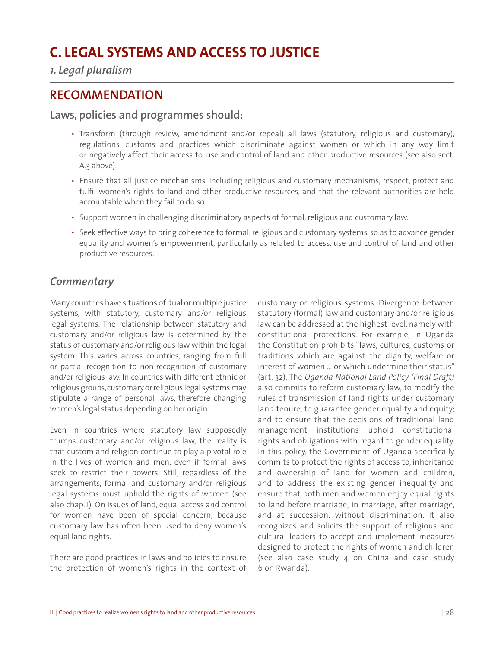# **C. LEGAL SYSTEMS AND ACCESS TO JUSTICE**

*1. Legal pluralism*

### **RECOMMENDATION**

#### **Laws, policies and programmes should:**

- Transform (through review, amendment and/or repeal) all laws (statutory, religious and customary), regulations, customs and practices which discriminate against women or which in any way limit or negatively affect their access to, use and control of land and other productive resources (see also sect. A.3 above).
- Ensure that all justice mechanisms, including religious and customary mechanisms, respect, protect and fulfil women's rights to land and other productive resources, and that the relevant authorities are held accountable when they fail to do so.
- Support women in challenging discriminatory aspects of formal, religious and customary law.
- Seek effective ways to bring coherence to formal, religious and customary systems, so as to advance gender equality and women's empowerment, particularly as related to access, use and control of land and other productive resources.

#### *Commentary*

Many countries have situations of dual or multiple justice systems, with statutory, customary and/or religious legal systems. The relationship between statutory and customary and/or religious law is determined by the status of customary and/or religious law within the legal system. This varies across countries, ranging from full or partial recognition to non-recognition of customary and/or religious law. In countries with different ethnic or religious groups, customary or religious legal systems may stipulate a range of personal laws, therefore changing women's legal status depending on her origin.

Even in countries where statutory law supposedly trumps customary and/or religious law, the reality is that custom and religion continue to play a pivotal role in the lives of women and men, even if formal laws seek to restrict their powers. Still, regardless of the arrangements, formal and customary and/or religious legal systems must uphold the rights of women (see also chap. I). On issues of land, equal access and control for women have been of special concern, because customary law has often been used to deny women's equal land rights.

There are good practices in laws and policies to ensure the protection of women's rights in the context of customary or religious systems. Divergence between statutory (formal) law and customary and/or religious law can be addressed at the highest level, namely with constitutional protections. For example, in Uganda the Constitution prohibits "laws, cultures, customs or traditions which are against the dignity, welfare or interest of women … or which undermine their status" (art. 32). The *Uganda National Land Policy (Final Draft)*  also commits to reform customary law, to modify the rules of transmission of land rights under customary land tenure, to guarantee gender equality and equity; and to ensure that the decisions of traditional land management institutions uphold constitutional rights and obligations with regard to gender equality. In this policy, the Government of Uganda specifically commits to protect the rights of access to, inheritance and ownership of land for women and children, and to address the existing gender inequality and ensure that both men and women enjoy equal rights to land before marriage, in marriage, after marriage, and at succession, without discrimination. It also recognizes and solicits the support of religious and cultural leaders to accept and implement measures designed to protect the rights of women and children (see also case study 4 on China and case study 6 on Rwanda).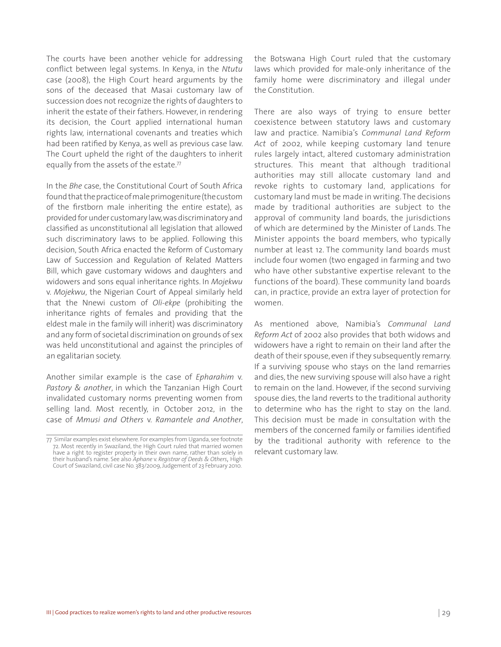The courts have been another vehicle for addressing conflict between legal systems. In Kenya, in the *Ntutu* case (2008), the High Court heard arguments by the sons of the deceased that Masai customary law of succession does not recognize the rights of daughters to inherit the estate of their fathers. However, in rendering its decision, the Court applied international human rights law, international covenants and treaties which had been ratified by Kenya, as well as previous case law. The Court upheld the right of the daughters to inherit equally from the assets of the estate.<sup>77</sup>

In the *Bhe* case, the Constitutional Court of South Africa found that the practice of male primogeniture (the custom of the firstborn male inheriting the entire estate), as provided for under customary law, was discriminatory and classified as unconstitutional all legislation that allowed such discriminatory laws to be applied. Following this decision, South Africa enacted the Reform of Customary Law of Succession and Regulation of Related Matters Bill, which gave customary widows and daughters and widowers and sons equal inheritance rights. In *Mojekwu*  v. *Mojekwu*, the Nigerian Court of Appeal similarly held that the Nnewi custom of *Oli-ekpe* (prohibiting the inheritance rights of females and providing that the eldest male in the family will inherit) was discriminatory and any form of societal discrimination on grounds of sex was held unconstitutional and against the principles of an egalitarian society.

Another similar example is the case of *Epharahim* v. *Pastory & another*, in which the Tanzanian High Court invalidated customary norms preventing women from selling land. Most recently, in October 2012, in the case of *Mmusi and Others* v. *Ramantele and Another*, the Botswana High Court ruled that the customary laws which provided for male-only inheritance of the family home were discriminatory and illegal under the Constitution.

There are also ways of trying to ensure better coexistence between statutory laws and customary law and practice. Namibia's *Communal Land Reform Act* of 2002, while keeping customary land tenure rules largely intact, altered customary administration structures. This meant that although traditional authorities may still allocate customary land and revoke rights to customary land, applications for customary land must be made in writing. The decisions made by traditional authorities are subject to the approval of community land boards, the jurisdictions of which are determined by the Minister of Lands. The Minister appoints the board members, who typically number at least 12. The community land boards must include four women (two engaged in farming and two who have other substantive expertise relevant to the functions of the board). These community land boards can, in practice, provide an extra layer of protection for women.

As mentioned above, Namibia's *Communal Land Reform Act* of 2002 also provides that both widows and widowers have a right to remain on their land after the death of their spouse, even if they subsequently remarry. If a surviving spouse who stays on the land remarries and dies, the new surviving spouse will also have a right to remain on the land. However, if the second surviving spouse dies, the land reverts to the traditional authority to determine who has the right to stay on the land. This decision must be made in consultation with the members of the concerned family or families identified by the traditional authority with reference to the relevant customary law.

<sup>77</sup> Similar examples exist elsewhere. For examples from Uganda, see footnote 72. Most recently in Swaziland, the High Court ruled that married women have a right to register property in their own name, rather than solely in their husband's name. See also *Aphane* v. *Registrar of Deeds & Others*, High Court of Swaziland, civil case No. 383/2009, Judgement of 23 February 2010.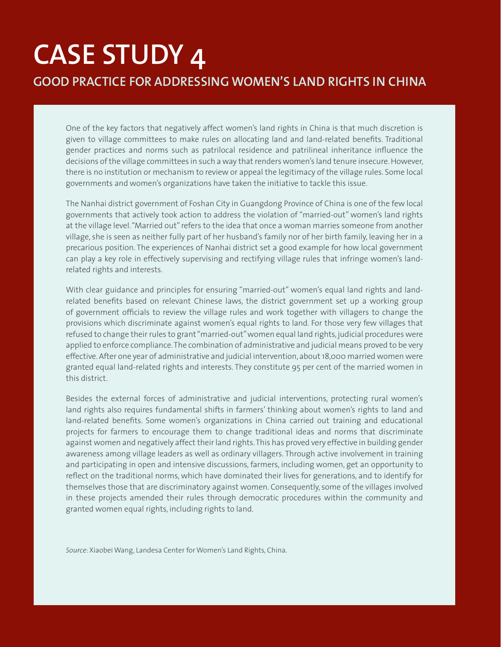# **CASE STUDY 4 GOOD PRACTICE FOR ADDRESSING WOMEN'S LAND RIGHTS IN CHINA**

One of the key factors that negatively affect women's land rights in China is that much discretion is given to village committees to make rules on allocating land and land-related benefits. Traditional gender practices and norms such as patrilocal residence and patrilineal inheritance influence the decisions of the village committees in such a way that renders women's land tenure insecure. However, there is no institution or mechanism to review or appeal the legitimacy of the village rules. Some local governments and women's organizations have taken the initiative to tackle this issue.

The Nanhai district government of Foshan City in Guangdong Province of China is one of the few local governments that actively took action to address the violation of "married-out" women's land rights at the village level. "Married out" refers to the idea that once a woman marries someone from another village, she is seen as neither fully part of her husband's family nor of her birth family, leaving her in a precarious position. The experiences of Nanhai district set a good example for how local government can play a key role in effectively supervising and rectifying village rules that infringe women's landrelated rights and interests.

With clear guidance and principles for ensuring "married-out" women's equal land rights and landrelated benefits based on relevant Chinese laws, the district government set up a working group of government officials to review the village rules and work together with villagers to change the provisions which discriminate against women's equal rights to land. For those very few villages that refused to change their rules to grant "married-out" women equal land rights, judicial procedures were applied to enforce compliance. The combination of administrative and judicial means proved to be very effective. After one year of administrative and judicial intervention, about 18,000 married women were granted equal land-related rights and interests. They constitute 95 per cent of the married women in this district.

Besides the external forces of administrative and judicial interventions, protecting rural women's land rights also requires fundamental shifts in farmers' thinking about women's rights to land and land-related benefits. Some women's organizations in China carried out training and educational projects for farmers to encourage them to change traditional ideas and norms that discriminate against women and negatively affect their land rights. This has proved very effective in building gender awareness among village leaders as well as ordinary villagers. Through active involvement in training and participating in open and intensive discussions, farmers, including women, get an opportunity to reflect on the traditional norms, which have dominated their lives for generations, and to identify for themselves those that are discriminatory against women. Consequently, some of the villages involved in these projects amended their rules through democratic procedures within the community and granted women equal rights, including rights to land.

*Source*: Xiaobei Wang, Landesa Center for Women's Land Rights, China.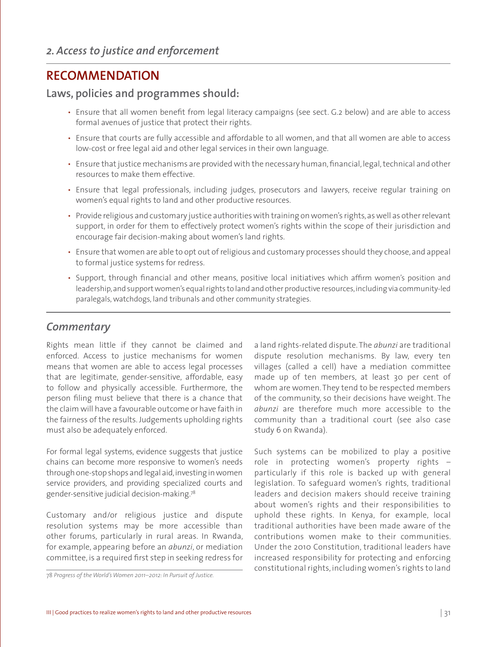### **RECOMMENDATION**

#### **Laws, policies and programmes should:**

- Ensure that all women benefit from legal literacy campaigns (see sect. G.2 below) and are able to access formal avenues of justice that protect their rights.
- Ensure that courts are fully accessible and affordable to all women, and that all women are able to access low-cost or free legal aid and other legal services in their own language.
- Ensure that justice mechanisms are provided with the necessary human, financial, legal, technical and other resources to make them effective.
- Ensure that legal professionals, including judges, prosecutors and lawyers, receive regular training on women's equal rights to land and other productive resources.
- Provide religious and customary justice authorities with training on women's rights, as well as other relevant support, in order for them to effectively protect women's rights within the scope of their jurisdiction and encourage fair decision-making about women's land rights.
- Ensure that women are able to opt out of religious and customary processes should they choose, and appeal to formal justice systems for redress.
- Support, through financial and other means, positive local initiatives which affirm women's position and leadership, and support women's equal rights to land and other productive resources, including via community-led paralegals, watchdogs, land tribunals and other community strategies.

#### *Commentary*

Rights mean little if they cannot be claimed and enforced. Access to justice mechanisms for women means that women are able to access legal processes that are legitimate, gender-sensitive, affordable, easy to follow and physically accessible. Furthermore, the person filing must believe that there is a chance that the claim will have a favourable outcome or have faith in the fairness of the results. Judgements upholding rights must also be adequately enforced.

For formal legal systems, evidence suggests that justice chains can become more responsive to women's needs through one-stop shops and legal aid, investing in women service providers, and providing specialized courts and gender-sensitive judicial decision-making.78

Customary and/or religious justice and dispute resolution systems may be more accessible than other forums, particularly in rural areas. In Rwanda, for example, appearing before an *abunzi*, or mediation committee, is a required first step in seeking redress for

a land rights-related dispute. The *abunzi* are traditional dispute resolution mechanisms. By law, every ten villages (called a cell) have a mediation committee made up of ten members, at least 30 per cent of whom are women. They tend to be respected members of the community, so their decisions have weight. The *abunzi* are therefore much more accessible to the community than a traditional court (see also case study 6 on Rwanda).

Such systems can be mobilized to play a positive role in protecting women's property rights – particularly if this role is backed up with general legislation. To safeguard women's rights, traditional leaders and decision makers should receive training about women's rights and their responsibilities to uphold these rights. In Kenya, for example, local traditional authorities have been made aware of the contributions women make to their communities. Under the 2010 Constitution, traditional leaders have increased responsibility for protecting and enforcing constitutional rights, including women's rights to land

<sup>78</sup> *Progress of the World's Women 2011–2012: In Pursuit of Justice.*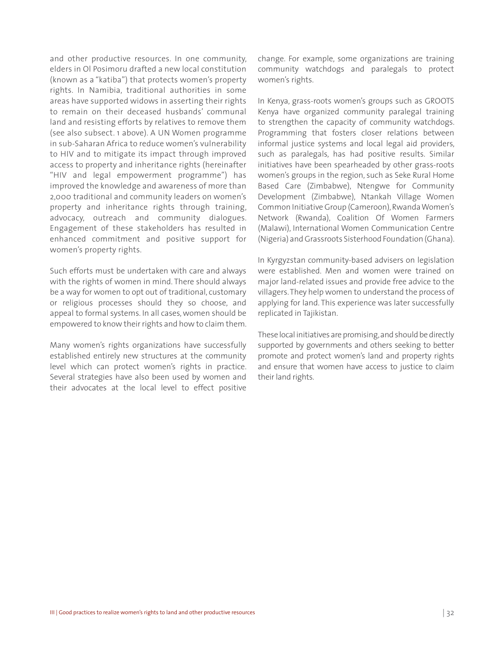and other productive resources. In one community, elders in Ol Posimoru drafted a new local constitution (known as a "katiba") that protects women's property rights. In Namibia, traditional authorities in some areas have supported widows in asserting their rights to remain on their deceased husbands' communal land and resisting efforts by relatives to remove them (see also subsect. 1 above). A UN Women programme in sub-Saharan Africa to reduce women's vulnerability to HIV and to mitigate its impact through improved access to property and inheritance rights (hereinafter "HIV and legal empowerment programme") has improved the knowledge and awareness of more than 2,000 traditional and community leaders on women's property and inheritance rights through training, advocacy, outreach and community dialogues. Engagement of these stakeholders has resulted in enhanced commitment and positive support for women's property rights.

Such efforts must be undertaken with care and always with the rights of women in mind. There should always be a way for women to opt out of traditional, customary or religious processes should they so choose, and appeal to formal systems. In all cases, women should be empowered to know their rights and how to claim them.

Many women's rights organizations have successfully established entirely new structures at the community level which can protect women's rights in practice. Several strategies have also been used by women and their advocates at the local level to effect positive

change. For example, some organizations are training community watchdogs and paralegals to protect women's rights.

In Kenya, grass-roots women's groups such as GROOTS Kenya have organized community paralegal training to strengthen the capacity of community watchdogs. Programming that fosters closer relations between informal justice systems and local legal aid providers, such as paralegals, has had positive results. Similar initiatives have been spearheaded by other grass-roots women's groups in the region, such as Seke Rural Home Based Care (Zimbabwe), Ntengwe for Community Development (Zimbabwe), Ntankah Village Women Common Initiative Group (Cameroon), Rwanda Women's Network (Rwanda), Coalition Of Women Farmers (Malawi), International Women Communication Centre (Nigeria) and Grassroots Sisterhood Foundation (Ghana).

In Kyrgyzstan community-based advisers on legislation were established. Men and women were trained on major land-related issues and provide free advice to the villagers. They help women to understand the process of applying for land. This experience was later successfully replicated in Tajikistan.

These local initiatives are promising, and should be directly supported by governments and others seeking to better promote and protect women's land and property rights and ensure that women have access to justice to claim their land rights.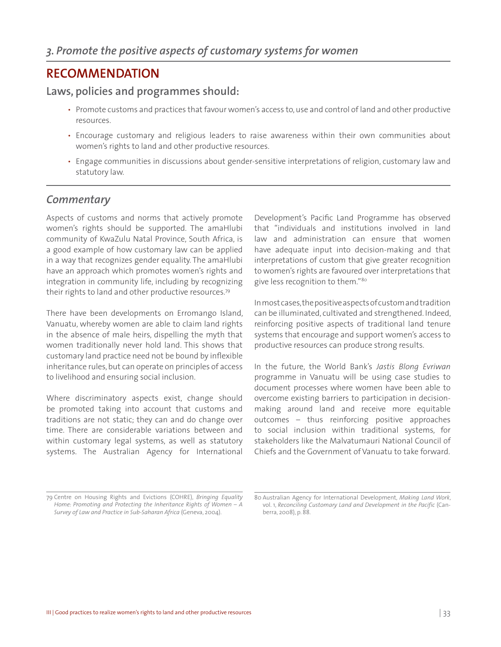## **RECOMMENDATION**

#### **Laws, policies and programmes should:**

- Promote customs and practices that favour women's access to, use and control of land and other productive resources.
- Encourage customary and religious leaders to raise awareness within their own communities about women's rights to land and other productive resources.
- Engage communities in discussions about gender-sensitive interpretations of religion, customary law and statutory law.

#### *Commentary*

Aspects of customs and norms that actively promote women's rights should be supported. The amaHlubi community of KwaZulu Natal Province, South Africa, is a good example of how customary law can be applied in a way that recognizes gender equality. The amaHlubi have an approach which promotes women's rights and integration in community life, including by recognizing their rights to land and other productive resources.<sup>79</sup>

There have been developments on Erromango Island, Vanuatu, whereby women are able to claim land rights in the absence of male heirs, dispelling the myth that women traditionally never hold land. This shows that customary land practice need not be bound by inflexible inheritance rules, but can operate on principles of access to livelihood and ensuring social inclusion.

Where discriminatory aspects exist, change should be promoted taking into account that customs and traditions are not static; they can and do change over time. There are considerable variations between and within customary legal systems, as well as statutory systems. The Australian Agency for International

Development's Pacific Land Programme has observed that "individuals and institutions involved in land law and administration can ensure that women have adequate input into decision-making and that interpretations of custom that give greater recognition to women's rights are favoured over interpretations that give less recognition to them."<sup>80</sup>

In most cases, the positive aspects of custom and tradition can be illuminated, cultivated and strengthened. Indeed, reinforcing positive aspects of traditional land tenure systems that encourage and support women's access to productive resources can produce strong results.

In the future, the World Bank's *Jastis Blong Evriwan*  programme in Vanuatu will be using case studies to document processes where women have been able to overcome existing barriers to participation in decisionmaking around land and receive more equitable outcomes – thus reinforcing positive approaches to social inclusion within traditional systems, for stakeholders like the Malvatumauri National Council of Chiefs and the Government of Vanuatu to take forward.

<sup>79</sup> Centre on Housing Rights and Evictions (COHRE), *Bringing Equality Home: Promoting and Protecting the Inheritance Rights of Women – A Survey of Law and Practice in Sub-Saharan Africa* (Geneva, 2004).

<sup>80</sup> Australian Agency for International Development, *Making Land Work*, vol. 1, *Reconciling Customary Land and Development in the Pacific* (Canberra, 2008), p. 88.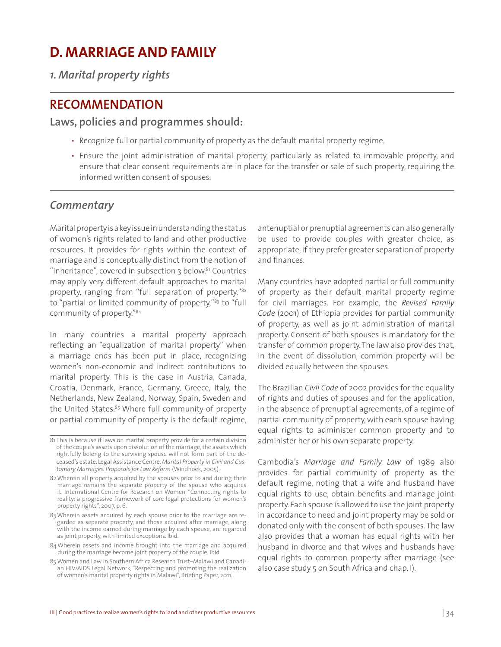## **D. MARRIAGE AND FAMILY**

*1. Marital property rights* 

### **RECOMMENDATION**

**Laws, policies and programmes should:**

- Recognize full or partial community of property as the default marital property regime.
- Ensure the joint administration of marital property, particularly as related to immovable property, and ensure that clear consent requirements are in place for the transfer or sale of such property, requiring the informed written consent of spouses.

#### *Commentary*

Marital property is a key issue in understanding the status of women's rights related to land and other productive resources. It provides for rights within the context of marriage and is conceptually distinct from the notion of "inheritance", covered in subsection  $3$  below.<sup>81</sup> Countries may apply very different default approaches to marital property, ranging from "full separation of property,"82 to "partial or limited community of property,"<sup>83</sup> to "full community of property."84

In many countries a marital property approach reflecting an "equalization of marital property" when a marriage ends has been put in place, recognizing women's non-economic and indirect contributions to marital property. This is the case in Austria, Canada, Croatia, Denmark, France, Germany, Greece, Italy, the Netherlands, New Zealand, Norway, Spain, Sweden and the United States.<sup>85</sup> Where full community of property or partial community of property is the default regime,

antenuptial or prenuptial agreements can also generally be used to provide couples with greater choice, as appropriate, if they prefer greater separation of property and finances.

Many countries have adopted partial or full community of property as their default marital property regime for civil marriages. For example, the *Revised Family Code* (2001) of Ethiopia provides for partial community of property, as well as joint administration of marital property. Consent of both spouses is mandatory for the transfer of common property. The law also provides that, in the event of dissolution, common property will be divided equally between the spouses.

The Brazilian *Civil Code* of 2002 provides for the equality of rights and duties of spouses and for the application, in the absence of prenuptial agreements, of a regime of partial community of property, with each spouse having equal rights to administer common property and to administer her or his own separate property.

Cambodia's *Marriage and Family Law* of 1989 also provides for partial community of property as the default regime, noting that a wife and husband have equal rights to use, obtain benefits and manage joint property. Each spouse is allowed to use the joint property in accordance to need and joint property may be sold or donated only with the consent of both spouses. The law also provides that a woman has equal rights with her husband in divorce and that wives and husbands have equal rights to common property after marriage (see also case study 5 on South Africa and chap. I).

<sup>81</sup> This is because if laws on marital property provide for a certain division of the couple's assets upon dissolution of the marriage, the assets which rightfully belong to the surviving spouse will not form part of the deceased's estate. Legal Assistance Centre, *Marital Property in Civil and Customary Marriages: Proposals for Law Reform* (Windhoek, 2005).

<sup>82</sup> Wherein all property acquired by the spouses prior to and during their marriage remains the separate property of the spouse who acquires it. International Centre for Research on Women, "Connecting rights to reality: a progressive framework of core legal protections for women's property rights", 2007, p. 6.

<sup>83</sup> Wherein assets acquired by each spouse prior to the marriage are regarded as separate property, and those acquired after marriage, along with the income earned during marriage by each spouse, are regarded as joint property, with limited exceptions. Ibid.

<sup>84</sup> Wherein assets and income brought into the marriage and acquired during the marriage become joint property of the couple. Ibid.

<sup>85</sup> Women and Law in Southern Africa Research Trust–Malawi and Canadian HIV/AIDS Legal Network, "Respecting and promoting the realization of women's marital property rights in Malawi", Briefing Paper, 2011.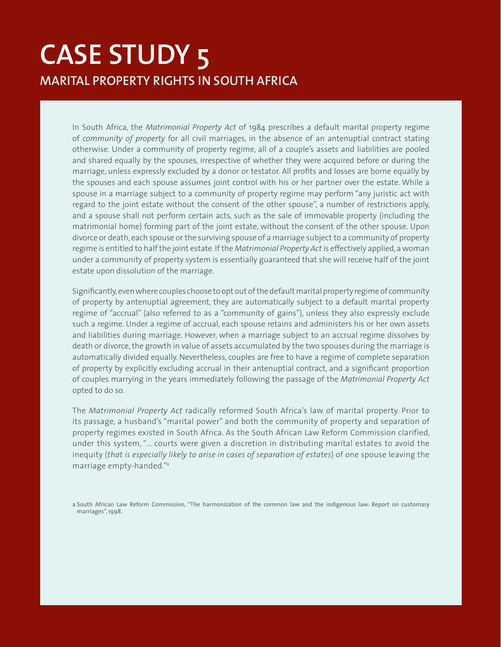# **CASE STUDY 5 MARITAL PROPERTY RIGHTS IN SOUTH AFRICA**

In South Africa, the *Matrimonial Property Act* of 1984 prescribes a default marital property regime of *community of property* for all civil marriages, in the absence of an antenuptial contract stating otherwise. Under a community of property regime, all of a couple's assets and liabilities are pooled and shared equally by the spouses, irrespective of whether they were acquired before or during the marriage, unless expressly excluded by a donor or testator. All profits and losses are borne equally by the spouses and each spouse assumes joint control with his or her partner over the estate. While a spouse in a marriage subject to a community of property regime may perform "any juristic act with regard to the joint estate without the consent of the other spouse", a number of restrictions apply, and a spouse shall not perform certain acts, such as the sale of immovable property (including the matrimonial home) forming part of the joint estate, without the consent of the other spouse. Upon divorce or death, each spouse or the surviving spouse of a marriage subject to a community of property regime is entitled to half the joint estate. If the *Matrimonial Property Act* is effectively applied, a woman under a community of property system is essentially guaranteed that she will receive half of the joint estate upon dissolution of the marriage.

Significantly, even where couples choose to opt out of the default marital property regime of community of property by antenuptial agreement, they are automatically subject to a default marital property regime of "accrual" (also referred to as a "community of gains"), unless they also expressly exclude such a regime. Under a regime of accrual, each spouse retains and administers his or her own assets and liabilities during marriage. However, when a marriage subject to an accrual regime dissolves by death or divorce, the growth in value of assets accumulated by the two spouses during the marriage is automatically divided equally. Nevertheless, couples are free to have a regime of complete separation of property by explicitly excluding accrual in their antenuptial contract, and a significant proportion of couples marrying in the years immediately following the passage of the *Matrimonial Property Act* opted to do so.

The *Matrimonial Property Act* radically reformed South Africa's law of marital property. Prior to its passage, a husband's "marital power" and both the community of property and separation of property regimes existed in South Africa. As the South African Law Reform Commission clarified, under this system, "… courts were given a discretion in distributing marital estates to avoid the inequity (*that is especially likely to arise in cases of separation of estates*) of one spouse leaving the marriage empty-handed."a

a South African Law Reform Commission, "The harmonization of the common law and the indigenous law: Report on customary marriages", 1998.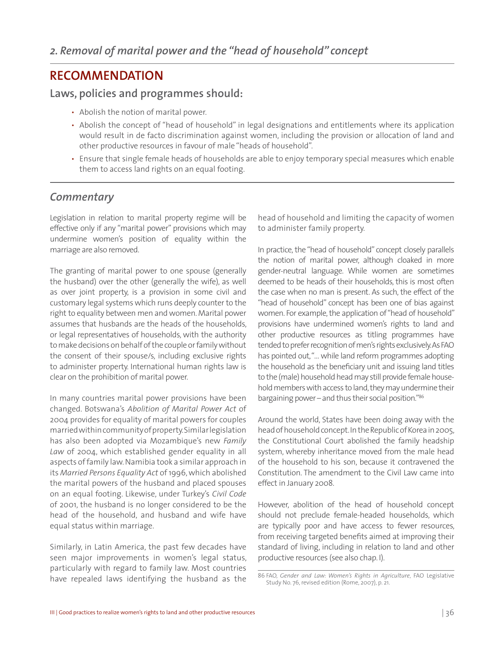### **RECOMMENDATION**

#### **Laws, policies and programmes should:**

- Abolish the notion of marital power.
- Abolish the concept of "head of household" in legal designations and entitlements where its application would result in de facto discrimination against women, including the provision or allocation of land and other productive resources in favour of male "heads of household".
- Ensure that single female heads of households are able to enjoy temporary special measures which enable them to access land rights on an equal footing.

#### *Commentary*

Legislation in relation to marital property regime will be effective only if any "marital power" provisions which may undermine women's position of equality within the marriage are also removed.

The granting of marital power to one spouse (generally the husband) over the other (generally the wife), as well as over joint property, is a provision in some civil and customary legal systems which runs deeply counter to the right to equality between men and women. Marital power assumes that husbands are the heads of the households, or legal representatives of households, with the authority to make decisions on behalf of the couple or family without the consent of their spouse/s, including exclusive rights to administer property. International human rights law is clear on the prohibition of marital power.

In many countries marital power provisions have been changed. Botswana's *Abolition of Marital Power Act* of 2004 provides for equality of marital powers for couples married within community of property. Similar legislation has also been adopted via Mozambique's new *Family Law* of 2004, which established gender equality in all aspects of family law. Namibia took a similar approach in its *Married Persons Equality Act* of 1996, which abolished the marital powers of the husband and placed spouses on an equal footing. Likewise, under Turkey's *Civil Code* of 2001, the husband is no longer considered to be the head of the household, and husband and wife have equal status within marriage.

Similarly, in Latin America, the past few decades have seen major improvements in women's legal status, particularly with regard to family law. Most countries have repealed laws identifying the husband as the

head of household and limiting the capacity of women to administer family property.

In practice, the "head of household" concept closely parallels the notion of marital power, although cloaked in more gender-neutral language. While women are sometimes deemed to be heads of their households, this is most often the case when no man is present. As such, the effect of the "head of household" concept has been one of bias against women. For example, the application of "head of household" provisions have undermined women's rights to land and other productive resources as titling programmes have tended to prefer recognition of men's rights exclusively. As FAO has pointed out, "… while land reform programmes adopting the household as the beneficiary unit and issuing land titles to the (male) household head may still provide female household members with access to land, they may undermine their bargaining power – and thus their social position."86

Around the world, States have been doing away with the head of household concept. In the Republic of Korea in 2005, the Constitutional Court abolished the family headship system, whereby inheritance moved from the male head of the household to his son, because it contravened the Constitution. The amendment to the Civil Law came into effect in January 2008.

However, abolition of the head of household concept should not preclude female-headed households, which are typically poor and have access to fewer resources, from receiving targeted benefits aimed at improving their standard of living, including in relation to land and other productive resources (see also chap. I).

<sup>86</sup> FAO, *Gender and Law: Women's Rights in Agriculture*, FAO Legislative Study No. 76, revised edition (Rome, 2007), p. 21.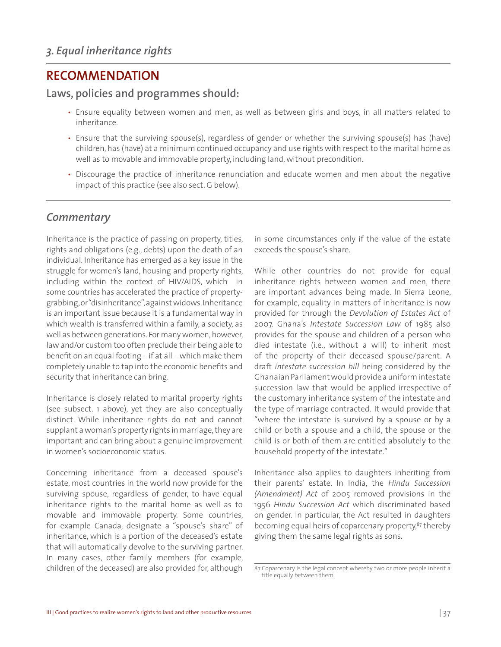#### **RECOMMENDATION**

**Laws, policies and programmes should:**

- Ensure equality between women and men, as well as between girls and boys, in all matters related to inheritance.
- Ensure that the surviving spouse(s), regardless of gender or whether the surviving spouse(s) has (have) children, has (have) at a minimum continued occupancy and use rights with respect to the marital home as well as to movable and immovable property, including land, without precondition.
- Discourage the practice of inheritance renunciation and educate women and men about the negative impact of this practice (see also sect. G below).

#### *Commentary*

Inheritance is the practice of passing on property, titles, rights and obligations (e.g., debts) upon the death of an individual. Inheritance has emerged as a key issue in the struggle for women's land, housing and property rights, including within the context of HIV/AIDS, which in some countries has accelerated the practice of propertygrabbing, or "disinheritance", against widows. Inheritance is an important issue because it is a fundamental way in which wealth is transferred within a family, a society, as well as between generations. For many women, however, law and/or custom too often preclude their being able to benefit on an equal footing – if at all – which make them completely unable to tap into the economic benefits and security that inheritance can bring.

Inheritance is closely related to marital property rights (see subsect. 1 above), yet they are also conceptually distinct. While inheritance rights do not and cannot supplant a woman's property rights in marriage, they are important and can bring about a genuine improvement in women's socioeconomic status.

Concerning inheritance from a deceased spouse's estate, most countries in the world now provide for the surviving spouse, regardless of gender, to have equal inheritance rights to the marital home as well as to movable and immovable property. Some countries, for example Canada, designate a "spouse's share" of inheritance, which is a portion of the deceased's estate that will automatically devolve to the surviving partner. In many cases, other family members (for example, children of the deceased) are also provided for, although

in some circumstances only if the value of the estate exceeds the spouse's share.

While other countries do not provide for equal inheritance rights between women and men, there are important advances being made. In Sierra Leone, for example, equality in matters of inheritance is now provided for through the *Devolution of Estates Act* of 2007. Ghana's *Intestate Succession Law* of 1985 also provides for the spouse and children of a person who died intestate (i.e., without a will) to inherit most of the property of their deceased spouse/parent. A draft *intestate succession bill* being considered by the Ghanaian Parliament would provide a uniform intestate succession law that would be applied irrespective of the customary inheritance system of the intestate and the type of marriage contracted. It would provide that "where the intestate is survived by a spouse or by a child or both a spouse and a child, the spouse or the child is or both of them are entitled absolutely to the household property of the intestate."

Inheritance also applies to daughters inheriting from their parents' estate. In India, the *Hindu Succession (Amendment) Act* of 2005 removed provisions in the 1956 *Hindu Succession Act* which discriminated based on gender. In particular, the Act resulted in daughters becoming equal heirs of coparcenary property,<sup>87</sup> thereby giving them the same legal rights as sons.

<sup>87</sup> Coparcenary is the legal concept whereby two or more people inherit a title equally between them.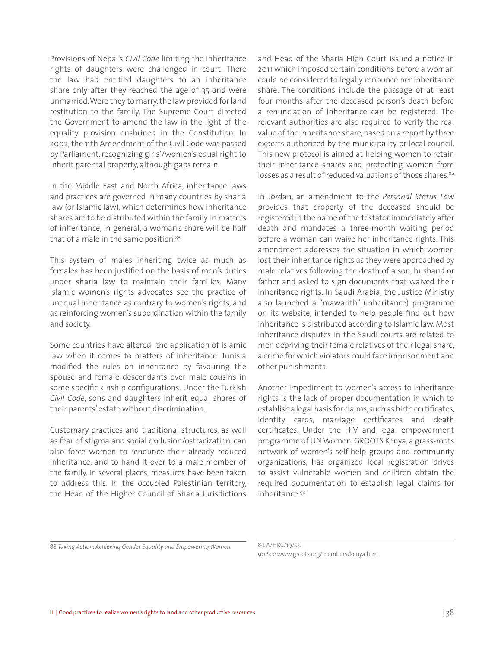Provisions of Nepal's *Civil Code* limiting the inheritance rights of daughters were challenged in court. There the law had entitled daughters to an inheritance share only after they reached the age of 35 and were unmarried. Were they to marry, the law provided for land restitution to the family. The Supreme Court directed the Government to amend the law in the light of the equality provision enshrined in the Constitution. In 2002, the 11th Amendment of the Civil Code was passed by Parliament, recognizing girls'/women's equal right to inherit parental property, although gaps remain.

In the Middle East and North Africa, inheritance laws and practices are governed in many countries by sharia law (or Islamic law), which determines how inheritance shares are to be distributed within the family. In matters of inheritance, in general, a woman's share will be half that of a male in the same position.<sup>88</sup>

This system of males inheriting twice as much as females has been justified on the basis of men's duties under sharia law to maintain their families. Many Islamic women's rights advocates see the practice of unequal inheritance as contrary to women's rights, and as reinforcing women's subordination within the family and society.

Some countries have altered the application of Islamic law when it comes to matters of inheritance. Tunisia modified the rules on inheritance by favouring the spouse and female descendants over male cousins in some specific kinship configurations. Under the Turkish *Civil Code*, sons and daughters inherit equal shares of their parents' estate without discrimination.

Customary practices and traditional structures, as well as fear of stigma and social exclusion/ostracization, can also force women to renounce their already reduced inheritance, and to hand it over to a male member of the family. In several places, measures have been taken to address this. In the occupied Palestinian territory, the Head of the Higher Council of Sharia Jurisdictions

and Head of the Sharia High Court issued a notice in 2011 which imposed certain conditions before a woman could be considered to legally renounce her inheritance share. The conditions include the passage of at least four months after the deceased person's death before a renunciation of inheritance can be registered. The relevant authorities are also required to verify the real value of the inheritance share, based on a report by three experts authorized by the municipality or local council. This new protocol is aimed at helping women to retain their inheritance shares and protecting women from losses as a result of reduced valuations of those shares.<sup>89</sup>

In Jordan, an amendment to the *Personal Status Law* provides that property of the deceased should be registered in the name of the testator immediately after death and mandates a three-month waiting period before a woman can waive her inheritance rights. This amendment addresses the situation in which women lost their inheritance rights as they were approached by male relatives following the death of a son, husband or father and asked to sign documents that waived their inheritance rights. In Saudi Arabia, the Justice Ministry also launched a "mawarith" (inheritance) programme on its website, intended to help people find out how inheritance is distributed according to Islamic law. Most inheritance disputes in the Saudi courts are related to men depriving their female relatives of their legal share, a crime for which violators could face imprisonment and other punishments.

Another impediment to women's access to inheritance rights is the lack of proper documentation in which to establish a legal basis for claims, such as birth certificates, identity cards, marriage certificates and death certificates. Under the HIV and legal empowerment programme of UN Women, GROOTS Kenya, a grass-roots network of women's self-help groups and community organizations, has organized local registration drives to assist vulnerable women and children obtain the required documentation to establish legal claims for inheritance.90

<sup>88</sup> *Taking Action: Achieving Gender Equality and Empowering Women.* 

<sup>89</sup> A/HRC/19/53. 90 See www.groots.org/members/kenya.htm.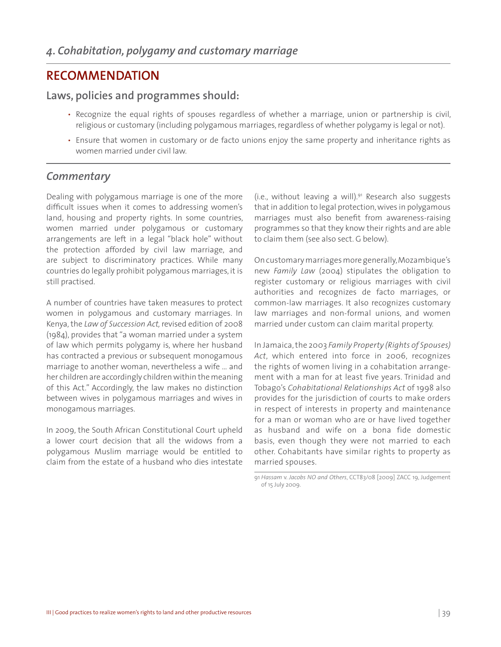#### **RECOMMENDATION**

#### **Laws, policies and programmes should:**

- Recognize the equal rights of spouses regardless of whether a marriage, union or partnership is civil, religious or customary (including polygamous marriages, regardless of whether polygamy is legal or not).
- Ensure that women in customary or de facto unions enjoy the same property and inheritance rights as women married under civil law.

#### *Commentary*

Dealing with polygamous marriage is one of the more difficult issues when it comes to addressing women's land, housing and property rights. In some countries, women married under polygamous or customary arrangements are left in a legal "black hole" without the protection afforded by civil law marriage, and are subject to discriminatory practices. While many countries do legally prohibit polygamous marriages, it is still practised.

A number of countries have taken measures to protect women in polygamous and customary marriages. In Kenya, the *Law of Succession Act,* revised edition of 2008 (1984), provides that "a woman married under a system of law which permits polygamy is, where her husband has contracted a previous or subsequent monogamous marriage to another woman, nevertheless a wife … and her children are accordingly children within the meaning of this Act." Accordingly, the law makes no distinction between wives in polygamous marriages and wives in monogamous marriages.

In 2009, the South African Constitutional Court upheld a lower court decision that all the widows from a polygamous Muslim marriage would be entitled to claim from the estate of a husband who dies intestate

(i.e., without leaving a will).91 Research also suggests that in addition to legal protection, wives in polygamous marriages must also benefit from awareness-raising programmes so that they know their rights and are able to claim them (see also sect. G below).

On customary marriages more generally, Mozambique's new *Family Law* (2004) stipulates the obligation to register customary or religious marriages with civil authorities and recognizes de facto marriages, or common-law marriages. It also recognizes customary law marriages and non-formal unions, and women married under custom can claim marital property.

In Jamaica, the 2003 *Family Property (Rights of Spouses) Act*, which entered into force in 2006, recognizes the rights of women living in a cohabitation arrangement with a man for at least five years. Trinidad and Tobago's *Cohabitational Relationships Act* of 1998 also provides for the jurisdiction of courts to make orders in respect of interests in property and maintenance for a man or woman who are or have lived together as husband and wife on a bona fide domestic basis, even though they were not married to each other. Cohabitants have similar rights to property as married spouses.

<sup>91</sup> *Hassam* v. *Jacobs NO and Others*, CCT83/08 [2009] ZACC 19, Judgement of 15 July 2009.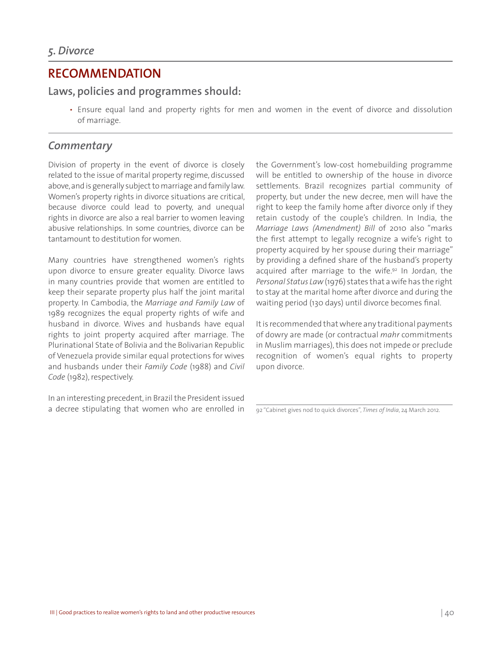### **RECOMMENDATION**

#### **Laws, policies and programmes should:**

• Ensure equal land and property rights for men and women in the event of divorce and dissolution of marriage.

#### *Commentary*

Division of property in the event of divorce is closely related to the issue of marital property regime, discussed above, and is generally subject to marriage and family law. Women's property rights in divorce situations are critical, because divorce could lead to poverty, and unequal rights in divorce are also a real barrier to women leaving abusive relationships. In some countries, divorce can be tantamount to destitution for women.

Many countries have strengthened women's rights upon divorce to ensure greater equality. Divorce laws in many countries provide that women are entitled to keep their separate property plus half the joint marital property. In Cambodia, the *Marriage and Family Law* of 1989 recognizes the equal property rights of wife and husband in divorce. Wives and husbands have equal rights to joint property acquired after marriage. The Plurinational State of Bolivia and the Bolivarian Republic of Venezuela provide similar equal protections for wives and husbands under their *Family Code* (1988) and *Civil Code* (1982), respectively.

In an interesting precedent, in Brazil the President issued a decree stipulating that women who are enrolled in the Government's low-cost homebuilding programme will be entitled to ownership of the house in divorce settlements. Brazil recognizes partial community of property, but under the new decree, men will have the right to keep the family home after divorce only if they retain custody of the couple's children. In India, the *Marriage Laws (Amendment) Bill* of 2010 also "marks the first attempt to legally recognize a wife's right to property acquired by her spouse during their marriage" by providing a defined share of the husband's property acquired after marriage to the wife. $92$  In Jordan, the *Personal Status Law* (1976) states that a wife has the right to stay at the marital home after divorce and during the waiting period (130 days) until divorce becomes final.

It is recommended that where any traditional payments of dowry are made (or contractual *mahr* commitments in Muslim marriages), this does not impede or preclude recognition of women's equal rights to property upon divorce.

<sup>92 &</sup>quot;Cabinet gives nod to quick divorces", *Times of India*, 24 March 2012.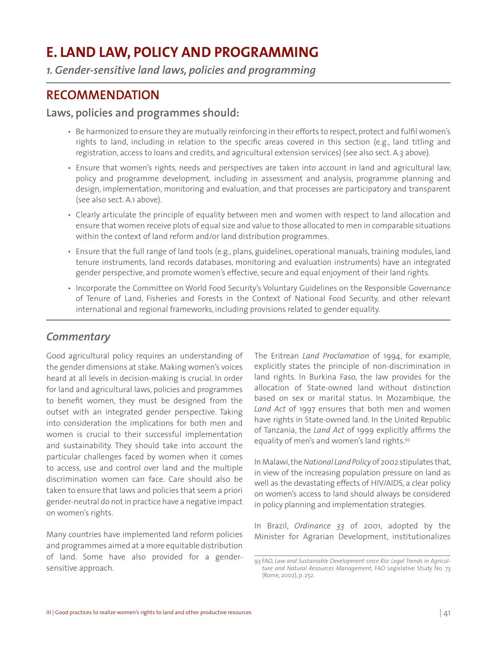# **E. LAND LAW, POLICY AND PROGRAMMING**

*1. Gender-sensitive land laws, policies and programming*

## **RECOMMENDATION**

#### **Laws, policies and programmes should:**

- Be harmonized to ensure they are mutually reinforcing in their efforts to respect, protect and fulfil women's rights to land, including in relation to the specific areas covered in this section (e.g., land titling and registration, access to loans and credits, and agricultural extension services) (see also sect. A.3 above).
- Ensure that women's rights, needs and perspectives are taken into account in land and agricultural law, policy and programme development*,* including in assessment and analysis, programme planning and design, implementation, monitoring and evaluation, and that processes are participatory and transparent (see also sect. A.1 above).
- Clearly articulate the principle of equality between men and women with respect to land allocation and ensure that women receive plots of equal size and value to those allocated to men in comparable situations within the context of land reform and/or land distribution programmes.
- Ensure that the full range of land tools (e.g., plans, guidelines, operational manuals, training modules, land tenure instruments, land records databases, monitoring and evaluation instruments) have an integrated gender perspective, and promote women's effective, secure and equal enjoyment of their land rights.
- Incorporate the Committee on World Food Security's Voluntary Guidelines on the Responsible Governance of Tenure of Land, Fisheries and Forests in the Context of National Food Security, and other relevant international and regional frameworks, including provisions related to gender equality.

#### *Commentary*

Good agricultural policy requires an understanding of the gender dimensions at stake. Making women's voices heard at all levels in decision-making is crucial. In order for land and agricultural laws, policies and programmes to benefit women, they must be designed from the outset with an integrated gender perspective. Taking into consideration the implications for both men and women is crucial to their successful implementation and sustainability. They should take into account the particular challenges faced by women when it comes to access, use and control over land and the multiple discrimination women can face. Care should also be taken to ensure that laws and policies that seem a priori gender-neutral do not in practice have a negative impact on women's rights.

Many countries have implemented land reform policies and programmes aimed at a more equitable distribution of land. Some have also provided for a gendersensitive approach.

The Eritrean *Land Proclamation* of 1994, for example, explicitly states the principle of non-discrimination in land rights. In Burkina Faso, the law provides for the allocation of State-owned land without distinction based on sex or marital status. In Mozambique, the *Land Act* of 1997 ensures that both men and women have rights in State-owned land. In the United Republic of Tanzania, the *Land Act* of 1999 explicitly affirms the equality of men's and women's land rights.93

In Malawi, the *National Land Policy* of 2002 stipulates that, in view of the increasing population pressure on land as well as the devastating effects of HIV/AIDS, a clear policy on women's access to land should always be considered in policy planning and implementation strategies.

In Brazil, *Ordinance 33* of 2001, adopted by the Minister for Agrarian Development, institutionalizes

<sup>93</sup> FAO, *Law and Sustainable Development since Rio: Legal Trends in Agriculture and Natural Resources Management,* FAO Legislative Study No. 73 (Rome, 2002), p. 252.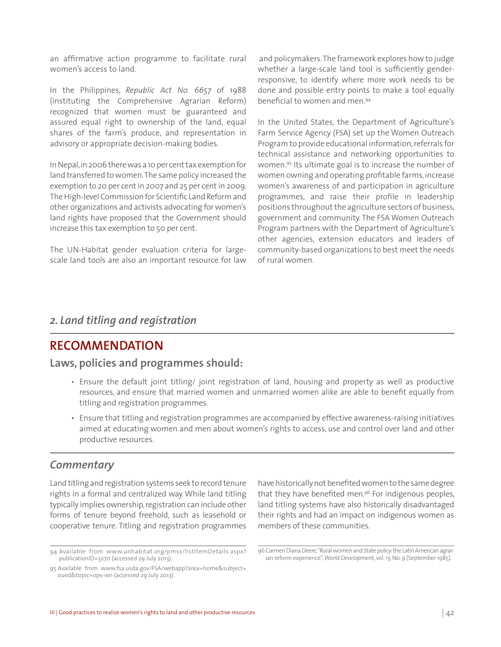an affirmative action programme to facilitate rural women's access to land.

In the Philippines, *Republic Act No. 6657* of 1988 (instituting the Comprehensive Agrarian Reform) recognized that women must be guaranteed and assured equal right to ownership of the land, equal shares of the farm's produce, and representation in advisory or appropriate decision-making bodies.

In Nepal, in 2006 there was a 10 per cent tax exemption for land transferred to women. The same policy increased the exemption to 20 per cent in 2007 and 25 per cent in 2009. The High-level Commission for Scientific Land Reform and other organizations and activists advocating for women's land rights have proposed that the Government should increase this tax exemption to 50 per cent.

The UN-Habitat gender evaluation criteria for largescale land tools are also an important resource for law

 and policymakers. The framework explores how to judge whether a large-scale land tool is sufficiently genderresponsive, to identify where more work needs to be done and possible entry points to make a tool equally beneficial to women and men.94

In the United States, the Department of Agriculture's Farm Service Agency (FSA) set up the Women Outreach Program to provide educational information, referrals for technical assistance and networking opportunities to women.95 Its ultimate goal is to increase the number of women owning and operating profitable farms, increase women's awareness of and participation in agriculture programmes, and raise their profile in leadership positions throughout the agriculture sectors of business, government and community. The FSA Women Outreach Program partners with the Department of Agriculture's other agencies, extension educators and leaders of community-based organizations to best meet the needs of rural women.

#### *2. Land titling and registration*

### **RECOMMENDATION**

#### **Laws, policies and programmes should:**

- Ensure the default joint titling/ joint registration of land, housing and property as well as productive resources, and ensure that married women and unmarried women alike are able to benefit equally from titling and registration programmes.
- Ensure that titling and registration programmes are accompanied by effective awareness-raising initiatives aimed at educating women and men about women's rights to access, use and control over land and other productive resources.

#### *Commentary*

Land titling and registration systems seek to record tenure rights in a formal and centralized way. While land titling typically implies ownership, registration can include other forms of tenure beyond freehold, such as leasehold or cooperative tenure. Titling and registration programmes

have historically not benefited women to the same degree that they have benefited men.<sup>96</sup> For indigenous peoples, land titling systems have also historically disadvantaged their rights and had an impact on indigenous women as members of these communities.

96 Carmen Diana Deere, "Rural women and State policy: the Latin American agrarian reform experience", *World Development*, vol. 13, No. 9 (September 1985).

<sup>94</sup> Available from www.unhabitat.org/pmss/listItemDetails.aspx? publicationID=3270 (accessed 29 July 2013).

<sup>95</sup> Available from www.fsa.usda.gov/FSA/webapp?area=home&subject= oued&topic=ops-wn (accessed 29 July 2013).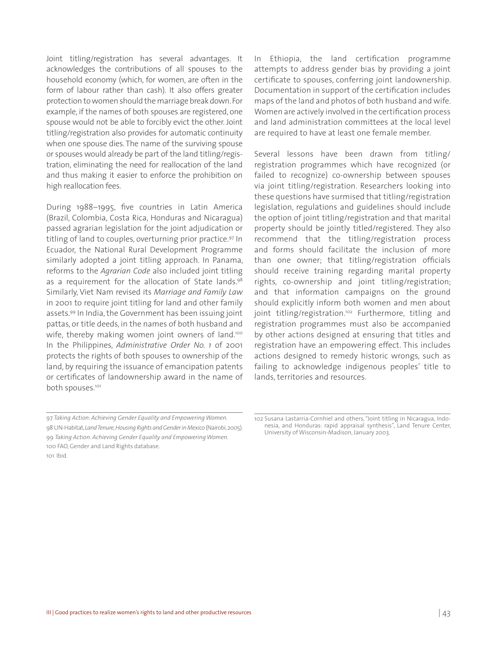Joint titling/registration has several advantages. It acknowledges the contributions of all spouses to the household economy (which, for women, are often in the form of labour rather than cash). It also offers greater protection to women should the marriage break down. For example, if the names of both spouses are registered, one spouse would not be able to forcibly evict the other. Joint titling/registration also provides for automatic continuity when one spouse dies. The name of the surviving spouse or spouses would already be part of the land titling/registration, eliminating the need for reallocation of the land and thus making it easier to enforce the prohibition on high reallocation fees.

During 1988–1995, five countries in Latin America (Brazil, Colombia, Costa Rica, Honduras and Nicaragua) passed agrarian legislation for the joint adjudication or titling of land to couples, overturning prior practice.<sup>97</sup> In Ecuador, the National Rural Development Programme similarly adopted a joint titling approach. In Panama, reforms to the *Agrarian Code* also included joint titling as a requirement for the allocation of State lands.<sup>98</sup> Similarly, Viet Nam revised its *Marriage and Family Law* in 2001 to require joint titling for land and other family assets.99 In India, the Government has been issuing joint pattas, or title deeds, in the names of both husband and wife, thereby making women joint owners of land.<sup>100</sup> In the Philippines, *Administrative Order No. 1* of 2001 protects the rights of both spouses to ownership of the land, by requiring the issuance of emancipation patents or certificates of landownership award in the name of both spouses.<sup>101</sup>

In Ethiopia, the land certification programme attempts to address gender bias by providing a joint certificate to spouses, conferring joint landownership. Documentation in support of the certification includes maps of the land and photos of both husband and wife. Women are actively involved in the certification process and land administration committees at the local level are required to have at least one female member.

Several lessons have been drawn from titling/ registration programmes which have recognized (or failed to recognize) co-ownership between spouses via joint titling/registration. Researchers looking into these questions have surmised that titling/registration legislation, regulations and guidelines should include the option of joint titling/registration and that marital property should be jointly titled/registered. They also recommend that the titling/registration process and forms should facilitate the inclusion of more than one owner; that titling/registration officials should receive training regarding marital property rights, co-ownership and joint titling/registration; and that information campaigns on the ground should explicitly inform both women and men about joint titling/registration.<sup>102</sup> Furthermore, titling and registration programmes must also be accompanied by other actions designed at ensuring that titles and registration have an empowering effect. This includes actions designed to remedy historic wrongs, such as failing to acknowledge indigenous peoples' title to lands, territories and resources.

101 Ibid.

<sup>97</sup> *Taking Action: Achieving Gender Equality and Empowering Women.*  98 UN-Habitat, *Land Tenure, Housing Rights and Gender in Mexico* (Nairobi, 2005). 99 *Taking Action: Achieving Gender Equality and Empowering Women.*  100 FAO, Gender and Land Rights database.

<sup>102</sup> Susana Lastarria-Cornhiel and others, "Joint titling in Nicaragua, Indonesia, and Honduras: rapid appraisal synthesis", Land Tenure Center, University of Wisconsin-Madison, January 2003.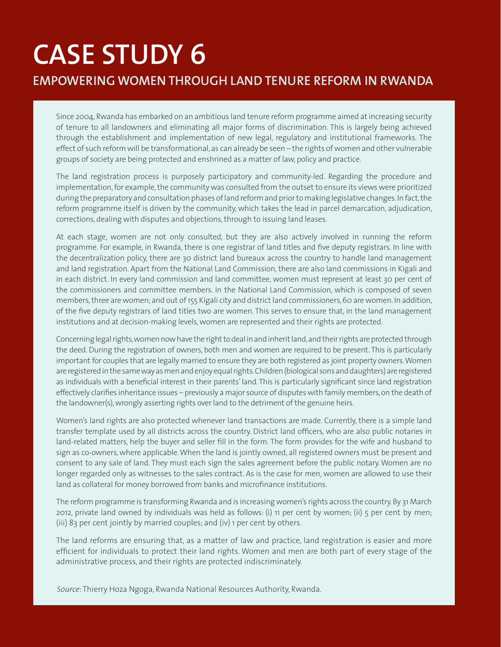# **CASE STUDY 6 EMPOWERING WOMEN THROUGH LAND TENURE REFORM IN RWANDA**

Since 2004, Rwanda has embarked on an ambitious land tenure reform programme aimed at increasing security of tenure to all landowners and eliminating all major forms of discrimination. This is largely being achieved through the establishment and implementation of new legal, regulatory and institutional frameworks. The effect of such reform will be transformational, as can already be seen – the rights of women and other vulnerable groups of society are being protected and enshrined as a matter of law, policy and practice.

The land registration process is purposely participatory and community-led. Regarding the procedure and implementation, for example, the community was consulted from the outset to ensure its views were prioritized during the preparatory and consultation phases of land reform and prior to making legislative changes. In fact, the reform programme itself is driven by the community, which takes the lead in parcel demarcation, adjudication, corrections, dealing with disputes and objections, through to issuing land leases.

At each stage, women are not only consulted, but they are also actively involved in running the reform programme. For example, in Rwanda, there is one registrar of land titles and five deputy registrars. In line with the decentralization policy, there are 30 district land bureaux across the country to handle land management and land registration. Apart from the National Land Commission, there are also land commissions in Kigali and in each district. In every land commission and land committee, women must represent at least 30 per cent of the commissioners and committee members. In the National Land Commission, which is composed of seven members, three are women; and out of 155 Kigali city and district land commissioners, 60 are women. In addition, of the five deputy registrars of land titles two are women. This serves to ensure that, in the land management institutions and at decision-making levels, women are represented and their rights are protected.

Concerning legal rights, women now have the right to deal in and inherit land, and their rights are protected through the deed. During the registration of owners, both men and women are required to be present. This is particularly important for couples that are legally married to ensure they are both registered as joint property owners. Women are registered in the same way as men and enjoy equal rights. Children (biological sons and daughters) are registered as individuals with a beneficial interest in their parents' land. This is particularly significant since land registration effectively clarifies inheritance issues – previously a major source of disputes with family members, on the death of the landowner(s), wrongly asserting rights over land to the detriment of the genuine heirs.

Women's land rights are also protected whenever land transactions are made. Currently, there is a simple land transfer template used by all districts across the country. District land officers, who are also public notaries in land-related matters, help the buyer and seller fill in the form. The form provides for the wife and husband to sign as co-owners, where applicable. When the land is jointly owned, all registered owners must be present and consent to any sale of land. They must each sign the sales agreement before the public notary. Women are no longer regarded only as witnesses to the sales contract. As is the case for men, women are allowed to use their land as collateral for money borrowed from banks and microfinance institutions.

The reform programme is transforming Rwanda and is increasing women's rights across the country. By 31 March 2012, private land owned by individuals was held as follows: (i) 11 per cent by women; (ii) 5 per cent by men; (iii) 83 per cent jointly by married couples; and (iv) 1 per cent by others.

The land reforms are ensuring that, as a matter of law and practice, land registration is easier and more efficient for individuals to protect their land rights. Women and men are both part of every stage of the administrative process, and their rights are protected indiscriminately.

*Source*: Thierry Hoza Ngoga, Rwanda National Resources Authority, Rwanda.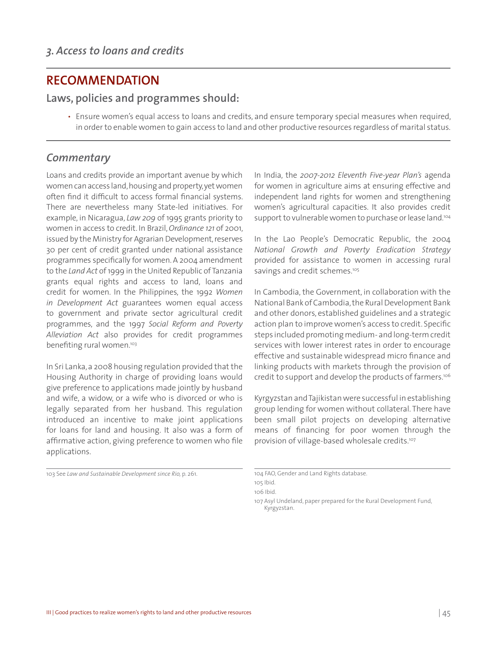## **RECOMMENDATION**

#### **Laws, policies and programmes should:**

• Ensure women's equal access to loans and credits, and ensure temporary special measures when required, in order to enable women to gain access to land and other productive resources regardless of marital status.

#### *Commentary*

Loans and credits provide an important avenue by which women can access land, housing and property, yet women often find it difficult to access formal financial systems. There are nevertheless many State-led initiatives. For example, in Nicaragua, *Law 209* of 1995 grants priority to women in access to credit. In Brazil, *Ordinance 121* of 2001, issued by the Ministry for Agrarian Development, reserves 30 per cent of credit granted under national assistance programmes specifically for women. A 2004 amendment to the *Land Act* of 1999 in the United Republic of Tanzania grants equal rights and access to land, loans and credit for women. In the Philippines, the 1992 *Women in Development Act* guarantees women equal access to government and private sector agricultural credit programmes, and the 1997 *Social Reform and Poverty Alleviation Act* also provides for credit programmes benefiting rural women.<sup>103</sup>

In Sri Lanka, a 2008 housing regulation provided that the Housing Authority in charge of providing loans would give preference to applications made jointly by husband and wife, a widow, or a wife who is divorced or who is legally separated from her husband. This regulation introduced an incentive to make joint applications for loans for land and housing. It also was a form of affirmative action, giving preference to women who file applications.

103 See *Law and Sustainable Development since Rio,* p. 261.

In India, the *2007-2012 Eleventh Five-year Plan's* agenda for women in agriculture aims at ensuring effective and independent land rights for women and strengthening women's agricultural capacities. It also provides credit support to vulnerable women to purchase or lease land.<sup>104</sup>

In the Lao People's Democratic Republic, the 2004 *National Growth and Poverty Eradication Strategy* provided for assistance to women in accessing rural savings and credit schemes.<sup>105</sup>

In Cambodia, the Government, in collaboration with the National Bank of Cambodia, the Rural Development Bank and other donors, established guidelines and a strategic action plan to improve women's access to credit. Specific steps included promoting medium- and long-term credit services with lower interest rates in order to encourage effective and sustainable widespread micro finance and linking products with markets through the provision of credit to support and develop the products of farmers.<sup>106</sup>

Kyrgyzstan and Tajikistan were successful in establishing group lending for women without collateral. There have been small pilot projects on developing alternative means of financing for poor women through the provision of village-based wholesale credits.<sup>107</sup>

<sup>104</sup> FAO, Gender and Land Rights database.

<sup>105</sup> Ibid.

<sup>106</sup> Ibid.

<sup>107</sup> Asyl Undeland, paper prepared for the Rural Development Fund, Kyrgyzstan.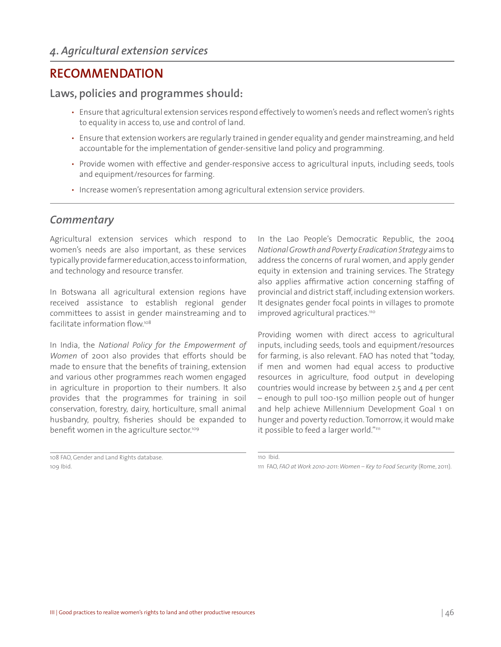## **RECOMMENDATION**

#### **Laws, policies and programmes should:**

- Ensure that agricultural extension services respond effectively to women's needs and reflect women's rights to equality in access to, use and control of land.
- Ensure that extension workers are regularly trained in gender equality and gender mainstreaming, and held accountable for the implementation of gender-sensitive land policy and programming.
- Provide women with effective and gender-responsive access to agricultural inputs, including seeds, tools and equipment/resources for farming.
- Increase women's representation among agricultural extension service providers.

#### *Commentary*

Agricultural extension services which respond to women's needs are also important, as these services typically provide farmer education, access to information, and technology and resource transfer.

In Botswana all agricultural extension regions have received assistance to establish regional gender committees to assist in gender mainstreaming and to facilitate information flow.108

In India, the *National Policy for the Empowerment of Women* of 2001 also provides that efforts should be made to ensure that the benefits of training, extension and various other programmes reach women engaged in agriculture in proportion to their numbers. It also provides that the programmes for training in soil conservation, forestry, dairy, horticulture, small animal husbandry, poultry, fisheries should be expanded to benefit women in the agriculture sector.<sup>109</sup>

108 FAO, Gender and Land Rights database. 109 Ibid.

In the Lao People's Democratic Republic, the 2004 *National Growth and Poverty Eradication Strategy* aims to address the concerns of rural women, and apply gender equity in extension and training services. The Strategy also applies affirmative action concerning staffing of provincial and district staff, including extension workers. It designates gender focal points in villages to promote improved agricultural practices.<sup>110</sup>

Providing women with direct access to agricultural inputs, including seeds, tools and equipment/resources for farming, is also relevant. FAO has noted that "today, if men and women had equal access to productive resources in agriculture, food output in developing countries would increase by between 2.5 and 4 per cent – enough to pull 100-150 million people out of hunger and help achieve Millennium Development Goal 1 on hunger and poverty reduction. Tomorrow, it would make it possible to feed a larger world."<sup>111</sup>

<sup>110</sup> Ibid.

<sup>111</sup> FAO, *FAO at Work 2010-2011: Women – Key to Food Security* (Rome, 2011).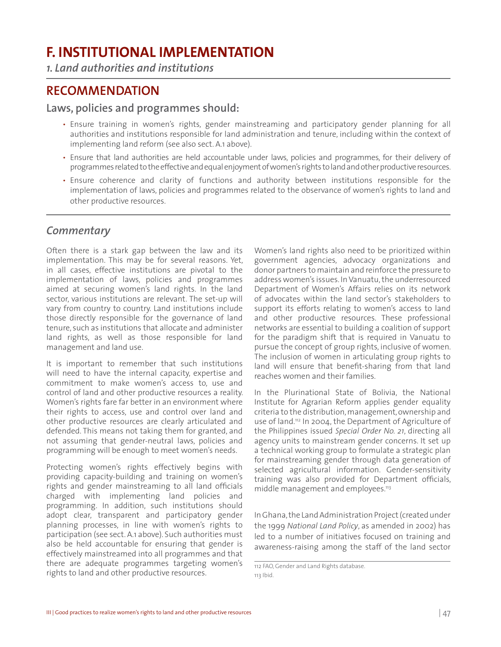# **F. INSTITUTIONAL IMPLEMENTATION**

*1. Land authorities and institutions*

## **RECOMMENDATION**

**Laws, policies and programmes should:**

- Ensure training in women's rights, gender mainstreaming and participatory gender planning for all authorities and institutions responsible for land administration and tenure, including within the context of implementing land reform (see also sect. A.1 above).
- Ensure that land authorities are held accountable under laws, policies and programmes, for their delivery of programmes related to the effective and equal enjoyment of women's rights to land and other productive resources.
- Ensure coherence and clarity of functions and authority between institutions responsible for the implementation of laws, policies and programmes related to the observance of women's rights to land and other productive resources.

#### *Commentary*

Often there is a stark gap between the law and its implementation. This may be for several reasons. Yet, in all cases, effective institutions are pivotal to the implementation of laws, policies and programmes aimed at securing women's land rights. In the land sector, various institutions are relevant. The set-up will vary from country to country. Land institutions include those directly responsible for the governance of land tenure, such as institutions that allocate and administer land rights, as well as those responsible for land management and land use.

It is important to remember that such institutions will need to have the internal capacity, expertise and commitment to make women's access to, use and control of land and other productive resources a reality. Women's rights fare far better in an environment where their rights to access, use and control over land and other productive resources are clearly articulated and defended. This means not taking them for granted, and not assuming that gender-neutral laws, policies and programming will be enough to meet women's needs.

Protecting women's rights effectively begins with providing capacity-building and training on women's rights and gender mainstreaming to all land officials charged with implementing land policies and programming. In addition, such institutions should adopt clear, transparent and participatory gender planning processes, in line with women's rights to participation (see sect. A.1 above). Such authorities must also be held accountable for ensuring that gender is effectively mainstreamed into all programmes and that there are adequate programmes targeting women's rights to land and other productive resources.

Women's land rights also need to be prioritized within government agencies, advocacy organizations and donor partners to maintain and reinforce the pressure to address women's issues. In Vanuatu, the underresourced Department of Women's Affairs relies on its network of advocates within the land sector's stakeholders to support its efforts relating to women's access to land and other productive resources. These professional networks are essential to building a coalition of support for the paradigm shift that is required in Vanuatu to pursue the concept of group rights, inclusive of women. The inclusion of women in articulating group rights to land will ensure that benefit-sharing from that land reaches women and their families.

In the Plurinational State of Bolivia, the National Institute for Agrarian Reform applies gender equality criteria to the distribution, management, ownership and use of land.<sup>112</sup> In 2004, the Department of Agriculture of the Philippines issued *Special Order No. 21*, directing all agency units to mainstream gender concerns. It set up a technical working group to formulate a strategic plan for mainstreaming gender through data generation of selected agricultural information. Gender-sensitivity training was also provided for Department officials, middle management and employees.<sup>113</sup>

In Ghana, the Land Administration Project (created under the 1999 *National Land Policy*, as amended in 2002) has led to a number of initiatives focused on training and awareness-raising among the staff of the land sector

<sup>112</sup> FAO, Gender and Land Rights database. 113 Ibid.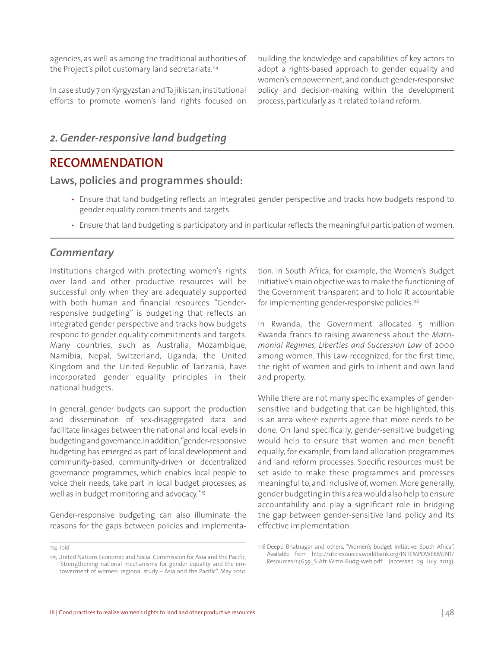agencies, as well as among the traditional authorities of the Project's pilot customary land secretariats.<sup>114</sup>

In case study 7 on Kyrgyzstan and Tajikistan, institutional efforts to promote women's land rights focused on building the knowledge and capabilities of key actors to adopt a rights-based approach to gender equality and women's empowerment, and conduct gender-responsive policy and decision-making within the development process, particularly as it related to land reform.

### *2. Gender-responsive land budgeting*

### **RECOMMENDATION**

#### **Laws, policies and programmes should:**

- Ensure that land budgeting reflects an integrated gender perspective and tracks how budgets respond to gender equality commitments and targets.
- Ensure that land budgeting is participatory and in particular reflects the meaningful participation of women.

#### *Commentary*

Institutions charged with protecting women's rights over land and other productive resources will be successful only when they are adequately supported with both human and financial resources. "Genderresponsive budgeting" is budgeting that reflects an integrated gender perspective and tracks how budgets respond to gender equality commitments and targets. Many countries, such as Australia, Mozambique, Namibia, Nepal, Switzerland, Uganda, the United Kingdom and the United Republic of Tanzania, have incorporated gender equality principles in their national budgets.

In general, gender budgets can support the production and dissemination of sex-disaggregated data and facilitate linkages between the national and local levels in budgeting and governance. In addition, "gender-responsive budgeting has emerged as part of local development and community-based, community-driven or decentralized governance programmes, which enables local people to voice their needs, take part in local budget processes, as well as in budget monitoring and advocacy."<sup>115</sup>

Gender-responsive budgeting can also illuminate the reasons for the gaps between policies and implementation. In South Africa, for example, the Women's Budget Initiative's main objective was to make the functioning of the Government transparent and to hold it accountable for implementing gender-responsive policies.<sup>116</sup>

In Rwanda, the Government allocated 5 million Rwanda francs to raising awareness about the *Matrimonial Regimes, Liberties and Succession Law* of 2000 among women. This Law recognized, for the first time, the right of women and girls to inherit and own land and property.

While there are not many specific examples of gendersensitive land budgeting that can be highlighted, this is an area where experts agree that more needs to be done. On land specifically, gender-sensitive budgeting would help to ensure that women and men benefit equally, for example, from land allocation programmes and land reform processes. Specific resources must be set aside to make these programmes and processes meaningful to, and inclusive of, women. More generally, gender budgeting in this area would also help to ensure accountability and play a significant role in bridging the gap between gender-sensitive land policy and its effective implementation.

<sup>114</sup> Ibid.

Noulable from http://siteresources.worldbank.org/INTEMPOWERMENI/<br>"Strengthening national mechanisms for gender equality and the em- Resources/14659\_S-Afr-Wmn-Budg-web.pdf (accessed 29 July 2013). "Strengthening national mechanisms for gender equality and the empowerment of women: regional study – Asia and the Pacific", May 2010.

<sup>116</sup> Deepti Bhatnagar and others, "Women's budget initiative: South Africa". Available from http://siteresources.worldbank.org/INTEMPOWERMENT/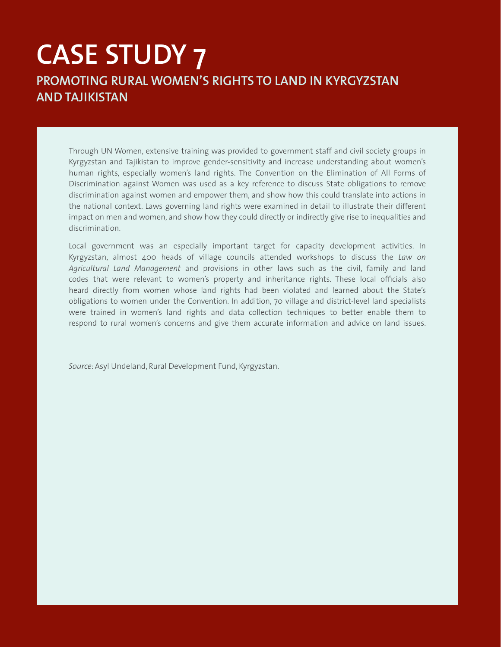# **CASE STUDY 7 PROMOTING RURAL WOMEN'S RIGHTS TO LAND IN KYRGYZSTAN AND TAJIKISTAN**

Through UN Women, extensive training was provided to government staff and civil society groups in Kyrgyzstan and Tajikistan to improve gender-sensitivity and increase understanding about women's human rights, especially women's land rights. The Convention on the Elimination of All Forms of Discrimination against Women was used as a key reference to discuss State obligations to remove discrimination against women and empower them, and show how this could translate into actions in the national context. Laws governing land rights were examined in detail to illustrate their different impact on men and women, and show how they could directly or indirectly give rise to inequalities and discrimination.

Local government was an especially important target for capacity development activities. In Kyrgyzstan, almost 400 heads of village councils attended workshops to discuss the *Law on Agricultural Land Management* and provisions in other laws such as the civil, family and land codes that were relevant to women's property and inheritance rights. These local officials also heard directly from women whose land rights had been violated and learned about the State's obligations to women under the Convention. In addition, 70 village and district-level land specialists were trained in women's land rights and data collection techniques to better enable them to respond to rural women's concerns and give them accurate information and advice on land issues.

*Source*: Asyl Undeland, Rural Development Fund, Kyrgyzstan.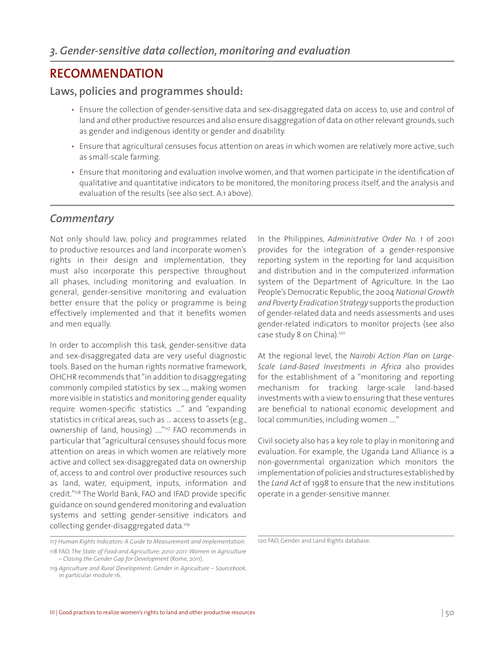## **RECOMMENDATION**

#### **Laws, policies and programmes should:**

- Ensure the collection of gender-sensitive data and sex-disaggregated data on access to, use and control of land and other productive resources and also ensure disaggregation of data on other relevant grounds, such as gender and indigenous identity or gender and disability.
- Ensure that agricultural censuses focus attention on areas in which women are relatively more active, such as small-scale farming.
- Ensure that monitoring and evaluation involve women, and that women participate in the identification of qualitative and quantitative indicators to be monitored, the monitoring process itself, and the analysis and evaluation of the results (see also sect. A.1 above).

#### *Commentary*

Not only should law, policy and programmes related to productive resources and land incorporate women's rights in their design and implementation, they must also incorporate this perspective throughout all phases, including monitoring and evaluation. In general, gender-sensitive monitoring and evaluation better ensure that the policy or programme is being effectively implemented and that it benefits women and men equally.

In order to accomplish this task, gender-sensitive data and sex-disaggregated data are very useful diagnostic tools. Based on the human rights normative framework, OHCHR recommends that "in addition to disaggregating commonly compiled statistics by sex …, making women more visible in statistics and monitoring gender equality require women-specific statistics …" and "expanding statistics in critical areas, such as … access to assets (e.g., ownership of land, housing) …."117 FAO recommends in particular that "agricultural censuses should focus more attention on areas in which women are relatively more active and collect sex-disaggregated data on ownership of, access to and control over productive resources such as land, water, equipment, inputs, information and credit."<sup>118</sup> The World Bank, FAO and IFAD provide specific guidance on sound gendered monitoring and evaluation systems and setting gender-sensitive indicators and collecting gender-disaggregated data*.* 119

In the Philippines, *Administrative Order No. 1* of 2001 provides for the integration of a gender-responsive reporting system in the reporting for land acquisition and distribution and in the computerized information system of the Department of Agriculture. In the Lao People's Democratic Republic, the 2004 *National Growth and Poverty Eradication Strategy* supports the production of gender-related data and needs assessments and uses gender-related indicators to monitor projects (see also case study 8 on China).<sup>120</sup>

At the regional level, the *Nairobi Action Plan on Large-Scale Land-Based Investments in Africa* also provides for the establishment of a "monitoring and reporting mechanism for tracking large-scale land-based investments with a view to ensuring that these ventures are beneficial to national economic development and local communities, including women …."

Civil society also has a key role to play in monitoring and evaluation. For example, the Uganda Land Alliance is a non-governmental organization which monitors the implementation of policies and structures established by the *Land Act* of 1998 to ensure that the new institutions operate in a gender-sensitive manner.

<sup>117</sup> *Human Rights Indicators: A Guide to Measurement and Implementation.*

<sup>118</sup> FAO, *The State of Food and Agriculture: 2010-2011: Women in Agriculture – Closing the Gender Gap for Development* (Rome, 2011).

<sup>119</sup> *Agriculture and Rural Development: Gender in Agriculture – Sourcebook*, in particular module 16.

<sup>120</sup> FAO, Gender and Land Rights database.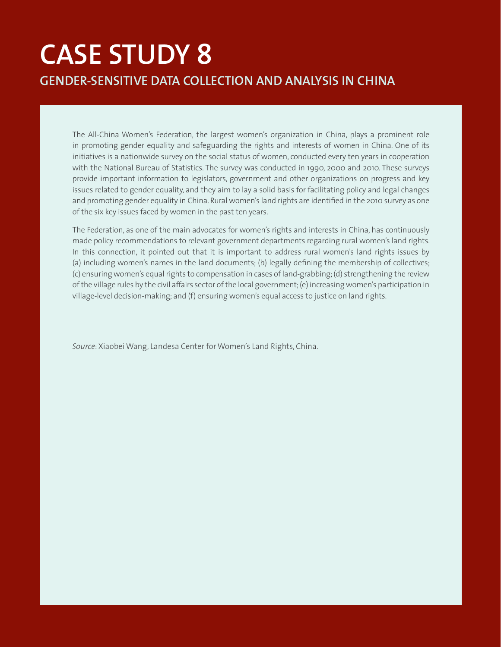# **CASE STUDY 8 GENDER-SENSITIVE DATA COLLECTION AND ANALYSIS IN CHINA**

The All-China Women's Federation, the largest women's organization in China, plays a prominent role in promoting gender equality and safeguarding the rights and interests of women in China. One of its initiatives is a nationwide survey on the social status of women, conducted every ten years in cooperation with the National Bureau of Statistics. The survey was conducted in 1990, 2000 and 2010. These surveys provide important information to legislators, government and other organizations on progress and key issues related to gender equality, and they aim to lay a solid basis for facilitating policy and legal changes and promoting gender equality in China. Rural women's land rights are identified in the 2010 survey as one of the six key issues faced by women in the past ten years.

The Federation, as one of the main advocates for women's rights and interests in China, has continuously made policy recommendations to relevant government departments regarding rural women's land rights. In this connection, it pointed out that it is important to address rural women's land rights issues by (a) including women's names in the land documents; (b) legally defining the membership of collectives; (c) ensuring women's equal rights to compensation in cases of land-grabbing; (d) strengthening the review of the village rules by the civil affairs sector of the local government; (e) increasing women's participation in village-level decision-making; and (f) ensuring women's equal access to justice on land rights.

*Source*: Xiaobei Wang, Landesa Center for Women's Land Rights, China.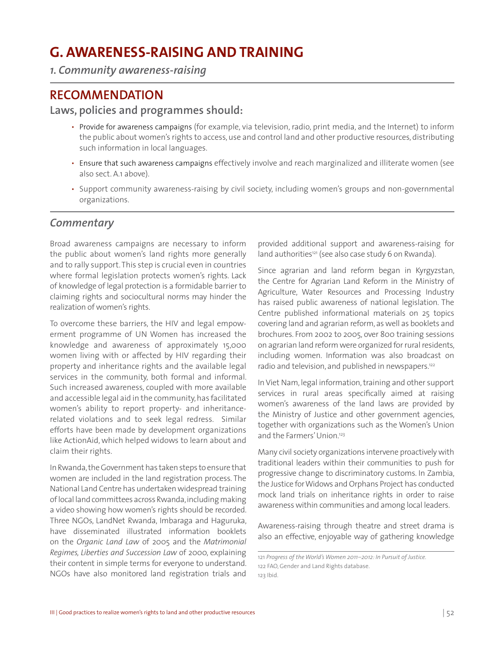# **G. AWARENESS-RAISING AND TRAINING**

*1. Community awareness-raising* 

### **RECOMMENDATION**

#### **Laws, policies and programmes should:**

- Provide for awareness campaigns (for example, via television, radio, print media, and the Internet) to inform the public about women's rights to access, use and control land and other productive resources, distributing such information in local languages.
- Ensure that such awareness campaigns effectively involve and reach marginalized and illiterate women (see also sect. A.1 above).
- Support community awareness-raising by civil society, including women's groups and non-governmental organizations.

#### *Commentary*

Broad awareness campaigns are necessary to inform the public about women's land rights more generally and to rally support. This step is crucial even in countries where formal legislation protects women's rights. Lack of knowledge of legal protection is a formidable barrier to claiming rights and sociocultural norms may hinder the realization of women's rights.

To overcome these barriers, the HIV and legal empowerment programme of UN Women has increased the knowledge and awareness of approximately 15,000 women living with or affected by HIV regarding their property and inheritance rights and the available legal services in the community, both formal and informal. Such increased awareness, coupled with more available and accessible legal aid in the community, has facilitated women's ability to report property- and inheritancerelated violations and to seek legal redress. Similar efforts have been made by development organizations like ActionAid, which helped widows to learn about and claim their rights.

In Rwanda, the Government has taken steps to ensure that women are included in the land registration process. The National Land Centre has undertaken widespread training of local land committees across Rwanda, including making a video showing how women's rights should be recorded. Three NGOs, LandNet Rwanda, Imbaraga and Haguruka, have disseminated illustrated information booklets on the *Organic Land Law* of 2005 and the *Matrimonial Regimes, Liberties and Succession Law* of 2000, explaining their content in simple terms for everyone to understand. NGOs have also monitored land registration trials and

provided additional support and awareness-raising for land authorities<sup>121</sup> (see also case study 6 on Rwanda).

Since agrarian and land reform began in Kyrgyzstan, the Centre for Agrarian Land Reform in the Ministry of Agriculture, Water Resources and Processing Industry has raised public awareness of national legislation. The Centre published informational materials on 25 topics covering land and agrarian reform, as well as booklets and brochures. From 2002 to 2005, over 800 training sessions on agrarian land reform were organized for rural residents, including women. Information was also broadcast on radio and television, and published in newspapers.<sup>122</sup>

In Viet Nam, legal information, training and other support services in rural areas specifically aimed at raising women's awareness of the land laws are provided by the Ministry of Justice and other government agencies, together with organizations such as the Women's Union and the Farmers' Union.<sup>123</sup>

Many civil society organizations intervene proactively with traditional leaders within their communities to push for progressive change to discriminatory customs. In Zambia, the Justice for Widows and Orphans Project has conducted mock land trials on inheritance rights in order to raise awareness within communities and among local leaders.

Awareness-raising through theatre and street drama is also an effective, enjoyable way of gathering knowledge

<sup>121</sup> *Progress of the World's Women 2011–2012: In Pursuit of Justice.* 122 FAO, Gender and Land Rights database. 123 Ibid.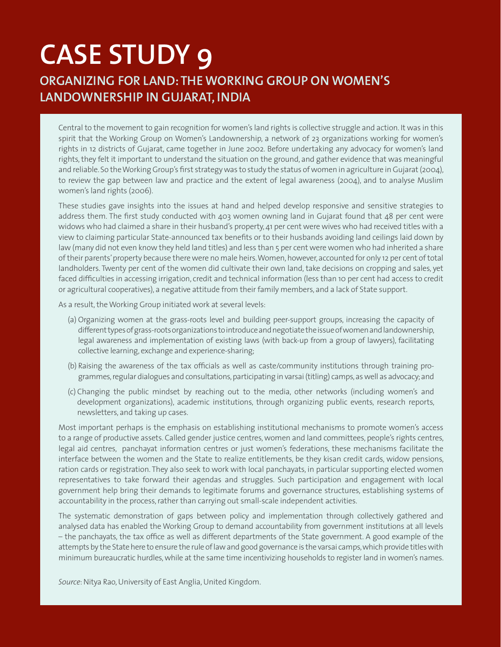# **CASE STUDY 9 ORGANIZING FOR LAND: THE WORKING GROUP ON WOMEN'S LANDOWNERSHIP IN GUJARAT, INDIA**

Central to the movement to gain recognition for women's land rights is collective struggle and action. It was in this spirit that the Working Group on Women's Landownership, a network of 23 organizations working for women's rights in 12 districts of Gujarat, came together in June 2002. Before undertaking any advocacy for women's land rights, they felt it important to understand the situation on the ground, and gather evidence that was meaningful and reliable. So the Working Group's first strategy was to study the status of women in agriculture in Gujarat (2004), to review the gap between law and practice and the extent of legal awareness (2004), and to analyse Muslim women's land rights (2006).

These studies gave insights into the issues at hand and helped develop responsive and sensitive strategies to address them. The first study conducted with 403 women owning land in Gujarat found that 48 per cent were widows who had claimed a share in their husband's property, 41 per cent were wives who had received titles with a view to claiming particular State-announced tax benefits or to their husbands avoiding land ceilings laid down by law (many did not even know they held land titles) and less than 5 per cent were women who had inherited a share of their parents' property because there were no male heirs. Women, however, accounted for only 12 per cent of total landholders. Twenty per cent of the women did cultivate their own land, take decisions on cropping and sales, yet faced difficulties in accessing irrigation, credit and technical information (less than 10 per cent had access to credit or agricultural cooperatives), a negative attitude from their family members, and a lack of State support.

As a result, the Working Group initiated work at several levels:

- (a) Organizing women at the grass-roots level and building peer-support groups, increasing the capacity of different types of grass-roots organizations to introduce and negotiate the issue of women and landownership, legal awareness and implementation of existing laws (with back-up from a group of lawyers), facilitating collective learning, exchange and experience-sharing;
- (b) Raising the awareness of the tax officials as well as caste/community institutions through training programmes, regular dialogues and consultations, participating in varsai (titling) camps, as well as advocacy; and
- (c) Changing the public mindset by reaching out to the media, other networks (including women's and development organizations), academic institutions, through organizing public events, research reports, newsletters, and taking up cases.

Most important perhaps is the emphasis on establishing institutional mechanisms to promote women's access to a range of productive assets. Called gender justice centres, women and land committees, people's rights centres, legal aid centres, panchayat information centres or just women's federations, these mechanisms facilitate the interface between the women and the State to realize entitlements, be they kisan credit cards, widow pensions, ration cards or registration. They also seek to work with local panchayats, in particular supporting elected women representatives to take forward their agendas and struggles. Such participation and engagement with local government help bring their demands to legitimate forums and governance structures, establishing systems of accountability in the process, rather than carrying out small-scale independent activities.

The systematic demonstration of gaps between policy and implementation through collectively gathered and analysed data has enabled the Working Group to demand accountability from government institutions at all levels – the panchayats, the tax office as well as different departments of the State government. A good example of the attempts by the State here to ensure the rule of law and good governance is the varsai camps, which provide titles with minimum bureaucratic hurdles, while at the same time incentivizing households to register land in women's names.

*Source*: Nitya Rao, University of East Anglia, United Kingdom.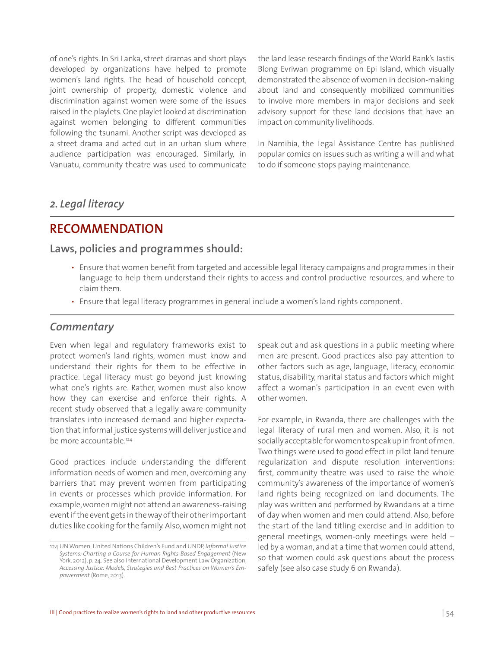of one's rights. In Sri Lanka, street dramas and short plays developed by organizations have helped to promote women's land rights. The head of household concept, joint ownership of property, domestic violence and discrimination against women were some of the issues raised in the playlets. One playlet looked at discrimination against women belonging to different communities following the tsunami. Another script was developed as a street drama and acted out in an urban slum where audience participation was encouraged. Similarly, in Vanuatu, community theatre was used to communicate the land lease research findings of the World Bank's Jastis Blong Evriwan programme on Epi Island, which visually demonstrated the absence of women in decision-making about land and consequently mobilized communities to involve more members in major decisions and seek advisory support for these land decisions that have an impact on community livelihoods.

In Namibia, the Legal Assistance Centre has published popular comics on issues such as writing a will and what to do if someone stops paying maintenance.

#### *2. Legal literacy*

#### **RECOMMENDATION**

#### **Laws, policies and programmes should:**

- Ensure that women benefit from targeted and accessible legal literacy campaigns and programmes in their language to help them understand their rights to access and control productive resources, and where to claim them.
- Ensure that legal literacy programmes in general include a women's land rights component.

#### *Commentary*

Even when legal and regulatory frameworks exist to protect women's land rights, women must know and understand their rights for them to be effective in practice. Legal literacy must go beyond just knowing what one's rights are. Rather, women must also know how they can exercise and enforce their rights. A recent study observed that a legally aware community translates into increased demand and higher expectation that informal justice systems will deliver justice and be more accountable.<sup>124</sup>

Good practices include understanding the different information needs of women and men, overcoming any barriers that may prevent women from participating in events or processes which provide information. For example, women might not attend an awareness-raising event if the event gets in the way of their other important duties like cooking for the family. Also, women might not speak out and ask questions in a public meeting where men are present. Good practices also pay attention to other factors such as age, language, literacy, economic status, disability, marital status and factors which might affect a woman's participation in an event even with other women.

For example, in Rwanda, there are challenges with the legal literacy of rural men and women. Also, it is not socially acceptable for women to speak up in front of men. Two things were used to good effect in pilot land tenure regularization and dispute resolution interventions: first, community theatre was used to raise the whole community's awareness of the importance of women's land rights being recognized on land documents. The play was written and performed by Rwandans at a time of day when women and men could attend. Also, before the start of the land titling exercise and in addition to general meetings, women-only meetings were held – led by a woman, and at a time that women could attend, so that women could ask questions about the process safely (see also case study 6 on Rwanda).

<sup>124</sup> UN Women, United Nations Children's Fund and UNDP, *Informal Justice Systems: Charting a Course for Human Rights-Based Engagement* (New York, 2012), p. 24. See also International Development Law Organization, *Accessing Justice: Models, Strategies and Best Practices on Women's Empowerment* (Rome, 2013).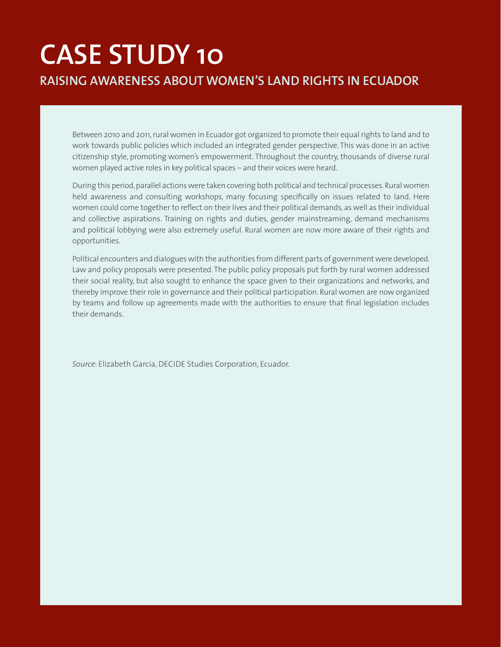# **CASE STUDY 10 RAISING AWARENESS ABOUT WOMEN'S LAND RIGHTS IN ECUADOR**

Between 2010 and 2011, rural women in Ecuador got organized to promote their equal rights to land and to work towards public policies which included an integrated gender perspective. This was done in an active citizenship style, promoting women's empowerment. Throughout the country, thousands of diverse rural women played active roles in key political spaces – and their voices were heard.

During this period, parallel actions were taken covering both political and technical processes. Rural women held awareness and consulting workshops, many focusing specifically on issues related to land. Here women could come together to reflect on their lives and their political demands, as well as their individual and collective aspirations. Training on rights and duties, gender mainstreaming, demand mechanisms and political lobbying were also extremely useful. Rural women are now more aware of their rights and opportunities.

Political encounters and dialogues with the authorities from different parts of government were developed. Law and policy proposals were presented. The public policy proposals put forth by rural women addressed their social reality, but also sought to enhance the space given to their organizations and networks, and thereby improve their role in governance and their political participation. Rural women are now organized by teams and follow up agreements made with the authorities to ensure that final legislation includes their demands.

*Source*: Elizabeth Garcia, DECIDE Studies Corporation, Ecuador.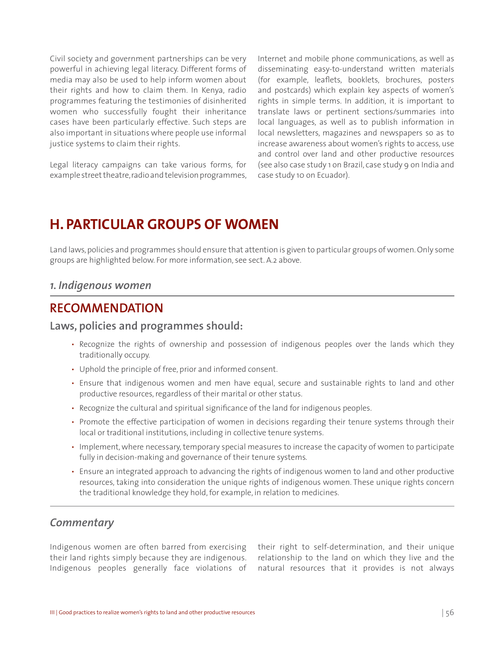Civil society and government partnerships can be very powerful in achieving legal literacy. Different forms of media may also be used to help inform women about their rights and how to claim them. In Kenya, radio programmes featuring the testimonies of disinherited women who successfully fought their inheritance cases have been particularly effective. Such steps are also important in situations where people use informal justice systems to claim their rights.

Legal literacy campaigns can take various forms, for example street theatre, radio and television programmes, Internet and mobile phone communications, as well as disseminating easy-to-understand written materials (for example, leaflets, booklets, brochures, posters and postcards) which explain key aspects of women's rights in simple terms. In addition, it is important to translate laws or pertinent sections/summaries into local languages, as well as to publish information in local newsletters, magazines and newspapers so as to increase awareness about women's rights to access, use and control over land and other productive resources (see also case study 1 on Brazil, case study 9 on India and case study 10 on Ecuador).

## **H. PARTICULAR GROUPS OF WOMEN**

Land laws, policies and programmes should ensure that attention is given to particular groups of women. Only some groups are highlighted below. For more information, see sect. A.2 above.

#### *1. Indigenous women*

#### **RECOMMENDATION**

#### **Laws, policies and programmes should:**

- Recognize the rights of ownership and possession of indigenous peoples over the lands which they traditionally occupy.
- Uphold the principle of free, prior and informed consent.
- Ensure that indigenous women and men have equal, secure and sustainable rights to land and other productive resources, regardless of their marital or other status.
- Recognize the cultural and spiritual significance of the land for indigenous peoples.
- Promote the effective participation of women in decisions regarding their tenure systems through their local or traditional institutions, including in collective tenure systems.
- Implement, where necessary, temporary special measures to increase the capacity of women to participate fully in decision-making and governance of their tenure systems*.*
- Ensure an integrated approach to advancing the rights of indigenous women to land and other productive resources, taking into consideration the unique rights of indigenous women. These unique rights concern the traditional knowledge they hold, for example, in relation to medicines.

#### *Commentary*

Indigenous women are often barred from exercising their land rights simply because they are indigenous. Indigenous peoples generally face violations of their right to self-determination, and their unique relationship to the land on which they live and the natural resources that it provides is not always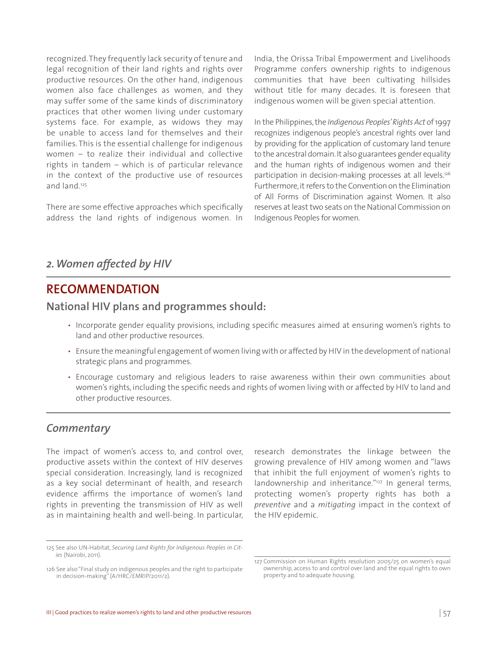recognized. They frequently lack security of tenure and legal recognition of their land rights and rights over productive resources. On the other hand, indigenous women also face challenges as women, and they may suffer some of the same kinds of discriminatory practices that other women living under customary systems face. For example, as widows they may be unable to access land for themselves and their families. This is the essential challenge for indigenous women – to realize their individual and collective rights in tandem – which is of particular relevance in the context of the productive use of resources and land.125

There are some effective approaches which specifically address the land rights of indigenous women. In India, the Orissa Tribal Empowerment and Livelihoods Programme confers ownership rights to indigenous communities that have been cultivating hillsides without title for many decades. It is foreseen that indigenous women will be given special attention.

In the Philippines, the *Indigenous Peoples' Rights Act* of 1997 recognizes indigenous people's ancestral rights over land by providing for the application of customary land tenure to the ancestral domain. It also guarantees gender equality and the human rights of indigenous women and their participation in decision-making processes at all levels.<sup>126</sup> Furthermore, it refers to the Convention on the Elimination of All Forms of Discrimination against Women. It also reserves at least two seats on the National Commission on Indigenous Peoples for women.

#### *2. Women affected by HIV*

#### **RECOMMENDATION**

#### **National HIV plans and programmes should:**

- Incorporate gender equality provisions, including specific measures aimed at ensuring women's rights to land and other productive resources.
- Ensure the meaningful engagement of women living with or affected by HIV in the development of national strategic plans and programmes.
- Encourage customary and religious leaders to raise awareness within their own communities about women's rights, including the specific needs and rights of women living with or affected by HIV to land and other productive resources.

#### *Commentary*

The impact of women's access to, and control over, productive assets within the context of HIV deserves special consideration. Increasingly, land is recognized as a key social determinant of health, and research evidence affirms the importance of women's land rights in preventing the transmission of HIV as well as in maintaining health and well-being. In particular,

research demonstrates the linkage between the growing prevalence of HIV among women and "laws that inhibit the full enjoyment of women's rights to landownership and inheritance."<sup>127</sup> In general terms, protecting women's property rights has both a *preventive* and a *mitigating* impact in the context of the HIV epidemic.

<sup>125</sup> See also UN-Habitat, *Securing Land Rights for Indigenous Peoples in Cities* (Nairobi, 2011).

<sup>126</sup> See also "Final study on indigenous peoples and the right to participate in decision-making" (A/HRC/EMRIP/2011/2).

<sup>127</sup> Commission on Human Rights resolution 2005/25 on women's equal ownership, access to and control over land and the equal rights to own property and to adequate housing.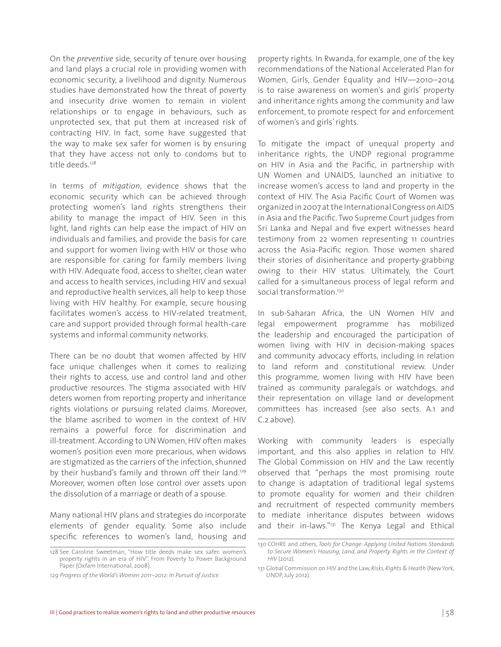On the *preventive* side, security of tenure over housing and land plays a crucial role in providing women with economic security, a livelihood and dignity. Numerous studies have demonstrated how the threat of poverty and insecurity drive women to remain in violent relationships or to engage in behaviours, such as unprotected sex, that put them at increased risk of contracting HIV. In fact, some have suggested that the way to make sex safer for women is by ensuring that they have access not only to condoms but to title deeds<sup>128</sup>

In terms of *mitigation*, evidence shows that the economic security which can be achieved through protecting women's land rights strengthens their ability to manage the impact of HIV. Seen in this light, land rights can help ease the impact of HIV on individuals and families, and provide the basis for care and support for women living with HIV or those who are responsible for caring for family members living with HIV. Adequate food, access to shelter, clean water and access to health services, including HIV and sexual and reproductive health services, all help to keep those living with HIV healthy. For example, secure housing facilitates women's access to HIV-related treatment, care and support provided through formal health-care systems and informal community networks.

There can be no doubt that women affected by HIV face unique challenges when it comes to realizing their rights to access, use and control land and other productive resources. The stigma associated with HIV deters women from reporting property and inheritance rights violations or pursuing related claims. Moreover, the blame ascribed to women in the context of HIV remains a powerful force for discrimination and ill-treatment. According to UN Women, HIV often makes women's position even more precarious, when widows are stigmatized as the carriers of the infection, shunned by their husband's family and thrown off their land.<sup>129</sup> Moreover, women often lose control over assets upon the dissolution of a marriage or death of a spouse.

Many national HIV plans and strategies do incorporate elements of gender equality. Some also include specific references to women's land, housing and property rights. In Rwanda, for example, one of the key recommendations of the National Accelerated Plan for Women, Girls, Gender Equality and HIV—2010–2014 is to raise awareness on women's and girls' property and inheritance rights among the community and law enforcement, to promote respect for and enforcement of women's and girls' rights.

To mitigate the impact of unequal property and inheritance rights, the UNDP regional programme on HIV in Asia and the Pacific, in partnership with UN Women and UNAIDS, launched an initiative to increase women's access to land and property in the context of HIV. The Asia Pacific Court of Women was organized in 2007 at the International Congress on AIDS in Asia and the Pacific. Two Supreme Court judges from Sri Lanka and Nepal and five expert witnesses heard testimony from 22 women representing 11 countries across the Asia-Pacific region. Those women shared their stories of disinheritance and property-grabbing owing to their HIV status. Ultimately, the Court called for a simultaneous process of legal reform and social transformation.<sup>130</sup>

In sub-Saharan Africa, the UN Women HIV and legal empowerment programme has mobilized the leadership and encouraged the participation of women living with HIV in decision-making spaces and community advocacy efforts, including in relation to land reform and constitutional review. Under this programme, women living with HIV have been trained as community paralegals or watchdogs, and their representation on village land or development committees has increased (see also sects. A.1 and C.2 above).

Working with community leaders is especially important, and this also applies in relation to HIV. The Global Commission on HIV and the Law recently observed that "perhaps the most promising route to change is adaptation of traditional legal systems to promote equality for women and their children and recruitment of respected community members to mediate inheritance disputes between widows and their in-laws."<sup>131</sup> The Kenya Legal and Ethical

<sup>128</sup> See Caroline Sweetman, "How title deeds make sex safer: women's property rights in an era of HIV", From Poverty to Power Background Paper (Oxfam International, 2008).

<sup>129</sup> *Progress of the World's Women 2011–2012: In Pursuit of Justice.*

<sup>130</sup> COHRE and others, *Tools for Change: Applying United Nations Standards to Secure Women's Housing, Land, and Property Rights in the Context of HIV* (2012).

<sup>131</sup> Global Commission on HIV and the Law, *Risks, Rights & Health* (New York, UNDP, July 2012).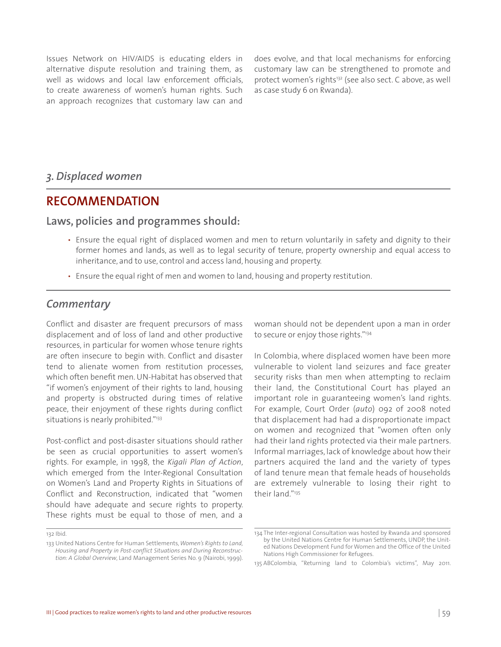Issues Network on HIV/AIDS is educating elders in alternative dispute resolution and training them, as well as widows and local law enforcement officials, to create awareness of women's human rights. Such an approach recognizes that customary law can and

does evolve, and that local mechanisms for enforcing customary law can be strengthened to promote and protect women's rights<sup>132</sup> (see also sect. C above, as well as case study 6 on Rwanda).

#### *3. Displaced women*

#### **RECOMMENDATION**

#### **Laws, policies and programmes should:**

- Ensure the equal right of displaced women and men to return voluntarily in safety and dignity to their former homes and lands, as well as to legal security of tenure, property ownership and equal access to inheritance, and to use, control and access land, housing and property.
- Ensure the equal right of men and women to land, housing and property restitution.

#### *Commentary*

Conflict and disaster are frequent precursors of mass displacement and of loss of land and other productive resources, in particular for women whose tenure rights are often insecure to begin with. Conflict and disaster tend to alienate women from restitution processes, which often benefit men. UN-Habitat has observed that "if women's enjoyment of their rights to land, housing and property is obstructed during times of relative peace, their enjoyment of these rights during conflict situations is nearly prohibited."<sup>133</sup>

Post-conflict and post-disaster situations should rather be seen as crucial opportunities to assert women's rights. For example, in 1998, the *Kigali Plan of Action*, which emerged from the Inter-Regional Consultation on Women's Land and Property Rights in Situations of Conflict and Reconstruction, indicated that "women should have adequate and secure rights to property. These rights must be equal to those of men, and a woman should not be dependent upon a man in order to secure or enjoy those rights."<sup>134</sup>

In Colombia, where displaced women have been more vulnerable to violent land seizures and face greater security risks than men when attempting to reclaim their land, the Constitutional Court has played an important role in guaranteeing women's land rights. For example, Court Order (*auto*) 092 of 2008 noted that displacement had had a disproportionate impact on women and recognized that "women often only had their land rights protected via their male partners. Informal marriages, lack of knowledge about how their partners acquired the land and the variety of types of land tenure mean that female heads of households are extremely vulnerable to losing their right to their land."135

<sup>132</sup> Ibid.

<sup>133</sup> United Nations Centre for Human Settlements, *Women's Rights to Land, Housing and Property in Post-conflict Situations and During Reconstruction: A Global Overview*, Land Management Series No. 9 (Nairobi, 1999).

<sup>134</sup> The Inter-regional Consultation was hosted by Rwanda and sponsored by the United Nations Centre for Human Settlements, UNDP, the United Nations Development Fund for Women and the Office of the United Nations High Commissioner for Refugees.

<sup>135</sup> ABColombia, "Returning land to Colombia's victims", May 2011.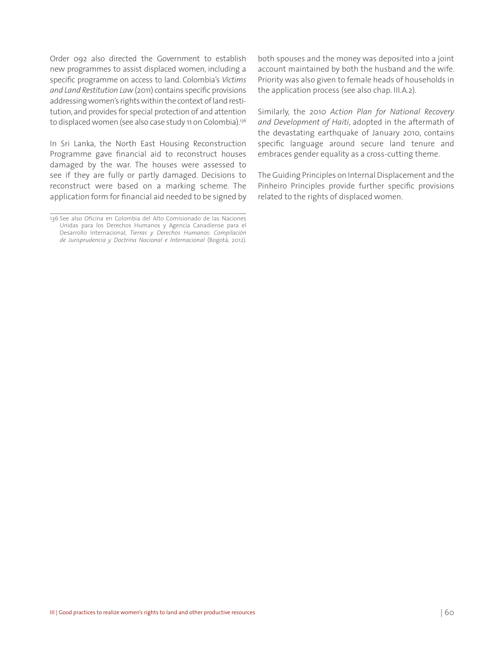Order 092 also directed the Government to establish new programmes to assist displaced women, including a specific programme on access to land. Colombia's *Victims and Land Restitution Law* (2011) contains specific provisions addressing women's rights within the context of land restitution, and provides for special protection of and attention to displaced women (see also case study 11 on Colombia).<sup>136</sup>

In Sri Lanka, the North East Housing Reconstruction Programme gave financial aid to reconstruct houses damaged by the war. The houses were assessed to see if they are fully or partly damaged. Decisions to reconstruct were based on a marking scheme. The application form for financial aid needed to be signed by

both spouses and the money was deposited into a joint account maintained by both the husband and the wife. Priority was also given to female heads of households in the application process (see also chap. III.A.2).

Similarly, the 2010 *Action Plan for National Recovery and Development of Haiti*, adopted in the aftermath of the devastating earthquake of January 2010, contains specific language around secure land tenure and embraces gender equality as a cross-cutting theme.

The Guiding Principles on Internal Displacement and the Pinheiro Principles provide further specific provisions related to the rights of displaced women.

<sup>136</sup> See also Oficina en Colombia del Alto Comisionado de las Naciones Unidas para los Derechos Humanos y Agencia Canadiense para el Desarrollo Internacional, *Tierras y Derechos Humanos: Compilación de Jurisprudencia y Doctrina Nacional e Internacional* (Bogotá, 2012).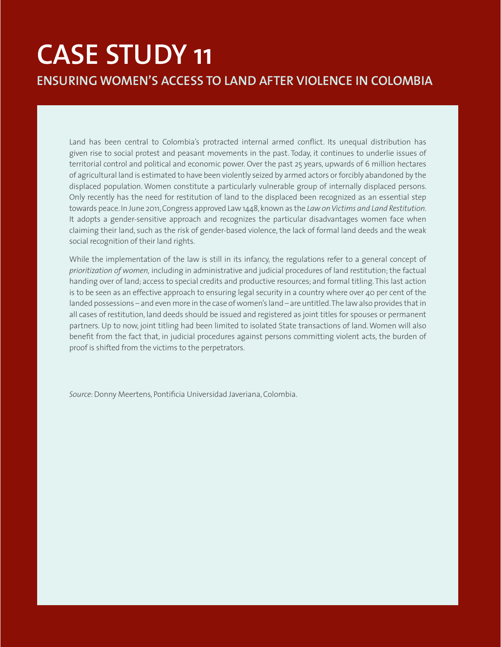# **CASE STUDY 11 ENSURING WOMEN'S ACCESS TO LAND AFTER VIOLENCE IN COLOMBIA**

Land has been central to Colombia's protracted internal armed conflict. Its unequal distribution has given rise to social protest and peasant movements in the past. Today, it continues to underlie issues of territorial control and political and economic power. Over the past 25 years, upwards of 6 million hectares of agricultural land is estimated to have been violently seized by armed actors or forcibly abandoned by the displaced population. Women constitute a particularly vulnerable group of internally displaced persons. Only recently has the need for restitution of land to the displaced been recognized as an essential step towards peace. In June 2011, Congress approved Law 1448, known as the *Law on Victims and Land Restitution*. It adopts a gender-sensitive approach and recognizes the particular disadvantages women face when claiming their land, such as the risk of gender-based violence, the lack of formal land deeds and the weak social recognition of their land rights.

While the implementation of the law is still in its infancy, the regulations refer to a general concept of *prioritization of women,* including in administrative and judicial procedures of land restitution; the factual handing over of land; access to special credits and productive resources; and formal titling. This last action is to be seen as an effective approach to ensuring legal security in a country where over 40 per cent of the landed possessions – and even more in the case of women's land – are untitled. The law also provides that in all cases of restitution, land deeds should be issued and registered as joint titles for spouses or permanent partners. Up to now, joint titling had been limited to isolated State transactions of land. Women will also benefit from the fact that, in judicial procedures against persons committing violent acts, the burden of proof is shifted from the victims to the perpetrators.

*Source*: Donny Meertens, Pontificia Universidad Javeriana, Colombia.